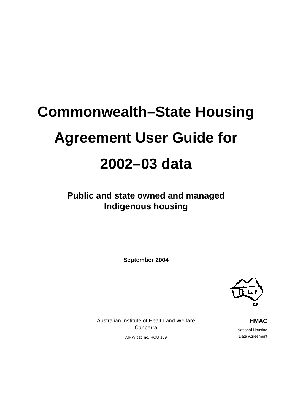# **Commonwealth–State Housing Agreement User Guide for 2002–03 data**

**Public and state owned and managed Indigenous housing** 

**September 2004** 



Australian Institute of Health and Welfare Canberra

AIHW cat. no. HOU 109

**HMAC** National Housing Data Agreement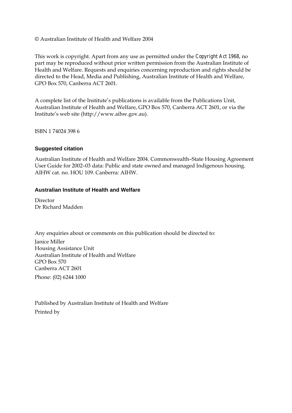#### © Australian Institute of Health and Welfare 2004

This work is copyright. Apart from any use as permitted under the *Copyright Act 1968*, no part may be reproduced without prior written permission from the Australian Institute of Health and Welfare. Requests and enquiries concerning reproduction and rights should be directed to the Head, Media and Publishing, Australian Institute of Health and Welfare, GPO Box 570, Canberra ACT 2601.

A complete list of the Institute's publications is available from the Publications Unit, Australian Institute of Health and Welfare, GPO Box 570, Canberra ACT 2601, or via the Institute's web site (http://www.aihw.gov.au).

ISBN 1 74024 398 6

#### **Suggested citation**

Australian Institute of Health and Welfare 2004. Commonwealth–State Housing Agreement User Guide for 2002–03 data: Public and state owned and managed Indigenous housing. AIHW cat. no. HOU 109. Canberra: AIHW.

#### **Australian Institute of Health and Welfare**

Director Dr Richard Madden

Any enquiries about or comments on this publication should be directed to: Janice Miller Housing Assistance Unit Australian Institute of Health and Welfare GPO Box 570 Canberra ACT 2601 Phone: (02) 6244 1000

Published by Australian Institute of Health and Welfare Printed by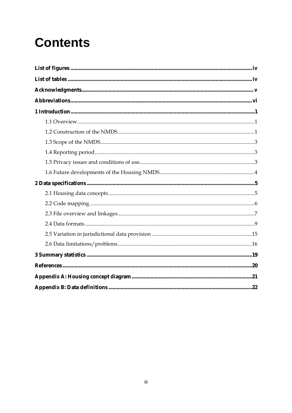## **Contents**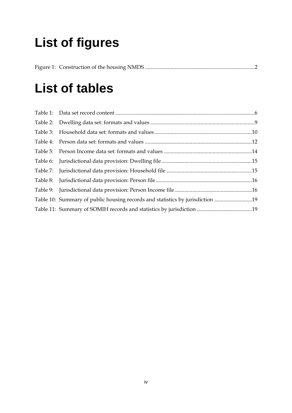## **List of figures**

## **List of tables**

| Table 10: Summary of public housing records and statistics by jurisdiction 19 |  |
|-------------------------------------------------------------------------------|--|
|                                                                               |  |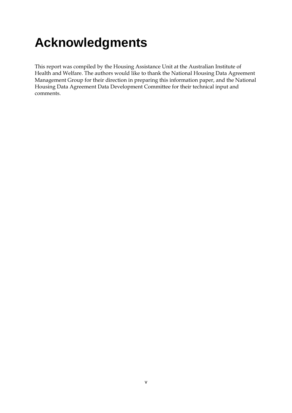## **Acknowledgments**

This report was compiled by the Housing Assistance Unit at the Australian Institute of Health and Welfare. The authors would like to thank the National Housing Data Agreement Management Group for their direction in preparing this information paper, and the National Housing Data Agreement Data Development Committee for their technical input and comments.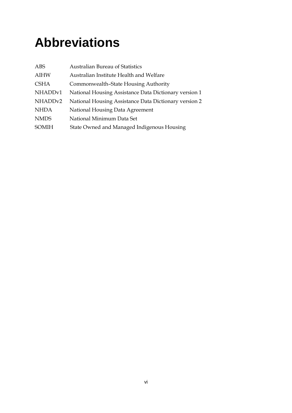## **Abbreviations**

| ABS                 | <b>Australian Bureau of Statistics</b>                |
|---------------------|-------------------------------------------------------|
| <b>AIHW</b>         | Australian Institute Health and Welfare               |
| <b>CSHA</b>         | Commonwealth-State Housing Authority                  |
| NHADD <sub>v1</sub> | National Housing Assistance Data Dictionary version 1 |
| NHADD <sub>v2</sub> | National Housing Assistance Data Dictionary version 2 |
| <b>NHDA</b>         | National Housing Data Agreement                       |
| <b>NMDS</b>         | National Minimum Data Set                             |
| <b>SOMIH</b>        | State Owned and Managed Indigenous Housing            |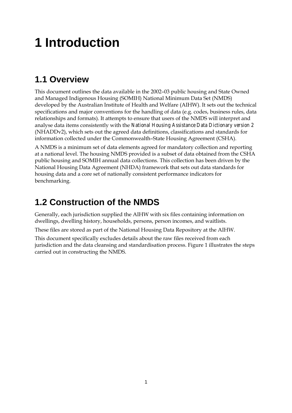## **1 Introduction**

## **1.1 Overview**

This document outlines the data available in the 2002–03 public housing and State Owned and Managed Indigenous Housing (SOMIH) National Minimum Data Set (NMDS) developed by the Australian Institute of Health and Welfare (AIHW). It sets out the technical specifications and major conventions for the handling of data (e.g. codes, business rules, data relationships and formats). It attempts to ensure that users of the NMDS will interpret and analyse data items consistently with the *National Housing Assistance Data Dictionary version 2* (NHADDv2), which sets out the agreed data definitions, classifications and standards for information collected under the Commonwealth–State Housing Agreement (CSHA).

A NMDS is a minimum set of data elements agreed for mandatory collection and reporting at a national level. The housing NMDS provided is a subset of data obtained from the CSHA public housing and SOMIH annual data collections. This collection has been driven by the National Housing Data Agreement (NHDA) framework that sets out data standards for housing data and a core set of nationally consistent performance indicators for benchmarking.

### **1.2 Construction of the NMDS**

Generally, each jurisdiction supplied the AIHW with six files containing information on dwellings, dwelling history, households, persons, person incomes, and waitlists.

These files are stored as part of the National Housing Data Repository at the AIHW.

This document specifically excludes details about the raw files received from each jurisdiction and the data cleansing and standardisation process. Figure 1 illustrates the steps carried out in constructing the NMDS.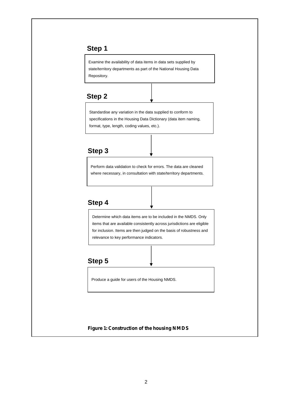#### **Step 1**

Examine the availability of data items in data sets supplied by state/territory departments as part of the National Housing Data Repository.

#### **Step 2**

Standardise any variation in the data supplied to conform to specifications in the Housing Data Dictionary (data item naming, format, type, length, coding values, etc.).

#### **Step 3**

Perform data validation to check for errors. The data are cleaned where necessary, in consultation with state/territory departments.

#### **Step 4**

Determine which data items are to be included in the NMDS. Only items that are available consistently across jurisdictions are eligible for inclusion. Items are then judged on the basis of robustness and relevance to key performance indicators.

#### **Step 5**

Produce a guide for users of the Housing NMDS.

#### **Figure 1: Construction of the housing NMDS**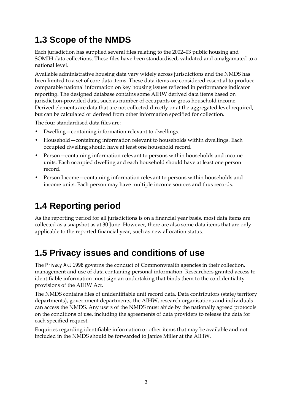## **1.3 Scope of the NMDS**

Each jurisdiction has supplied several files relating to the 2002–03 public housing and SOMIH data collections. These files have been standardised, validated and amalgamated to a national level.

Available administrative housing data vary widely across jurisdictions and the NMDS has been limited to a set of core data items. These data items are considered essential to produce comparable national information on key housing issues reflected in performance indicator reporting. The designed database contains some AIHW derived data items based on jurisdiction-provided data, such as number of occupants or gross household income. Derived elements are data that are not collected directly or at the aggregated level required, but can be calculated or derived from other information specified for collection.

The four standardised data files are:

- Dwelling—containing information relevant to dwellings.
- Household—containing information relevant to households within dwellings. Each occupied dwelling should have at least one household record.
- Person—containing information relevant to persons within households and income units. Each occupied dwelling and each household should have at least one person record.
- Person Income—containing information relevant to persons within households and income units. Each person may have multiple income sources and thus records.

## **1.4 Reporting period**

As the reporting period for all jurisdictions is on a financial year basis, most data items are collected as a snapshot as at 30 June. However, there are also some data items that are only applicable to the reported financial year, such as new allocation status.

## **1.5 Privacy issues and conditions of use**

The *Privacy Act 1998* governs the conduct of Commonwealth agencies in their collection, management and use of data containing personal information. Researchers granted access to identifiable information must sign an undertaking that binds them to the confidentiality provisions of the AIHW Act.

The NMDS contains files of unidentifiable unit record data. Data contributors (state/territory departments), government departments, the AIHW, research organisations and individuals can access the NMDS. Any users of the NMDS must abide by the nationally agreed protocols on the conditions of use, including the agreements of data providers to release the data for each specified request.

Enquiries regarding identifiable information or other items that may be available and not included in the NMDS should be forwarded to Janice Miller at the AIHW.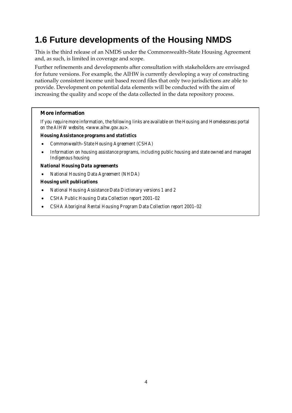## **1.6 Future developments of the Housing NMDS**

This is the third release of an NMDS under the Commonwealth–State Housing Agreement and, as such, is limited in coverage and scope.

Further refinements and developments after consultation with stakeholders are envisaged for future versions. For example, the AIHW is currently developing a way of constructing nationally consistent income unit based record files that only two jurisdictions are able to provide. Development on potential data elements will be conducted with the aim of increasing the quality and scope of the data collected in the data repository process.

#### **More information**

*If you require more information, the following links are available on the Housing and Homelessness portal on the AIHW website, <www.aihw.gov.au>.* 

#### *Housing Assistance programs and statistics*

- *Commonwealth–State Housing Agreement (CSHA)*
- *Information on housing assistance programs, including public housing and state owned and managed Indigenous housing*

#### *National Housing Data agreements*

• *National Housing Data Agreement (NHDA)* 

#### *Housing unit publications*

- *National Housing Assistance Data Dictionary versions 1 and 2*
- *CSHA Public Housing Data Collection report 2001–02*
- *CSHA Aboriginal Rental Housing Program Data Collection report 2001–02*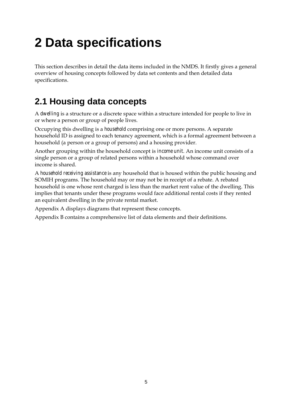## **2 Data specifications**

This section describes in detail the data items included in the NMDS. It firstly gives a general overview of housing concepts followed by data set contents and then detailed data specifications.

## **2.1 Housing data concepts**

A *dwelling* is a structure or a discrete space within a structure intended for people to live in or where a person or group of people lives.

Occupying this dwelling is a *household* comprising one or more persons. A separate household ID is assigned to each tenancy agreement, which is a formal agreement between a household (a person or a group of persons) and a housing provider.

Another grouping within the household concept is *income unit*. An income unit consists of a single person or a group of related persons within a household whose command over income is shared.

A *household receiving assistance* is any household that is housed within the public housing and SOMIH programs. The household may or may not be in receipt of a rebate. A rebated household is one whose rent charged is less than the market rent value of the dwelling. This implies that tenants under these programs would face additional rental costs if they rented an equivalent dwelling in the private rental market.

Appendix A displays diagrams that represent these concepts.

Appendix B contains a comprehensive list of data elements and their definitions.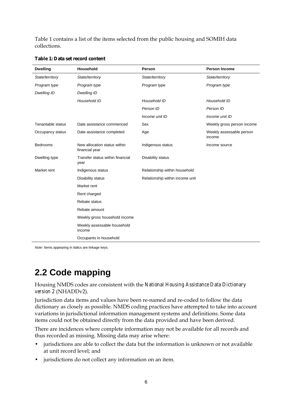Table 1 contains a list of the items selected from the public housing and SOMIH data collections.

| <b>Dwelling</b>   | Household                                      | Person                          | <b>Person Income</b>               |
|-------------------|------------------------------------------------|---------------------------------|------------------------------------|
| State/territory   | State/territory                                | State/territory                 | State/territory                    |
| Program type      | Program type                                   | Program type                    | Program type                       |
| Dwelling ID       | Dwelling ID                                    |                                 |                                    |
|                   | Household ID                                   | Household ID                    | Household ID                       |
|                   |                                                | Person ID                       | Person ID                          |
|                   |                                                | Income unit ID                  | Income unit ID                     |
| Tenantable status | Date assistance commenced                      | Sex                             | Weekly gross person income         |
| Occupancy status  | Date assistance completed                      | Age                             | Weekly assessable person<br>income |
| <b>Bedrooms</b>   | New allocation status within<br>financial year | Indigenous status               | Income source                      |
| Dwelling type     | Transfer status within financial<br>year       | Disability status               |                                    |
| Market rent       | Indigenous status                              | Relationship within household   |                                    |
|                   | Disability status                              | Relationship within income unit |                                    |
|                   | Market rent                                    |                                 |                                    |
|                   | Rent charged                                   |                                 |                                    |
|                   | Rebate status                                  |                                 |                                    |
|                   | Rebate amount                                  |                                 |                                    |
|                   | Weekly gross household income                  |                                 |                                    |
|                   | Weekly assessable household<br>income          |                                 |                                    |
|                   | Occupants in household                         |                                 |                                    |

**Table 1: Data set record content** 

*Note:* Items appearing in italics are linkage keys.

### **2.2 Code mapping**

Housing NMDS codes are consistent with the *National Housing Assistance Data Dictionary version 2* (NHADDv2).

Jurisdiction data items and values have been re-named and re-coded to follow the data dictionary as closely as possible. NMDS coding practices have attempted to take into account variations in jurisdictional information management systems and definitions. Some data items could not be obtained directly from the data provided and have been derived.

There are incidences where complete information may not be available for all records and thus recorded as missing. Missing data may arise where:

- jurisdictions are able to collect the data but the information is unknown or not available at unit record level; and
- jurisdictions do not collect any information on an item.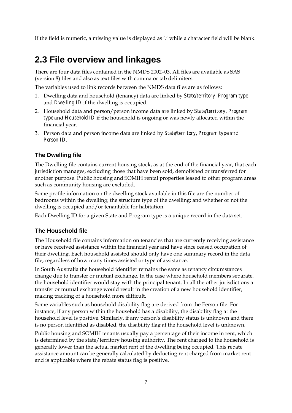If the field is numeric, a missing value is displayed as '.' while a character field will be blank.

### **2.3 File overview and linkages**

There are four data files contained in the NMDS 2002–03. All files are available as SAS (version 8) files and also as text files with comma or tab delimiters.

The variables used to link records between the NMDS data files are as follows:

- 1. Dwelling data and household (tenancy) data are linked by *State/territory, Program type* and *Dwelling ID* if the dwelling is occupied.
- 2. Household data and person/person income data are linked by *State/territory, Program type* and *Household ID* if the household is ongoing or was newly allocated within the financial year.
- 3. Person data and person income data are linked by *State/territory, Program type* and *Person ID.*

#### **The Dwelling file**

The Dwelling file contains current housing stock, as at the end of the financial year, that each jurisdiction manages, excluding those that have been sold, demolished or transferred for another purpose. Public housing and SOMIH rental properties leased to other program areas such as community housing are excluded.

Some profile information on the dwelling stock available in this file are the number of bedrooms within the dwelling; the structure type of the dwelling; and whether or not the dwelling is occupied and/or tenantable for habitation.

Each Dwelling ID for a given State and Program type is a unique record in the data set.

#### **The Household file**

The Household file contains information on tenancies that are currently receiving assistance or have received assistance within the financial year and have since ceased occupation of their dwelling. Each household assisted should only have one summary record in the data file, regardless of how many times assisted or type of assistance.

In South Australia the household identifier remains the same as tenancy circumstances change due to transfer or mutual exchange. In the case where household members separate, the household identifier would stay with the principal tenant. In all the other jurisdictions a transfer or mutual exchange would result in the creation of a new household identifier, making tracking of a household more difficult.

Some variables such as household disability flag are derived from the Person file. For instance, if any person within the household has a disability, the disability flag at the household level is positive. Similarly, if any person's disability status is unknown and there is no person identified as disabled, the disability flag at the household level is unknown.

Public housing and SOMIH tenants usually pay a percentage of their income in rent, which is determined by the state/territory housing authority. The rent charged to the household is generally lower than the actual market rent of the dwelling being occupied. This rebate assistance amount can be generally calculated by deducting rent charged from market rent and is applicable where the rebate status flag is positive.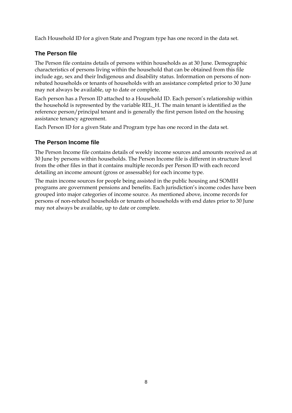Each Household ID for a given State and Program type has one record in the data set.

#### **The Person file**

The Person file contains details of persons within households as at 30 June. Demographic characteristics of persons living within the household that can be obtained from this file include age, sex and their Indigenous and disability status. Information on persons of nonrebated households or tenants of households with an assistance completed prior to 30 June may not always be available, up to date or complete.

Each person has a Person ID attached to a Household ID. Each person's relationship within the household is represented by the variable REL\_H. The main tenant is identified as the reference person/principal tenant and is generally the first person listed on the housing assistance tenancy agreement.

Each Person ID for a given State and Program type has one record in the data set.

#### **The Person Income file**

The Person Income file contains details of weekly income sources and amounts received as at 30 June by persons within households. The Person Income file is different in structure level from the other files in that it contains multiple records per Person ID with each record detailing an income amount (gross or assessable) for each income type.

The main income sources for people being assisted in the public housing and SOMIH programs are government pensions and benefits. Each jurisdiction's income codes have been grouped into major categories of income source. As mentioned above, income records for persons of non-rebated households or tenants of households with end dates prior to 30 June may not always be available, up to date or complete.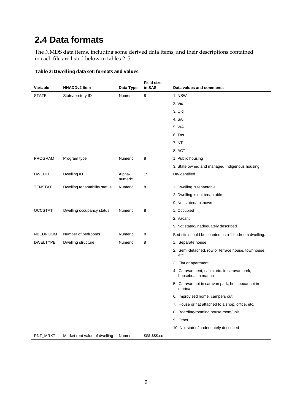### **2.4 Data formats**

The NMDS data items, including some derived data items, and their descriptions contained in each file are listed below in tables 2–5.

| Variable        | <b>NHADDv2 Item</b>           | Data Type         | <b>Field size</b><br>in SAS | Data values and comments                                              |
|-----------------|-------------------------------|-------------------|-----------------------------|-----------------------------------------------------------------------|
| <b>STATE</b>    | State/territory ID            | Numeric           | 8                           | 1. NSW                                                                |
|                 |                               |                   |                             | 2. Vic                                                                |
|                 |                               |                   |                             | 3. Qld                                                                |
|                 |                               |                   |                             | 4. SA                                                                 |
|                 |                               |                   |                             | 5. WA                                                                 |
|                 |                               |                   |                             | 6. Tas                                                                |
|                 |                               |                   |                             | 7. NT                                                                 |
|                 |                               |                   |                             | 8. ACT                                                                |
| PROGRAM         | Program type                  | Numeric           | 8                           | 1. Public housing                                                     |
|                 |                               |                   |                             | 3. State owned and managed Indigenous housing                         |
| <b>DWELID</b>   | Dwelling ID                   | Alpha-<br>numeric | 15                          | De-identified                                                         |
| <b>TENSTAT</b>  | Dwelling tenantability status | Numeric           | 8                           | 1. Dwelling is tenantable                                             |
|                 |                               |                   |                             | 2. Dwelling is not tenantable                                         |
|                 |                               |                   |                             | 9. Not stated/unknown                                                 |
| <b>OCCSTAT</b>  | Dwelling occupancy status     | Numeric           | 8                           | 1. Occupied                                                           |
|                 |                               |                   |                             | 2. Vacant                                                             |
|                 |                               |                   |                             | 9. Not stated/inadequately described                                  |
| <b>NBEDROOM</b> | Number of bedrooms            | Numeric           | 8                           | Bed-sits should be counted as a 1 bedroom dwelling.                   |
| <b>DWELTYPE</b> | Dwelling structure            | Numeric           | 8                           | 1. Separate house                                                     |
|                 |                               |                   |                             | 2. Semi-detached, row or terrace house, townhouse,<br>etc.            |
|                 |                               |                   |                             | 3. Flat or apartment                                                  |
|                 |                               |                   |                             | 4. Caravan, tent, cabin, etc. in caravan park,<br>houseboat in marina |
|                 |                               |                   |                             | 5. Caravan not in caravan park, houseboat not in<br>marina            |
|                 |                               |                   |                             | 6. Improvised home, campers out                                       |
|                 |                               |                   |                             | 7. House or flat attached to a shop, office, etc.                     |
|                 |                               |                   |                             | 8. Boarding/rooming house room/unit                                   |
|                 |                               |                   |                             | 9. Other                                                              |
|                 |                               |                   |                             | 10. Not stated/inadequately described                                 |
| RNT_MRKT        | Market rent value of dwelling | Numeric           | \$\$\$,\$\$\$.cc            |                                                                       |

#### **Table 2: Dwelling data set: formats and values**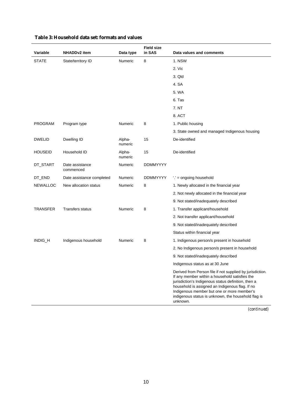| Variable        | <b>NHADDv2</b> item          | Data type         | <b>Field size</b><br>in SAS | Data values and comments                                                                                                                                                                                                                                                                                                               |
|-----------------|------------------------------|-------------------|-----------------------------|----------------------------------------------------------------------------------------------------------------------------------------------------------------------------------------------------------------------------------------------------------------------------------------------------------------------------------------|
| <b>STATE</b>    | State/territory ID           | Numeric           | 8                           | 1. NSW                                                                                                                                                                                                                                                                                                                                 |
|                 |                              |                   |                             | 2. Vic                                                                                                                                                                                                                                                                                                                                 |
|                 |                              |                   |                             | 3. Qld                                                                                                                                                                                                                                                                                                                                 |
|                 |                              |                   |                             | 4. SA                                                                                                                                                                                                                                                                                                                                  |
|                 |                              |                   |                             | 5. WA                                                                                                                                                                                                                                                                                                                                  |
|                 |                              |                   |                             | 6. Tas                                                                                                                                                                                                                                                                                                                                 |
|                 |                              |                   |                             | 7. NT                                                                                                                                                                                                                                                                                                                                  |
|                 |                              |                   |                             | 8. ACT                                                                                                                                                                                                                                                                                                                                 |
| <b>PROGRAM</b>  | Program type                 | Numeric           | 8                           | 1. Public housing                                                                                                                                                                                                                                                                                                                      |
|                 |                              |                   |                             | 3. State owned and managed Indigenous housing                                                                                                                                                                                                                                                                                          |
| <b>DWELID</b>   | Dwelling ID                  | Alpha-<br>numeric | 15                          | De-identified                                                                                                                                                                                                                                                                                                                          |
| <b>HOUSEID</b>  | Household ID                 | Alpha-<br>numeric | 15                          | De-identified                                                                                                                                                                                                                                                                                                                          |
| DT_START        | Date assistance<br>commenced | Numeric           | <b>DDMMYYYY</b>             |                                                                                                                                                                                                                                                                                                                                        |
| DT_END          | Date assistance completed    | Numeric           | <b>DDMMYYYY</b>             | ".' = ongoing household                                                                                                                                                                                                                                                                                                                |
| <b>NEWALLOC</b> | New allocation status        | Numeric           | 8                           | 1. Newly allocated in the financial year                                                                                                                                                                                                                                                                                               |
|                 |                              |                   |                             | 2. Not newly allocated in the financial year                                                                                                                                                                                                                                                                                           |
|                 |                              |                   |                             | 9. Not stated/inadequately described                                                                                                                                                                                                                                                                                                   |
| TRANSFER        | <b>Transfers status</b>      | Numeric           | 8                           | 1. Transfer applicant/household                                                                                                                                                                                                                                                                                                        |
|                 |                              |                   |                             | 2. Not transfer applicant/household                                                                                                                                                                                                                                                                                                    |
|                 |                              |                   |                             | 9. Not stated/inadequately described                                                                                                                                                                                                                                                                                                   |
|                 |                              |                   |                             | Status within financial year                                                                                                                                                                                                                                                                                                           |
| INDIG_H         | Indigenous household         | <b>Numeric</b>    | 8                           | 1. Indigenous person/s present in household                                                                                                                                                                                                                                                                                            |
|                 |                              |                   |                             | 2. No Indigenous person/s present in household                                                                                                                                                                                                                                                                                         |
|                 |                              |                   |                             | 9. Not stated/inadequately described                                                                                                                                                                                                                                                                                                   |
|                 |                              |                   |                             | Indigenous status as at 30 June                                                                                                                                                                                                                                                                                                        |
|                 |                              |                   |                             | Derived from Person file if not supplied by jurisdiction.<br>If any member within a household satisfies the<br>jurisdiction's Indigenous status definition, then a<br>household is assigned an Indigenous flag. If no<br>Indigenous member but one or more member's<br>indigenous status is unknown, the household flag is<br>unknown. |

#### **Table 3: Household data set: formats and values**

*(continued)*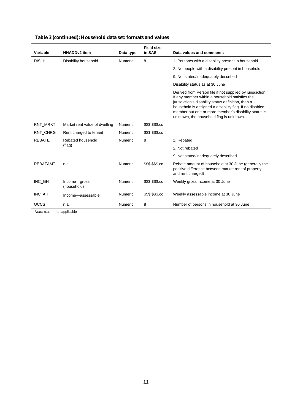|                 |                               |           | <b>Field size</b> |                                                                                                                                                                                                                                                                                                                                  |
|-----------------|-------------------------------|-----------|-------------------|----------------------------------------------------------------------------------------------------------------------------------------------------------------------------------------------------------------------------------------------------------------------------------------------------------------------------------|
| Variable        | <b>NHADDv2</b> item           | Data type | in SAS            | Data values and comments                                                                                                                                                                                                                                                                                                         |
| DIS_H           | Disability household          | Numeric   | 8                 | 1. Person/s with a disability present in household                                                                                                                                                                                                                                                                               |
|                 |                               |           |                   | 2. No people with a disability present in household                                                                                                                                                                                                                                                                              |
|                 |                               |           |                   | 9. Not stated/inadequately described                                                                                                                                                                                                                                                                                             |
|                 |                               |           |                   | Disability status as at 30 June                                                                                                                                                                                                                                                                                                  |
|                 |                               |           |                   | Derived from Person file if not supplied by jurisdiction.<br>If any member within a household satisfies the<br>jurisdiction's disability status definition, then a<br>household is assigned a disability flag. If no disabled<br>member but one or more member's disability status is<br>unknown, the household flag is unknown. |
| RNT MRKT        | Market rent value of dwelling | Numeric   | \$\$\$,\$\$\$.cc  |                                                                                                                                                                                                                                                                                                                                  |
| RNT_CHRG        | Rent charged to tenant        | Numeric   | \$\$\$,\$\$\$.cc  |                                                                                                                                                                                                                                                                                                                                  |
| <b>REBATE</b>   | Rebated household             | Numeric   | 8                 | 1. Rebated                                                                                                                                                                                                                                                                                                                       |
|                 | (flag)                        |           |                   | 2. Not rebated                                                                                                                                                                                                                                                                                                                   |
|                 |                               |           |                   | 9. Not stated/inadequately described                                                                                                                                                                                                                                                                                             |
| <b>REBATAMT</b> | n.a.                          | Numeric   | \$\$\$,\$\$\$.cc  | Rebate amount of household at 30 June (generally the<br>positive difference between market rent of property<br>and rent charged)                                                                                                                                                                                                 |
| INC_GH          | Income-gross<br>(household)   | Numeric   | \$\$\$,\$\$\$.cc  | Weekly gross income at 30 June                                                                                                                                                                                                                                                                                                   |
| INC_AH          | Income-assessable             | Numeric   | \$\$\$,\$\$\$.cc  | Weekly assessable income at 30 June                                                                                                                                                                                                                                                                                              |
| <b>OCCS</b>     | n.a.                          | Numeric   | 8                 | Number of persons in household at 30 June                                                                                                                                                                                                                                                                                        |

#### **Table 3 (continued): Household data set: formats and values**

*Note*: n.a. not applicable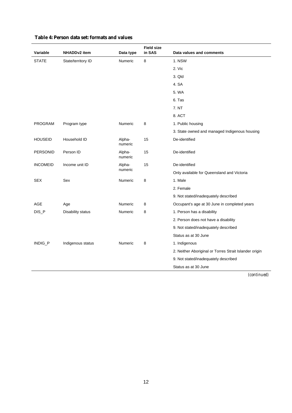| Variable        | <b>NHADDv2</b> item | Data type         | <b>Field size</b><br>in SAS | Data values and comments                               |
|-----------------|---------------------|-------------------|-----------------------------|--------------------------------------------------------|
| <b>STATE</b>    | State/territory ID  | Numeric           | 8                           | 1. NSW                                                 |
|                 |                     |                   |                             | 2. Vic                                                 |
|                 |                     |                   |                             | 3. Qld                                                 |
|                 |                     |                   |                             | 4. SA                                                  |
|                 |                     |                   |                             | 5. WA                                                  |
|                 |                     |                   |                             | 6. Tas                                                 |
|                 |                     |                   |                             | 7. NT                                                  |
|                 |                     |                   |                             | 8. ACT                                                 |
| <b>PROGRAM</b>  | Program type        | <b>Numeric</b>    | 8                           | 1. Public housing                                      |
|                 |                     |                   |                             | 3. State owned and managed Indigenous housing          |
| <b>HOUSEID</b>  | Household ID        | Alpha-<br>numeric | 15                          | De-identified                                          |
| <b>PERSONID</b> | Person ID           | Alpha-<br>numeric | 15                          | De-identified                                          |
| <b>INCOMEID</b> | Income unit ID      | Alpha-            | 15                          | De-identified                                          |
|                 |                     | numeric           |                             | Only available for Queensland and Victoria             |
| <b>SEX</b>      | Sex                 | Numeric           | 8                           | 1. Male                                                |
|                 |                     |                   |                             | 2. Female                                              |
|                 |                     |                   |                             | 9. Not stated/inadequately described                   |
| AGE             | Age                 | Numeric           | 8                           | Occupant's age at 30 June in completed years           |
| DIS_P           | Disability status   | Numeric           | 8                           | 1. Person has a disability                             |
|                 |                     |                   |                             | 2. Person does not have a disability                   |
|                 |                     |                   |                             | 9. Not stated/inadequately described                   |
|                 |                     |                   |                             | Status as at 30 June                                   |
| INDIG_P         | Indigenous status   | <b>Numeric</b>    | 8                           | 1. Indigenous                                          |
|                 |                     |                   |                             | 2. Neither Aboriginal or Torres Strait Islander origin |
|                 |                     |                   |                             | 9. Not stated/inadequately described                   |
|                 |                     |                   |                             | Status as at 30 June                                   |

#### **Table 4: Person data set: formats and values**

*(continued)*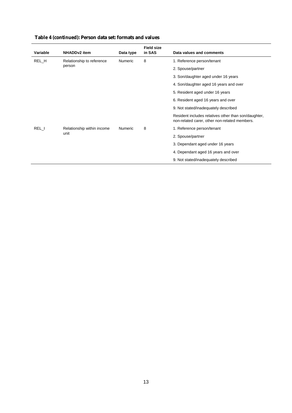| Variable                                    | <b>NHADDv2</b> item       | Data type | <b>Field size</b><br>in SAS | Data values and comments                                                                              |
|---------------------------------------------|---------------------------|-----------|-----------------------------|-------------------------------------------------------------------------------------------------------|
| REL_H                                       | Relationship to reference | Numeric   | 8                           | 1. Reference person/tenant                                                                            |
|                                             | person                    |           |                             | 2. Spouse/partner                                                                                     |
|                                             |                           |           |                             | 3. Son/daughter aged under 16 years                                                                   |
|                                             |                           |           |                             | 4. Son/daughter aged 16 years and over                                                                |
|                                             |                           |           |                             | 5. Resident aged under 16 years                                                                       |
|                                             |                           |           |                             | 6. Resident aged 16 years and over                                                                    |
|                                             |                           |           |                             | 9. Not stated/inadequately described                                                                  |
|                                             |                           |           |                             | Resident includes relatives other than son/daughter,<br>non-related carer, other non-related members. |
| REL I<br>Relationship within income<br>unit |                           | Numeric   | 8                           | 1. Reference person/tenant                                                                            |
|                                             |                           |           |                             | 2. Spouse/partner                                                                                     |
|                                             |                           |           |                             | 3. Dependant aged under 16 years                                                                      |
|                                             |                           |           |                             | 4. Dependant aged 16 years and over                                                                   |
|                                             |                           |           |                             | 9. Not stated/inadequately described                                                                  |

#### **Table 4 (continued): Person data set: formats and values**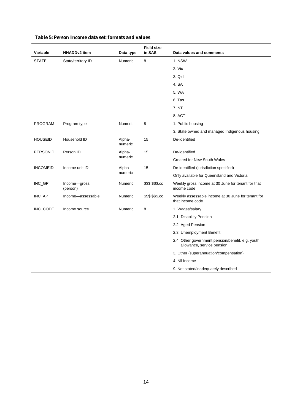| Variable        | <b>NHADDv2</b> item      | Data type         | <b>Field size</b><br>in SAS | Data values and comments                                                        |
|-----------------|--------------------------|-------------------|-----------------------------|---------------------------------------------------------------------------------|
| <b>STATE</b>    | State/territory ID       | Numeric           | 8                           | 1. NSW                                                                          |
|                 |                          |                   |                             | 2. Vic                                                                          |
|                 |                          |                   |                             | 3. Qld                                                                          |
|                 |                          |                   |                             | 4. SA                                                                           |
|                 |                          |                   |                             | 5. WA                                                                           |
|                 |                          |                   |                             | 6. Tas                                                                          |
|                 |                          |                   |                             | 7. NT                                                                           |
|                 |                          |                   |                             | 8. ACT                                                                          |
| <b>PROGRAM</b>  | Program type             | <b>Numeric</b>    | 8                           | 1. Public housing                                                               |
|                 |                          |                   |                             | 3. State owned and managed Indigenous housing                                   |
| <b>HOUSEID</b>  | Household ID             | Alpha-<br>numeric | 15                          | De-identified                                                                   |
| <b>PERSONID</b> | Person ID                | Alpha-            | 15                          | De-identified                                                                   |
|                 |                          | numeric           |                             | <b>Created for New South Wales</b>                                              |
| <b>INCOMEID</b> | Income unit ID           | Alpha-            | 15                          | De-identified (jurisdiction specified)                                          |
|                 |                          | numeric           |                             | Only available for Queensland and Victoria                                      |
| INC_GP          | Income-gross<br>(person) | Numeric           | \$\$\$,\$\$\$.cc            | Weekly gross income at 30 June for tenant for that<br>income code               |
| INC_AP          | Income-assessable        | Numeric           | \$\$\$,\$\$\$.cc            | Weekly assessable income at 30 June for tenant for<br>that income code          |
| INC_CODE        | Income source            | Numeric           | 8                           | 1. Wages/salary                                                                 |
|                 |                          |                   |                             | 2.1. Disability Pension                                                         |
|                 |                          |                   |                             | 2.2. Aged Pension                                                               |
|                 |                          |                   |                             | 2.3. Unemployment Benefit                                                       |
|                 |                          |                   |                             | 2.4. Other government pension/benefit, e.g. youth<br>allowance, service pension |
|                 |                          |                   |                             | 3. Other (superannuation/compensation)                                          |
|                 |                          |                   |                             | 4. Nil Income                                                                   |
|                 |                          |                   |                             | 9. Not stated/inadequately described                                            |

#### **Table 5: Person Income data set: formats and values**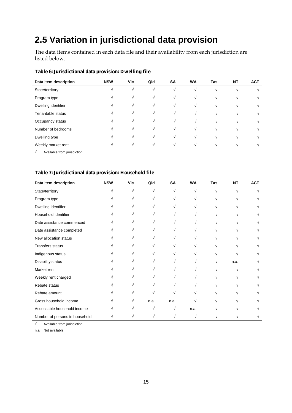## **2.5 Variation in jurisdictional data provision**

The data items contained in each data file and their availability from each jurisdiction are listed below.

| Table 6: Jurisdictional data provision: Dwelling file |  |
|-------------------------------------------------------|--|
|-------------------------------------------------------|--|

| Data item description | <b>NSW</b> | Vic                      | Qld    | <b>SA</b> | <b>WA</b>  | Tas        | <b>NT</b> | <b>ACT</b> |
|-----------------------|------------|--------------------------|--------|-----------|------------|------------|-----------|------------|
| State/territory       |            |                          |        |           |            |            |           |            |
| Program type          |            | $\overline{\phantom{a}}$ | $\sim$ | V         | $\sqrt{ }$ | $\sim$     | $\Delta$  |            |
| Dwelling identifier   |            | $\Delta$                 | $\sim$ | N         | N          | N          | $\Delta$  |            |
| Tenantable status     |            | $\sim$                   | $\sim$ | N         | N          | N          | $\sim$    |            |
| Occupancy status      |            | $\Delta$                 | ΔI     | N         | N          | $\sqrt{ }$ | $\sim$    |            |
| Number of bedrooms    | V          | $\Delta$                 |        | N         | N          | $\sqrt{ }$ | $\sim$    |            |
| Dwelling type         |            |                          |        |           | $\sqrt{ }$ | N          |           |            |
| Weekly market rent    |            |                          |        |           |            |            |           |            |

 $\frac{1}{\sqrt{2\pi}}$  Available from jurisdiction.

#### **Table 7: Jurisdictional data provision: Household file**

| Data item description          | <b>NSW</b> | <b>Vic</b> | Qld  | <b>SA</b>  | <b>WA</b> | Tas | <b>NT</b> | <b>ACT</b> |
|--------------------------------|------------|------------|------|------------|-----------|-----|-----------|------------|
| State/territory                |            | V          | N    | $\sqrt{ }$ | V         | V   | N         |            |
| Program type                   |            |            |      | V          |           |     |           |            |
| Dwelling identifier            |            |            |      |            |           |     |           |            |
| Household identifier           |            |            |      |            |           |     |           |            |
| Date assistance commenced      |            |            |      |            |           |     |           |            |
| Date assistance completed      |            |            |      |            |           |     |           |            |
| New allocation status          |            |            |      |            |           |     |           |            |
| <b>Transfers status</b>        |            |            |      |            |           |     |           |            |
| Indigenous status              |            |            |      |            |           |     |           |            |
| Disability status              |            |            |      |            |           |     | n.a.      |            |
| Market rent                    |            |            |      |            |           |     |           |            |
| Weekly rent charged            |            |            |      |            |           |     |           |            |
| Rebate status                  |            |            |      |            |           |     |           |            |
| Rebate amount                  |            |            |      |            |           |     |           |            |
| Gross household income         |            |            | n.a. | n.a.       |           |     |           |            |
| Assessable household income    |            |            |      | V          | n.a.      |     |           |            |
| Number of persons in household |            |            |      |            |           |     |           |            |

√ Available from jurisdiction.

n.a. Not available.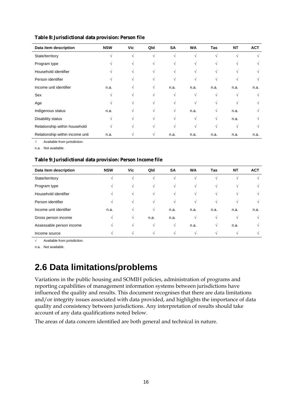| Data item description           | <b>NSW</b> | Vic | Qld | SA   | <b>WA</b> | Tas  | <b>NT</b>  | <b>ACT</b> |
|---------------------------------|------------|-----|-----|------|-----------|------|------------|------------|
| State/territory                 |            | V   |     | V    |           |      |            |            |
| Program type                    |            | N   |     | V    |           |      |            |            |
| Household identifier            |            |     |     | V    |           |      |            |            |
| Person identifier               |            |     |     | V    |           |      |            |            |
| Income unit identifier          | n.a.       | N   | N   | n.a. | n.a.      | n.a. | n.a.       | n.a.       |
| Sex                             |            |     |     | V    | V         |      | $\sqrt{ }$ |            |
| Age                             |            |     |     | V    |           |      |            |            |
| Indigenous status               | n.a.       |     |     | V    | n.a.      |      | n.a.       |            |
| Disability status               | N          |     |     | V    | V         | V    | n.a.       |            |
| Relationship within household   | N          |     |     | V    |           |      | $\sqrt{ }$ |            |
| Relationship within income unit | n.a.       |     |     | n.a. | n.a.      | n.a. | n.a.       | n.a.       |

#### **Table 8: Jurisdictional data provision: Person file**

√ Available from jurisdiction.

n.a. Not available.

#### **Table 9: Jurisdictional data provision: Person Income file**

| Data item description    | <b>NSW</b> | Vic | Qld      | <b>SA</b> | <b>WA</b> | Tas        | <b>NT</b> | <b>ACT</b> |
|--------------------------|------------|-----|----------|-----------|-----------|------------|-----------|------------|
| State/territory          | N          | N   |          | V         |           | $\sqrt{ }$ |           |            |
| Program type             |            | V   |          | V         | V         | N          |           |            |
| Household identifier     | N          | V   |          | V         | V         | $\sqrt{ }$ |           |            |
| Person identifier        |            | N   |          | V         | V         | N          |           | V          |
| Income unit identifier   | n.a.       |     | V        | n.a.      | n.a.      | n.a.       | n.a.      | n.a.       |
| Gross person income      | N          | V   | n.a.     | n.a.      | V         | V          |           |            |
| Assessable person income | N          | N   | $\Delta$ | V         | n.a.      | N          | n.a.      | N          |
| Income source            |            |     |          | V         |           |            |           |            |

√ Available from jurisdiction.

n.a. Not available.

### **2.6 Data limitations/problems**

Variations in the public housing and SOMIH policies, administration of programs and reporting capabilities of management information systems between jurisdictions have influenced the quality and results. This document recognises that there are data limitations and/or integrity issues associated with data provided, and highlights the importance of data quality and consistency between jurisdictions. Any interpretation of results should take account of any data qualifications noted below.

The areas of data concern identified are both general and technical in nature.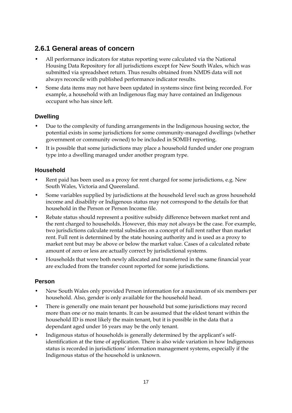#### **2.6.1 General areas of concern**

- All performance indicators for status reporting were calculated via the National Housing Data Repository for all jurisdictions except for New South Wales, which was submitted via spreadsheet return. Thus results obtained from NMDS data will not always reconcile with published performance indicator results.
- Some data items may not have been updated in systems since first being recorded. For example, a household with an Indigenous flag may have contained an Indigenous occupant who has since left.

#### **Dwelling**

- Due to the complexity of funding arrangements in the Indigenous housing sector, the potential exists in some jurisdictions for some community-managed dwellings (whether government or community owned) to be included in SOMIH reporting.
- It is possible that some jurisdictions may place a household funded under one program type into a dwelling managed under another program type.

#### **Household**

- Rent paid has been used as a proxy for rent charged for some jurisdictions, e.g. New South Wales, Victoria and Queensland.
- Some variables supplied by jurisdictions at the household level such as gross household income and disability or Indigenous status may not correspond to the details for that household in the Person or Person Income file.
- Rebate status should represent a positive subsidy difference between market rent and the rent charged to households. However, this may not always be the case. For example, two jurisdictions calculate rental subsidies on a concept of full rent rather than market rent. Full rent is determined by the state housing authority and is used as a proxy to market rent but may be above or below the market value. Cases of a calculated rebate amount of zero or less are actually correct by jurisdictional systems.
- Households that were both newly allocated and transferred in the same financial year are excluded from the transfer count reported for some jurisdictions.

#### **Person**

- New South Wales only provided Person information for a maximum of six members per household. Also, gender is only available for the household head.
- There is generally one main tenant per household but some jurisdictions may record more than one or no main tenants. It can be assumed that the eldest tenant within the household ID is most likely the main tenant, but it is possible in the data that a dependant aged under 16 years may be the only tenant.
- Indigenous status of households is generally determined by the applicant's selfidentification at the time of application. There is also wide variation in how Indigenous status is recorded in jurisdictions' information management systems, especially if the Indigenous status of the household is unknown.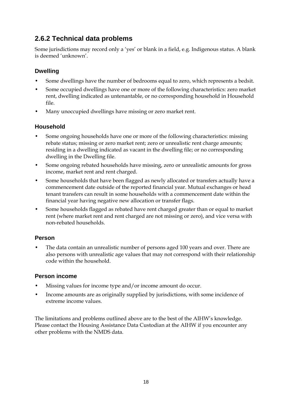#### **2.6.2 Technical data problems**

Some jurisdictions may record only a 'yes' or blank in a field, e.g. Indigenous status. A blank is deemed 'unknown'.

#### **Dwelling**

- Some dwellings have the number of bedrooms equal to zero, which represents a bedsit.
- Some occupied dwellings have one or more of the following characteristics: zero market rent, dwelling indicated as untenantable, or no corresponding household in Household file.
- Many unoccupied dwellings have missing or zero market rent.

#### **Household**

- Some ongoing households have one or more of the following characteristics: missing rebate status; missing or zero market rent; zero or unrealistic rent charge amounts; residing in a dwelling indicated as vacant in the dwelling file; or no corresponding dwelling in the Dwelling file.
- Some ongoing rebated households have missing, zero or unrealistic amounts for gross income, market rent and rent charged.
- Some households that have been flagged as newly allocated or transfers actually have a commencement date outside of the reported financial year. Mutual exchanges or head tenant transfers can result in some households with a commencement date within the financial year having negative new allocation or transfer flags.
- Some households flagged as rebated have rent charged greater than or equal to market rent (where market rent and rent charged are not missing or zero), and vice versa with non-rebated households.

#### **Person**

• The data contain an unrealistic number of persons aged 100 years and over. There are also persons with unrealistic age values that may not correspond with their relationship code within the household.

#### **Person income**

- Missing values for income type and/or income amount do occur.
- Income amounts are as originally supplied by jurisdictions, with some incidence of extreme income values.

The limitations and problems outlined above are to the best of the AIHW's knowledge. Please contact the Housing Assistance Data Custodian at the AIHW if you encounter any other problems with the NMDS data.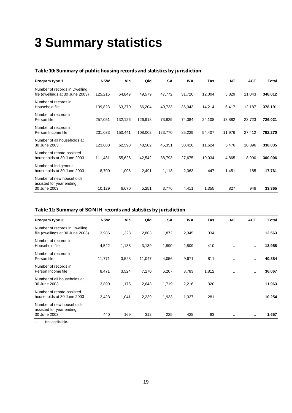## **3 Summary statistics**

| Program type 1                                                    | <b>NSW</b> | Vic     | Qld     | <b>SA</b> | <b>WA</b> | Tas    | <b>NT</b> | <b>ACT</b> | Total   |
|-------------------------------------------------------------------|------------|---------|---------|-----------|-----------|--------|-----------|------------|---------|
| Number of records in Dwelling<br>file (dwellings at 30 June 2003) | 125,216    | 64,849  | 49,579  | 47,772    | 31,720    | 12,004 | 5,829     | 11,043     | 348,012 |
| Number of records in<br>Household file                            | 139,823    | 63,270  | 56,204  | 49,733    | 36,343    | 14,214 | 6,417     | 12,187     | 378,191 |
| Number of records in<br>Person file                               | 257,051    | 132,126 | 126,918 | 73,829    | 74,384    | 24,108 | 13,882    | 23,723     | 726,021 |
| Number of records in<br>Person Income file                        | 231,033    | 150,441 | 108,002 | 123,770   | 85,229    | 54,407 | 11,976    | 27,412     | 792,270 |
| Number of all households at<br>30 June 2003                       | 123,088    | 62,598  | 48,582  | 45,351    | 30,420    | 11,624 | 5,476     | 10,896     | 338,035 |
| Number of rebate-assisted<br>households at 30 June 2003           | 111,481    | 55,626  | 42,542  | 38,793    | 27,675    | 10,034 | 4,865     | 8,990      | 300,006 |
| Number of Indigenous<br>households at 30 June 2003                | 8,700      | 1,006   | 2,491   | 1,118     | 2,363     | 447    | 1,451     | 185        | 17,761  |
| Number of new households<br>assisted for year ending              |            |         |         |           |           |        |           |            |         |
| 30 June 2003                                                      | 10,129     | 6,670   | 5,251   | 3,776     | 4,411     | 1,355  | 827       | 946        | 33,365  |

#### **Table 10: Summary of public housing records and statistics by jurisdiction**

#### **Table 11: Summary of SOMIH records and statistics by jurisdiction**

| Program type 3                                                       | <b>NSW</b> | Vic   | Qld    | <b>SA</b> | <b>WA</b> | Tas   | <b>NT</b> | <b>ACT</b>           | <b>Total</b> |
|----------------------------------------------------------------------|------------|-------|--------|-----------|-----------|-------|-----------|----------------------|--------------|
| Number of records in Dwelling<br>file (dwellings at 30 June 2003)    | 3,986      | 1,223 | 2,803  | 1,872     | 2,345     | 334   | $\ddotsc$ | $\ddot{\phantom{a}}$ | 12,563       |
| Number of records in<br>Household file                               | 4,522      | 1,188 | 3,139  | 1,890     | 2,809     | 410   | $\ddotsc$ |                      | 13,958       |
| Number of records in<br>Person file                                  | 11,771     | 3,528 | 11,047 | 4,056     | 9,671     | 811   | $\cdot$ . | $\ddot{\phantom{a}}$ | 40,884       |
| Number of records in<br>Person Income file                           | 8,471      | 3,524 | 7,270  | 6,207     | 8,783     | 1,812 | $\cdot$ . |                      | 36,067       |
| Number of all households at<br>30 June 2003                          | 3,890      | 1,175 | 2,643  | 1,719     | 2,216     | 320   | $\ddotsc$ | $\cdot$ .            | 11,963       |
| Number of rebate-assisted<br>households at 30 June 2003              | 3,423      | 1,041 | 2,239  | 1,933     | 1,337     | 281   | $\cdot$ . |                      | 10,254       |
| Number of new households<br>assisted for year ending<br>30 June 2003 | 440        | 169   | 312    | 225       | 428       | 83    |           |                      | 1,657        |

. . Not applicable.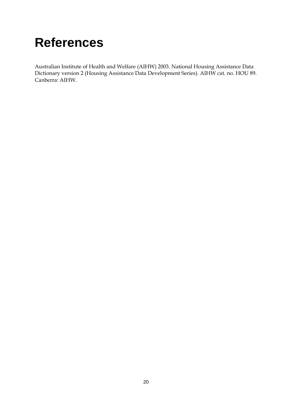## **References**

Australian Institute of Health and Welfare (AIHW) 2003. National Housing Assistance Data Dictionary version 2 (Housing Assistance Data Development Series). AIHW cat. no. HOU 89. Canberra: AIHW.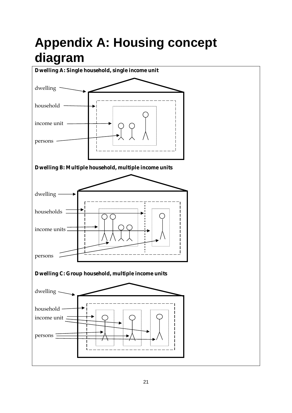## **Appendix A: Housing concept diagram**

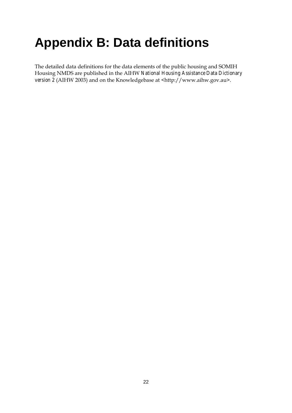## **Appendix B: Data definitions**

The detailed data definitions for the data elements of the public housing and SOMIH Housing NMDS are published in the AIHW *National Housing Assistance Data Dictionary version 2* (AIHW 2003) and on the Knowledgebase at <http://www.aihw.gov.au>.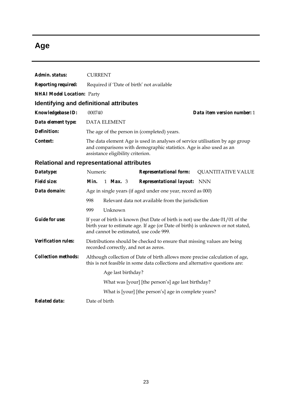## **Age**

| Admin. status:                    | <b>CURRENT</b>                                                                                                                                                                                                |  |  |  |  |  |  |
|-----------------------------------|---------------------------------------------------------------------------------------------------------------------------------------------------------------------------------------------------------------|--|--|--|--|--|--|
| <b>Reporting required:</b>        | Required if 'Date of birth' not available                                                                                                                                                                     |  |  |  |  |  |  |
| <b>NHAI Model Location: Party</b> |                                                                                                                                                                                                               |  |  |  |  |  |  |
|                                   | Identifying and definitional attributes                                                                                                                                                                       |  |  |  |  |  |  |
| Knowledgebase ID:                 | 000740<br>Data item version number: 1                                                                                                                                                                         |  |  |  |  |  |  |
| Data element type:                | <b>DATA ELEMENT</b>                                                                                                                                                                                           |  |  |  |  |  |  |
| Definition:                       | The age of the person in (completed) years.                                                                                                                                                                   |  |  |  |  |  |  |
| Context:                          | The data element Age is used in analyses of service utilisation by age group<br>and comparisons with demographic statistics. Age is also used as an<br>assistance eligibility criterion.                      |  |  |  |  |  |  |
|                                   | <b>Relational and representational attributes</b>                                                                                                                                                             |  |  |  |  |  |  |
| Datatype:                         | Numeric<br><b>Representational form:</b><br><b>QUANTITATIVE VALUE</b>                                                                                                                                         |  |  |  |  |  |  |
| <b>Field size:</b>                | Min.<br>1 <i>Max.</i> 3<br><b>Representational layout:</b> NNN                                                                                                                                                |  |  |  |  |  |  |
| Data domain:                      | Age in single years (if aged under one year, record as 000)                                                                                                                                                   |  |  |  |  |  |  |
|                                   | 998<br>Relevant data not available from the jurisdiction                                                                                                                                                      |  |  |  |  |  |  |
|                                   | Unknown<br>999                                                                                                                                                                                                |  |  |  |  |  |  |
| <b>Guide for use:</b>             | If year of birth is known (but Date of birth is not) use the date $01/01$ of the<br>birth year to estimate age. If age (or Date of birth) is unknown or not stated,<br>and cannot be estimated, use code 999. |  |  |  |  |  |  |
| <b>Verification rules:</b>        | Distributions should be checked to ensure that missing values are being<br>recorded correctly, and not as zeros.                                                                                              |  |  |  |  |  |  |
| <b>Collection methods:</b>        | Although collection of Date of birth allows more precise calculation of age,<br>this is not feasible in some data collections and alternative questions are:                                                  |  |  |  |  |  |  |
|                                   | Age last birthday?                                                                                                                                                                                            |  |  |  |  |  |  |
|                                   | What was [your] [the person's] age last birthday?                                                                                                                                                             |  |  |  |  |  |  |
|                                   | What is [your] [the person's] age in complete years?                                                                                                                                                          |  |  |  |  |  |  |
| <b>Related data:</b>              | Date of birth                                                                                                                                                                                                 |  |  |  |  |  |  |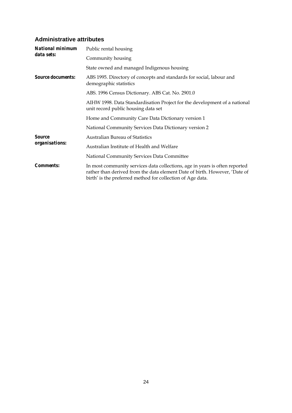#### **Administrative attributes**

| National minimum         | Public rental housing                                                                                                                                                                                                   |  |  |  |  |  |
|--------------------------|-------------------------------------------------------------------------------------------------------------------------------------------------------------------------------------------------------------------------|--|--|--|--|--|
| data sets:               | Community housing                                                                                                                                                                                                       |  |  |  |  |  |
|                          | State owned and managed Indigenous housing                                                                                                                                                                              |  |  |  |  |  |
| <i>Source documents:</i> | ABS 1995. Directory of concepts and standards for social, labour and<br>demographic statistics                                                                                                                          |  |  |  |  |  |
|                          | ABS. 1996 Census Dictionary. ABS Cat. No. 2901.0                                                                                                                                                                        |  |  |  |  |  |
|                          | AIHW 1998. Data Standardisation Project for the development of a national<br>unit record public housing data set                                                                                                        |  |  |  |  |  |
|                          | Home and Community Care Data Dictionary version 1                                                                                                                                                                       |  |  |  |  |  |
|                          | National Community Services Data Dictionary version 2                                                                                                                                                                   |  |  |  |  |  |
| <b>Source</b>            | <b>Australian Bureau of Statistics</b>                                                                                                                                                                                  |  |  |  |  |  |
| organisations:           | Australian Institute of Health and Welfare                                                                                                                                                                              |  |  |  |  |  |
|                          | National Community Services Data Committee                                                                                                                                                                              |  |  |  |  |  |
| <i>Comments:</i>         | In most community services data collections, age in years is often reported<br>rather than derived from the data element Date of birth. However, 'Date of<br>birth' is the preferred method for collection of Age data. |  |  |  |  |  |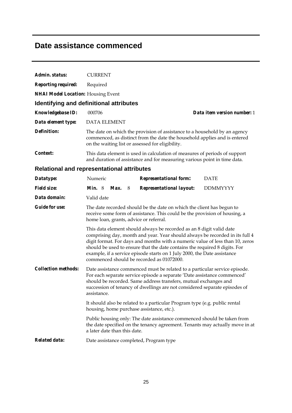### **Date assistance commenced**

| Admin. status:                            | <b>CURRENT</b>                                                                                                                                                                                                                                                                                                                                                                                                                               |  |  |  |  |  |  |
|-------------------------------------------|----------------------------------------------------------------------------------------------------------------------------------------------------------------------------------------------------------------------------------------------------------------------------------------------------------------------------------------------------------------------------------------------------------------------------------------------|--|--|--|--|--|--|
| <b>Reporting required:</b>                | Required                                                                                                                                                                                                                                                                                                                                                                                                                                     |  |  |  |  |  |  |
| <b>NHAI Model Location:</b> Housing Event |                                                                                                                                                                                                                                                                                                                                                                                                                                              |  |  |  |  |  |  |
|                                           | <b>Identifying and definitional attributes</b>                                                                                                                                                                                                                                                                                                                                                                                               |  |  |  |  |  |  |
| <b>Knowledgebase ID:</b>                  | Data item version number: 1<br>000706                                                                                                                                                                                                                                                                                                                                                                                                        |  |  |  |  |  |  |
| Data element type:                        | <b>DATA ELEMENT</b>                                                                                                                                                                                                                                                                                                                                                                                                                          |  |  |  |  |  |  |
| <b>Definition:</b>                        | The date on which the provision of assistance to a household by an agency<br>commenced, as distinct from the date the household applies and is entered<br>on the waiting list or assessed for eligibility.                                                                                                                                                                                                                                   |  |  |  |  |  |  |
| Context:                                  | This data element is used in calculation of measures of periods of support<br>and duration of assistance and for measuring various point in time data.                                                                                                                                                                                                                                                                                       |  |  |  |  |  |  |
|                                           | <b>Relational and representational attributes</b>                                                                                                                                                                                                                                                                                                                                                                                            |  |  |  |  |  |  |
| Datatype:                                 | Numeric<br><b>DATE</b><br><b>Representational form:</b>                                                                                                                                                                                                                                                                                                                                                                                      |  |  |  |  |  |  |
| <b>Field size:</b>                        | <i>Min.</i> $8$<br><b>Representational layout:</b><br><b>DDMMYYYY</b><br>Max.<br>8 <sup>8</sup>                                                                                                                                                                                                                                                                                                                                              |  |  |  |  |  |  |
| Data domain:                              | Valid date                                                                                                                                                                                                                                                                                                                                                                                                                                   |  |  |  |  |  |  |
| <b>Guide for use:</b>                     | The date recorded should be the date on which the client has begun to<br>receive some form of assistance. This could be the provision of housing, a<br>home loan, grants, advice or referral.                                                                                                                                                                                                                                                |  |  |  |  |  |  |
|                                           | This data element should always be recorded as an 8 digit valid date<br>comprising day, month and year. Year should always be recorded in its full 4<br>digit format. For days and months with a numeric value of less than 10, zeros<br>should be used to ensure that the date contains the required 8 digits. For<br>example, if a service episode starts on 1 July 2000, the Date assistance<br>commenced should be recorded as 01072000. |  |  |  |  |  |  |
| <b>Collection methods:</b>                | Date assistance commenced must be related to a particular service episode.<br>For each separate service episode a separate 'Date assistance commenced'<br>should be recorded. Same address transfers, mutual exchanges and<br>succession of tenancy of dwellings are not considered separate episodes of<br>assistance.                                                                                                                      |  |  |  |  |  |  |
|                                           | It should also be related to a particular Program type (e.g. public rental<br>housing, home purchase assistance, etc.).                                                                                                                                                                                                                                                                                                                      |  |  |  |  |  |  |
|                                           | Public housing only: The date assistance commenced should be taken from<br>the date specified on the tenancy agreement. Tenants may actually move in at<br>a later date than this date.                                                                                                                                                                                                                                                      |  |  |  |  |  |  |
| <b>Related data:</b>                      | Date assistance completed, Program type                                                                                                                                                                                                                                                                                                                                                                                                      |  |  |  |  |  |  |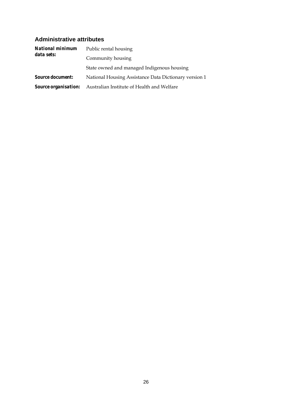#### **Administrative attributes**

| <b>National minimum</b><br>data sets: | Public rental housing                                                  |  |  |  |  |  |
|---------------------------------------|------------------------------------------------------------------------|--|--|--|--|--|
|                                       | Community housing                                                      |  |  |  |  |  |
|                                       | State owned and managed Indigenous housing                             |  |  |  |  |  |
| <i>Source document:</i>               | National Housing Assistance Data Dictionary version 1                  |  |  |  |  |  |
|                                       | <b>Source organisation:</b> Australian Institute of Health and Welfare |  |  |  |  |  |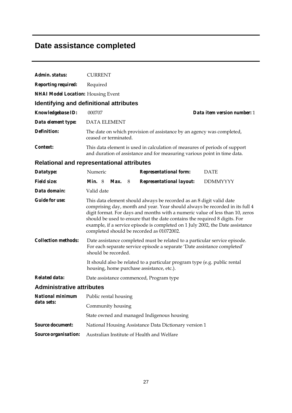## **Date assistance completed**

| Admin. status:                        | <b>CURRENT</b>                                                                                                                                                                                                                                                                                                                                                                                                                                     |  |  |  |  |  |  |
|---------------------------------------|----------------------------------------------------------------------------------------------------------------------------------------------------------------------------------------------------------------------------------------------------------------------------------------------------------------------------------------------------------------------------------------------------------------------------------------------------|--|--|--|--|--|--|
| <b>Reporting required:</b>            | Required                                                                                                                                                                                                                                                                                                                                                                                                                                           |  |  |  |  |  |  |
|                                       | <b>NHAI Model Location: Housing Event</b>                                                                                                                                                                                                                                                                                                                                                                                                          |  |  |  |  |  |  |
|                                       | <b>Identifying and definitional attributes</b>                                                                                                                                                                                                                                                                                                                                                                                                     |  |  |  |  |  |  |
| <b>Knowledgebase ID:</b>              | Data item version number: 1<br>000707                                                                                                                                                                                                                                                                                                                                                                                                              |  |  |  |  |  |  |
| Data element type:                    | <b>DATA ELEMENT</b>                                                                                                                                                                                                                                                                                                                                                                                                                                |  |  |  |  |  |  |
| Definition:                           | The date on which provision of assistance by an agency was completed,<br>ceased or terminated.                                                                                                                                                                                                                                                                                                                                                     |  |  |  |  |  |  |
| Context:                              | This data element is used in calculation of measures of periods of support<br>and duration of assistance and for measuring various point in time data.                                                                                                                                                                                                                                                                                             |  |  |  |  |  |  |
|                                       | <b>Relational and representational attributes</b>                                                                                                                                                                                                                                                                                                                                                                                                  |  |  |  |  |  |  |
| Datatype:                             | Numeric<br><b>Representational form:</b><br><b>DATE</b>                                                                                                                                                                                                                                                                                                                                                                                            |  |  |  |  |  |  |
| <b>Field size:</b>                    | <b>Representational layout:</b><br><b>Min.</b> 8<br>Max.<br>8<br><b>DDMMYYYY</b>                                                                                                                                                                                                                                                                                                                                                                   |  |  |  |  |  |  |
| Data domain:                          | Valid date                                                                                                                                                                                                                                                                                                                                                                                                                                         |  |  |  |  |  |  |
| <b>Guide for use:</b>                 | This data element should always be recorded as an 8 digit valid date<br>comprising day, month and year. Year should always be recorded in its full 4<br>digit format. For days and months with a numeric value of less than 10, zeros<br>should be used to ensure that the date contains the required 8 digits. For<br>example, if a service episode is completed on 1 July 2002, the Date assistance<br>completed should be recorded as 01072002. |  |  |  |  |  |  |
| <b>Collection methods:</b>            | Date assistance completed must be related to a particular service episode.<br>For each separate service episode a separate 'Date assistance completed'<br>should be recorded.                                                                                                                                                                                                                                                                      |  |  |  |  |  |  |
|                                       | It should also be related to a particular program type (e.g. public rental<br>housing, home purchase assistance, etc.).                                                                                                                                                                                                                                                                                                                            |  |  |  |  |  |  |
| <b>Related data:</b>                  | Date assistance commenced, Program type                                                                                                                                                                                                                                                                                                                                                                                                            |  |  |  |  |  |  |
| <b>Administrative attributes</b>      |                                                                                                                                                                                                                                                                                                                                                                                                                                                    |  |  |  |  |  |  |
| <b>National minimum</b><br>data sets: | Public rental housing                                                                                                                                                                                                                                                                                                                                                                                                                              |  |  |  |  |  |  |
|                                       | Community housing                                                                                                                                                                                                                                                                                                                                                                                                                                  |  |  |  |  |  |  |
|                                       | State owned and managed Indigenous housing                                                                                                                                                                                                                                                                                                                                                                                                         |  |  |  |  |  |  |
| <b>Source document:</b>               | National Housing Assistance Data Dictionary version 1                                                                                                                                                                                                                                                                                                                                                                                              |  |  |  |  |  |  |
| Source organisation:                  | Australian Institute of Health and Welfare                                                                                                                                                                                                                                                                                                                                                                                                         |  |  |  |  |  |  |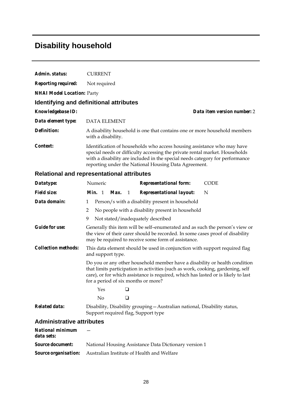### **Disability household**

| Admin. status:                    | <b>CURRENT</b>                                                                                                                                                                                                                                                                                 |
|-----------------------------------|------------------------------------------------------------------------------------------------------------------------------------------------------------------------------------------------------------------------------------------------------------------------------------------------|
| <b>Reporting required:</b>        | Not required                                                                                                                                                                                                                                                                                   |
| <b>NHAI Model Location: Party</b> |                                                                                                                                                                                                                                                                                                |
|                                   | Identifying and definitional attributes                                                                                                                                                                                                                                                        |
| <b>Knowledgebase ID:</b>          | Data item version number: 2                                                                                                                                                                                                                                                                    |
| Data element type:                | <b>DATA ELEMENT</b>                                                                                                                                                                                                                                                                            |
| Definition:                       | A disability household is one that contains one or more household members<br>with a disability.                                                                                                                                                                                                |
| Context:                          | Identification of households who access housing assistance who may have<br>special needs or difficulty accessing the private rental market. Households<br>with a disability are included in the special needs category for performance<br>reporting under the National Housing Data Agreement. |

### **Relational and representational attributes**

| Datatype:                        |                                                                                                                                                                                                                                                                                           |        | Numeric |      |    | <b>Representational form:</b>                   | <b>CODE</b> |  |
|----------------------------------|-------------------------------------------------------------------------------------------------------------------------------------------------------------------------------------------------------------------------------------------------------------------------------------------|--------|---------|------|----|-------------------------------------------------|-------------|--|
| <i>Field size:</i>               |                                                                                                                                                                                                                                                                                           | Min. 1 |         | Max. | -1 | <b>Representational layout:</b>                 | N           |  |
| Data domain:                     | 1                                                                                                                                                                                                                                                                                         |        |         |      |    | Person/s with a disability present in household |             |  |
|                                  | 2<br>No people with a disability present in household                                                                                                                                                                                                                                     |        |         |      |    |                                                 |             |  |
|                                  | 9<br>Not stated/inadequately described                                                                                                                                                                                                                                                    |        |         |      |    |                                                 |             |  |
| <b>Guide for use:</b>            | Generally this item will be self-enumerated and as such the person's view or<br>the view of their carer should be recorded. In some cases proof of disability<br>may be required to receive some form of assistance.                                                                      |        |         |      |    |                                                 |             |  |
| <i>Collection methods:</i>       | This data element should be used in conjunction with support required flag<br>and support type.                                                                                                                                                                                           |        |         |      |    |                                                 |             |  |
|                                  | Do you or any other household member have a disability or health condition<br>that limits participation in activities (such as work, cooking, gardening, self<br>care), or for which assistance is required, which has lasted or is likely to last<br>for a period of six months or more? |        |         |      |    |                                                 |             |  |
|                                  |                                                                                                                                                                                                                                                                                           |        | Yes     |      | ◻  |                                                 |             |  |
|                                  |                                                                                                                                                                                                                                                                                           |        | No      |      | ❏  |                                                 |             |  |
| <b>Related data:</b>             | Disability, Disability grouping - Australian national, Disability status,<br>Support required flag, Support type                                                                                                                                                                          |        |         |      |    |                                                 |             |  |
| <b>Administrative attributes</b> |                                                                                                                                                                                                                                                                                           |        |         |      |    |                                                 |             |  |

| National minimum<br>data sets: |                                                                        |
|--------------------------------|------------------------------------------------------------------------|
| <i>Source document:</i>        | National Housing Assistance Data Dictionary version 1                  |
|                                | <b>Source organisation:</b> Australian Institute of Health and Welfare |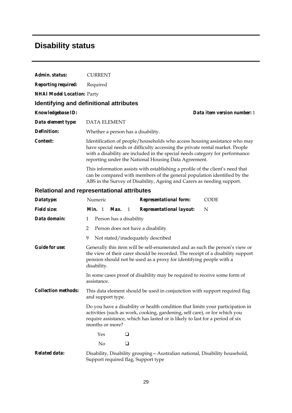### **Disability status**

| Admin. status:                                    | <b>CURRENT</b>                                                                                                                                                                                                                                                                                    |  |  |  |  |  |  |  |
|---------------------------------------------------|---------------------------------------------------------------------------------------------------------------------------------------------------------------------------------------------------------------------------------------------------------------------------------------------------|--|--|--|--|--|--|--|
| <b>Reporting required:</b>                        | Required                                                                                                                                                                                                                                                                                          |  |  |  |  |  |  |  |
| <b>NHAI Model Location: Party</b>                 |                                                                                                                                                                                                                                                                                                   |  |  |  |  |  |  |  |
| Identifying and definitional attributes           |                                                                                                                                                                                                                                                                                                   |  |  |  |  |  |  |  |
| Knowledgebase ID:                                 | Data item version number: 1                                                                                                                                                                                                                                                                       |  |  |  |  |  |  |  |
| Data element type:                                | <b>DATA ELEMENT</b>                                                                                                                                                                                                                                                                               |  |  |  |  |  |  |  |
| <b>Definition:</b>                                | Whether a person has a disability.                                                                                                                                                                                                                                                                |  |  |  |  |  |  |  |
| Context:                                          | Identification of people/households who access housing assistance who may<br>have special needs or difficulty accessing the private rental market. People<br>with a disability are included in the special needs category for performance<br>reporting under the National Housing Data Agreement. |  |  |  |  |  |  |  |
|                                                   | This information assists with establishing a profile of the client's need that<br>can be compared with members of the general population identified by the<br>ABS in the Survey of Disability, Ageing and Carers as needing support.                                                              |  |  |  |  |  |  |  |
| <b>Relational and representational attributes</b> |                                                                                                                                                                                                                                                                                                   |  |  |  |  |  |  |  |
| Datatype:                                         | Numeric<br><b>Representational form:</b><br><b>CODE</b>                                                                                                                                                                                                                                           |  |  |  |  |  |  |  |
| <b>Field size:</b>                                | Min. 1<br><b>Representational layout:</b><br>N<br>Max.<br>$\mathbf{1}$                                                                                                                                                                                                                            |  |  |  |  |  |  |  |
| Data domain:                                      | Person has a disability<br>1                                                                                                                                                                                                                                                                      |  |  |  |  |  |  |  |
|                                                   | 2<br>Person does not have a disability                                                                                                                                                                                                                                                            |  |  |  |  |  |  |  |
|                                                   | 9<br>Not stated/inadequately described                                                                                                                                                                                                                                                            |  |  |  |  |  |  |  |
| <b>Guide for use:</b>                             | Generally this item will be self-enumerated and as such the person's view or<br>the view of their carer should be recorded. The receipt of a disability support<br>pension should not be used as a proxy for identifying people with a<br>disability.                                             |  |  |  |  |  |  |  |
|                                                   | In some cases proof of disability may be required to receive some form of                                                                                                                                                                                                                         |  |  |  |  |  |  |  |

*Collection methods:* This data element should be used in conjunction with support required flag and support type.

> Do you have a disability or health condition that limits your participation in activities (such as work, cooking, gardening, self care), or for which you require assistance, which has lasted or is likely to last for a period of six months or more?

 $Yes$   $\Box$ No  $\qquad \qquad \Box$ 

assistance.

*Related data:* Disability, Disability grouping—Australian national, Disability household, Support required flag, Support type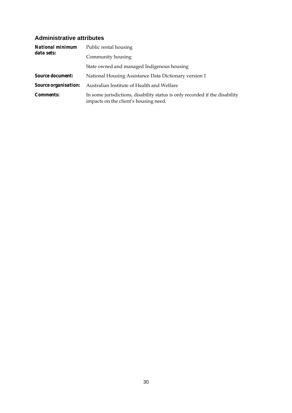#### **Administrative attributes**

| <b>National minimum</b><br>data sets: | Public rental housing                                                                                                |  |  |  |  |
|---------------------------------------|----------------------------------------------------------------------------------------------------------------------|--|--|--|--|
|                                       | Community housing                                                                                                    |  |  |  |  |
|                                       | State owned and managed Indigenous housing                                                                           |  |  |  |  |
| <b>Source document:</b>               | National Housing Assistance Data Dictionary version 1                                                                |  |  |  |  |
| <i>Source organisation:</i>           | Australian Institute of Health and Welfare                                                                           |  |  |  |  |
| <i>Comments:</i>                      | In some jurisdictions, disability status is only recorded if the disability<br>impacts on the client's housing need. |  |  |  |  |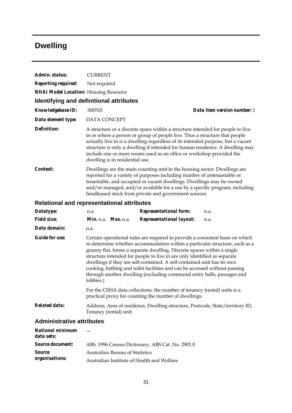## **Dwelling**

| Admin. status:                                    | <b>CURRENT</b>                                                                                                                                                                                                                                                                                                                                                                                                                                                                                                                                                      |                                 |                                                                                                                                                                                                                                                                                                                                                                                                         |                             |
|---------------------------------------------------|---------------------------------------------------------------------------------------------------------------------------------------------------------------------------------------------------------------------------------------------------------------------------------------------------------------------------------------------------------------------------------------------------------------------------------------------------------------------------------------------------------------------------------------------------------------------|---------------------------------|---------------------------------------------------------------------------------------------------------------------------------------------------------------------------------------------------------------------------------------------------------------------------------------------------------------------------------------------------------------------------------------------------------|-----------------------------|
| <b>Reporting required:</b>                        | Not required                                                                                                                                                                                                                                                                                                                                                                                                                                                                                                                                                        |                                 |                                                                                                                                                                                                                                                                                                                                                                                                         |                             |
| NHAI Model Location: Housing Resource             |                                                                                                                                                                                                                                                                                                                                                                                                                                                                                                                                                                     |                                 |                                                                                                                                                                                                                                                                                                                                                                                                         |                             |
| <b>Identifying and definitional attributes</b>    |                                                                                                                                                                                                                                                                                                                                                                                                                                                                                                                                                                     |                                 |                                                                                                                                                                                                                                                                                                                                                                                                         |                             |
| <b>Knowledgebase ID:</b>                          | 000765                                                                                                                                                                                                                                                                                                                                                                                                                                                                                                                                                              |                                 |                                                                                                                                                                                                                                                                                                                                                                                                         | Data item version number: 1 |
| Data element type:                                | DATA CONCEPT                                                                                                                                                                                                                                                                                                                                                                                                                                                                                                                                                        |                                 |                                                                                                                                                                                                                                                                                                                                                                                                         |                             |
| <b>Definition:</b>                                |                                                                                                                                                                                                                                                                                                                                                                                                                                                                                                                                                                     | dwelling is in residential use. | A structure or a discrete space within a structure intended for people to live<br>in or where a person or group of people live. Thus a structure that people<br>actually live in is a dwelling regardless of its intended purpose, but a vacant<br>structure is only a dwelling if intended for human residence. A dwelling may<br>include one or more rooms used as an office or workshop provided the |                             |
| Context:                                          | Dwellings are the main counting unit in the housing sector. Dwellings are<br>reported for a variety of purposes including number of untenantable or<br>tenantable, and occupied or vacant dwellings. Dwellings may be owned<br>and/or managed, and/or available for a use by a specific program, including<br>headleased stock from private and government sources.                                                                                                                                                                                                 |                                 |                                                                                                                                                                                                                                                                                                                                                                                                         |                             |
| <b>Relational and representational attributes</b> |                                                                                                                                                                                                                                                                                                                                                                                                                                                                                                                                                                     |                                 |                                                                                                                                                                                                                                                                                                                                                                                                         |                             |
| Datatype:                                         | n.a.                                                                                                                                                                                                                                                                                                                                                                                                                                                                                                                                                                |                                 | <b>Representational form:</b>                                                                                                                                                                                                                                                                                                                                                                           | n.a.                        |
| <b>Field size:</b>                                |                                                                                                                                                                                                                                                                                                                                                                                                                                                                                                                                                                     | Min. n.a. Max. n.a.             | <b>Representational layout:</b>                                                                                                                                                                                                                                                                                                                                                                         | n.a.                        |
| Data domain:                                      | n.a.                                                                                                                                                                                                                                                                                                                                                                                                                                                                                                                                                                |                                 |                                                                                                                                                                                                                                                                                                                                                                                                         |                             |
| <b>Guide for use:</b>                             | Certain operational rules are required to provide a consistent basis on which<br>to determine whether accommodation within a particular structure, such as a<br>granny flat, forms a separate dwelling. Discrete spaces within a single<br>structure intended for people to live in are only identified as separate<br>dwellings if they are self-contained. A self-contained unit has its own<br>cooking, bathing and toilet facilities and can be accessed without passing<br>through another dwelling (excluding communal entry halls, passages and<br>lobbies.) |                                 |                                                                                                                                                                                                                                                                                                                                                                                                         |                             |
|                                                   |                                                                                                                                                                                                                                                                                                                                                                                                                                                                                                                                                                     |                                 | For the CSHA data collections, the number of tenancy (rental) units is a<br>practical proxy for counting the number of dwellings.                                                                                                                                                                                                                                                                       |                             |
| <b>Related data:</b>                              |                                                                                                                                                                                                                                                                                                                                                                                                                                                                                                                                                                     | Tenancy (rental) unit           | Address, Area of residence, Dwelling structure, Postcode, State/territory ID,                                                                                                                                                                                                                                                                                                                           |                             |

| <b>National minimum</b><br>data sets: |                                                  |
|---------------------------------------|--------------------------------------------------|
| <i>Source document:</i>               | ABS. 1996 Census Dictionary. ABS Cat. No. 2901.0 |
| <i>Source</i>                         | <b>Australian Bureau of Statistics</b>           |
| organisations:                        | Australian Institute of Health and Welfare       |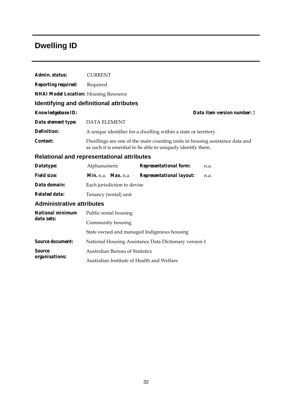## **Dwelling ID**

| Admin. status:                                    | <b>CURRENT</b>                                                                                                                               |                                 |                             |
|---------------------------------------------------|----------------------------------------------------------------------------------------------------------------------------------------------|---------------------------------|-----------------------------|
| <b>Reporting required:</b>                        | Required                                                                                                                                     |                                 |                             |
| <b>NHAI Model Location:</b> Housing Resource      |                                                                                                                                              |                                 |                             |
|                                                   | Identifying and definitional attributes                                                                                                      |                                 |                             |
| <b>Knowledgebase ID:</b>                          |                                                                                                                                              |                                 | Data item version number: 2 |
| Data element type:                                | <b>DATA ELEMENT</b>                                                                                                                          |                                 |                             |
| Definition:                                       | A unique identifier for a dwelling within a state or territory.                                                                              |                                 |                             |
| Context:                                          | Dwellings are one of the main counting units in housing assistance data and<br>as such it is essential to be able to uniquely identify them. |                                 |                             |
| <b>Relational and representational attributes</b> |                                                                                                                                              |                                 |                             |
| Datatype:                                         | Alphanumeric                                                                                                                                 | <b>Representational form:</b>   | n.a.                        |
| <b>Field size:</b>                                | $Min. n.a.$ <i>Max.</i> $n.a.$                                                                                                               | <b>Representational layout:</b> | n.a.                        |
| Data domain:                                      | Each jurisdiction to devise                                                                                                                  |                                 |                             |
| <b>Related data:</b>                              | Tenancy (rental) unit                                                                                                                        |                                 |                             |
| <b>Administrative attributes</b>                  |                                                                                                                                              |                                 |                             |
| <b>National minimum</b><br>data sets:             | Public rental housing                                                                                                                        |                                 |                             |
|                                                   | Community housing                                                                                                                            |                                 |                             |
|                                                   | State owned and managed Indigenous housing                                                                                                   |                                 |                             |
| <b>Source document:</b>                           | National Housing Assistance Data Dictionary version 1                                                                                        |                                 |                             |
| <b>Source</b>                                     | <b>Australian Bureau of Statistics</b>                                                                                                       |                                 |                             |
| organisations:                                    | Australian Institute of Health and Welfare                                                                                                   |                                 |                             |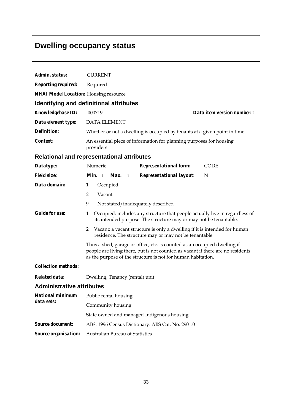## **Dwelling occupancy status**

| Admin. status:                               | <b>CURRENT</b>                                                                                                                                                                                                               |  |  |
|----------------------------------------------|------------------------------------------------------------------------------------------------------------------------------------------------------------------------------------------------------------------------------|--|--|
| <b>Reporting required:</b>                   | Required                                                                                                                                                                                                                     |  |  |
| <b>NHAI Model Location:</b> Housing resource |                                                                                                                                                                                                                              |  |  |
|                                              | Identifying and definitional attributes                                                                                                                                                                                      |  |  |
| Knowledgebase ID:                            | 000719<br>Data item version number: 1                                                                                                                                                                                        |  |  |
| Data element type:                           | <b>DATA ELEMENT</b>                                                                                                                                                                                                          |  |  |
| <b>Definition:</b>                           | Whether or not a dwelling is occupied by tenants at a given point in time.                                                                                                                                                   |  |  |
| Context:                                     | An essential piece of information for planning purposes for housing<br>providers.                                                                                                                                            |  |  |
|                                              | <b>Relational and representational attributes</b>                                                                                                                                                                            |  |  |
| Datatype:                                    | Numeric<br><b>Representational form:</b><br><b>CODE</b>                                                                                                                                                                      |  |  |
| <b>Field size:</b>                           | Min. 1<br>Max.<br><b>Representational layout:</b><br>N<br>1                                                                                                                                                                  |  |  |
| Data domain:                                 | Occupied<br>$\mathbf{1}$                                                                                                                                                                                                     |  |  |
|                                              | $\overline{2}$<br>Vacant                                                                                                                                                                                                     |  |  |
|                                              | 9<br>Not stated/inadequately described                                                                                                                                                                                       |  |  |
| <b>Guide for use:</b>                        | Occupied: includes any structure that people actually live in regardless of<br>$\mathbf{1}$<br>its intended purpose. The structure may or may not be tenantable.                                                             |  |  |
|                                              | Vacant: a vacant structure is only a dwelling if it is intended for human<br>2<br>residence. The structure may or may not be tenantable.                                                                                     |  |  |
|                                              | Thus a shed, garage or office, etc. is counted as an occupied dwelling if<br>people are living there, but is not counted as vacant if there are no residents<br>as the purpose of the structure is not for human habitation. |  |  |
| <b>Collection methods:</b>                   |                                                                                                                                                                                                                              |  |  |
| <b>Related data:</b>                         | Dwelling, Tenancy (rental) unit                                                                                                                                                                                              |  |  |
| <b>Administrative attributes</b>             |                                                                                                                                                                                                                              |  |  |
| <b>National minimum</b>                      | Public rental housing                                                                                                                                                                                                        |  |  |
| data sets:                                   | Community housing                                                                                                                                                                                                            |  |  |
|                                              | State owned and managed Indigenous housing                                                                                                                                                                                   |  |  |
| <b>Source document:</b>                      | ABS. 1996 Census Dictionary. ABS Cat. No. 2901.0                                                                                                                                                                             |  |  |
| Source organisation:                         | Australian Bureau of Statistics                                                                                                                                                                                              |  |  |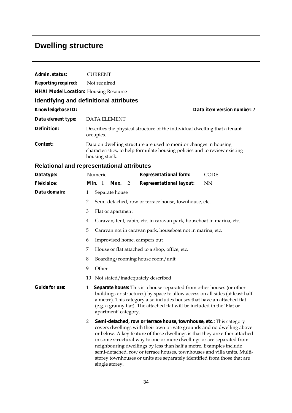# **Dwelling structure**

| Admin. status:                               | <b>CURRENT</b>                                                                                                                                                                                                                                                                                                                                                                                                                                                                                                                                            |  |  |
|----------------------------------------------|-----------------------------------------------------------------------------------------------------------------------------------------------------------------------------------------------------------------------------------------------------------------------------------------------------------------------------------------------------------------------------------------------------------------------------------------------------------------------------------------------------------------------------------------------------------|--|--|
| <b>Reporting required:</b>                   | Not required                                                                                                                                                                                                                                                                                                                                                                                                                                                                                                                                              |  |  |
| <b>NHAI Model Location:</b> Housing Resource |                                                                                                                                                                                                                                                                                                                                                                                                                                                                                                                                                           |  |  |
|                                              | Identifying and definitional attributes                                                                                                                                                                                                                                                                                                                                                                                                                                                                                                                   |  |  |
| Knowledgebase ID:                            | Data item version number: 2                                                                                                                                                                                                                                                                                                                                                                                                                                                                                                                               |  |  |
| Data element type:                           | <b>DATA ELEMENT</b>                                                                                                                                                                                                                                                                                                                                                                                                                                                                                                                                       |  |  |
| <b>Definition:</b>                           | Describes the physical structure of the individual dwelling that a tenant<br>occupies.                                                                                                                                                                                                                                                                                                                                                                                                                                                                    |  |  |
| Context:                                     | Data on dwelling structure are used to monitor changes in housing<br>characteristics, to help formulate housing policies and to review existing<br>housing stock.                                                                                                                                                                                                                                                                                                                                                                                         |  |  |
|                                              | Relational and representational attributes                                                                                                                                                                                                                                                                                                                                                                                                                                                                                                                |  |  |
| Datatype:                                    | Numeric<br><b>CODE</b><br><b>Representational form:</b>                                                                                                                                                                                                                                                                                                                                                                                                                                                                                                   |  |  |
| <b>Field size:</b>                           | Min. 1<br>Max.<br><b>NN</b><br>$\overline{2}$<br><b>Representational layout:</b>                                                                                                                                                                                                                                                                                                                                                                                                                                                                          |  |  |
| Data domain:                                 | Separate house<br>1                                                                                                                                                                                                                                                                                                                                                                                                                                                                                                                                       |  |  |
|                                              | $\overline{2}$<br>Semi-detached, row or terrace house, townhouse, etc.                                                                                                                                                                                                                                                                                                                                                                                                                                                                                    |  |  |
|                                              | 3<br>Flat or apartment                                                                                                                                                                                                                                                                                                                                                                                                                                                                                                                                    |  |  |
|                                              | Caravan, tent, cabin, etc. in caravan park, houseboat in marina, etc.<br>4                                                                                                                                                                                                                                                                                                                                                                                                                                                                                |  |  |
|                                              | 5<br>Caravan not in caravan park, houseboat not in marina, etc.                                                                                                                                                                                                                                                                                                                                                                                                                                                                                           |  |  |
|                                              | Improvised home, campers out<br>6                                                                                                                                                                                                                                                                                                                                                                                                                                                                                                                         |  |  |
|                                              | House or flat attached to a shop, office, etc.<br>7                                                                                                                                                                                                                                                                                                                                                                                                                                                                                                       |  |  |
|                                              | 8<br>Boarding/rooming house room/unit                                                                                                                                                                                                                                                                                                                                                                                                                                                                                                                     |  |  |
|                                              | Other<br>9                                                                                                                                                                                                                                                                                                                                                                                                                                                                                                                                                |  |  |
|                                              | Not stated/inadequately described<br>10                                                                                                                                                                                                                                                                                                                                                                                                                                                                                                                   |  |  |
| <b>Guide for use:</b>                        | <b>Separate house:</b> This is a house separated from other houses (or other<br>1<br>buildings or structures) by space to allow access on all sides (at least half<br>a metre). This category also includes houses that have an attached flat<br>(e.g. a granny flat). The attached flat will be included in the 'Flat or<br>apartment' category.                                                                                                                                                                                                         |  |  |
|                                              | Semi-detached, row or terrace house, townhouse, etc.: This category<br>2<br>covers dwellings with their own private grounds and no dwelling above<br>or below. A key feature of these dwellings is that they are either attached<br>in some structural way to one or more dwellings or are separated from<br>neighbouring dwellings by less than half a metre. Examples include<br>semi-detached, row or terrace houses, townhouses and villa units. Multi-<br>storey townhouses or units are separately identified from those that are<br>single storey. |  |  |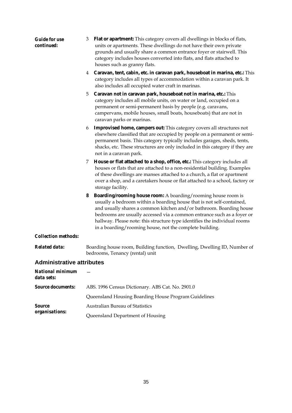| <b>Guide for use</b><br>continued:    | Flat or apartment: This category covers all dwellings in blocks of flats,<br>3<br>units or apartments. These dwellings do not have their own private<br>grounds and usually share a common entrance foyer or stairwell. This<br>category includes houses converted into flats, and flats attached to<br>houses such as granny flats.                                                                                                        |  |
|---------------------------------------|---------------------------------------------------------------------------------------------------------------------------------------------------------------------------------------------------------------------------------------------------------------------------------------------------------------------------------------------------------------------------------------------------------------------------------------------|--|
|                                       | Caravan, tent, cabin, etc. in caravan park, houseboat in marina, etc.: This<br>4<br>category includes all types of accommodation within a caravan park. It<br>also includes all occupied water craft in marinas.                                                                                                                                                                                                                            |  |
|                                       | Caravan not in caravan park, houseboat not in marina, etc.: This<br>5<br>category includes all mobile units, on water or land, occupied on a<br>permanent or semi-permanent basis by people (e.g. caravans,<br>campervans, mobile houses, small boats, houseboats) that are not in<br>caravan parks or marinas.                                                                                                                             |  |
|                                       | <b>Improvised home, campers out:</b> This category covers all structures not<br>6<br>elsewhere classified that are occupied by people on a permanent or semi-<br>permanent basis. This category typically includes garages, sheds, tents,<br>shacks, etc. These structures are only included in this category if they are<br>not in a caravan park.                                                                                         |  |
|                                       | House or flat attached to a shop, office, etc.: This category includes all<br>7<br>houses or flats that are attached to a non-residential building. Examples<br>of these dwellings are manses attached to a church, a flat or apartment<br>over a shop, and a caretakers house or flat attached to a school, factory or<br>storage facility.                                                                                                |  |
|                                       | <b>Boarding/rooming house room:</b> A boarding/rooming house room is<br>8<br>usually a bedroom within a boarding house that is not self-contained,<br>and usually shares a common kitchen and/or bathroom. Boarding house<br>bedrooms are usually accessed via a common entrance such as a foyer or<br>hallway. Please note: this structure type identifies the individual rooms<br>in a boarding/rooming house, not the complete building. |  |
| <b>Collection methods:</b>            |                                                                                                                                                                                                                                                                                                                                                                                                                                             |  |
| <b>Related data:</b>                  | Boarding house room, Building function, Dwelling, Dwelling ID, Number of<br>bedrooms, Tenancy (rental) unit                                                                                                                                                                                                                                                                                                                                 |  |
| <b>Administrative attributes</b>      |                                                                                                                                                                                                                                                                                                                                                                                                                                             |  |
| <b>National minimum</b><br>data sets: |                                                                                                                                                                                                                                                                                                                                                                                                                                             |  |
| <b>Source documents:</b>              | ABS. 1996 Census Dictionary. ABS Cat. No. 2901.0                                                                                                                                                                                                                                                                                                                                                                                            |  |
|                                       | Queensland Housing Boarding House Program Guidelines                                                                                                                                                                                                                                                                                                                                                                                        |  |
| <i>Source</i>                         | <b>Australian Bureau of Statistics</b>                                                                                                                                                                                                                                                                                                                                                                                                      |  |
| organisations:                        | Queensland Department of Housing                                                                                                                                                                                                                                                                                                                                                                                                            |  |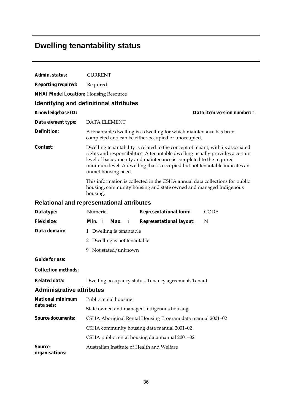# **Dwelling tenantability status**

| Admin. status:                               | <b>CURRENT</b>                                                                                                                                                                                                                                                                                                                               |  |  |
|----------------------------------------------|----------------------------------------------------------------------------------------------------------------------------------------------------------------------------------------------------------------------------------------------------------------------------------------------------------------------------------------------|--|--|
| <b>Reporting required:</b>                   | Required                                                                                                                                                                                                                                                                                                                                     |  |  |
| <b>NHAI Model Location:</b> Housing Resource |                                                                                                                                                                                                                                                                                                                                              |  |  |
|                                              | Identifying and definitional attributes                                                                                                                                                                                                                                                                                                      |  |  |
| Knowledgebase ID:                            | Data item version number: 1                                                                                                                                                                                                                                                                                                                  |  |  |
| Data element type:                           | <b>DATA ELEMENT</b>                                                                                                                                                                                                                                                                                                                          |  |  |
| <b>Definition:</b>                           | A tenantable dwelling is a dwelling for which maintenance has been<br>completed and can be either occupied or unoccupied.                                                                                                                                                                                                                    |  |  |
| <i>Context:</i>                              | Dwelling tenantability is related to the concept of tenant, with its associated<br>rights and responsibilities. A tenantable dwelling usually provides a certain<br>level of basic amenity and maintenance is completed to the required<br>minimum level. A dwelling that is occupied but not tenantable indicates an<br>unmet housing need. |  |  |
|                                              | This information is collected in the CSHA annual data collections for public<br>housing, community housing and state owned and managed Indigenous<br>housing.                                                                                                                                                                                |  |  |
|                                              | <b>Relational and representational attributes</b>                                                                                                                                                                                                                                                                                            |  |  |
| Datatype:                                    | Numeric<br><b>Representational form:</b><br><b>CODE</b>                                                                                                                                                                                                                                                                                      |  |  |
| <b>Field size:</b>                           | <i>Min.</i> 1<br>Max.<br><b>Representational layout:</b><br>N<br>1                                                                                                                                                                                                                                                                           |  |  |
| Data domain:                                 | 1 Dwelling is tenantable                                                                                                                                                                                                                                                                                                                     |  |  |
|                                              | 2 Dwelling is not tenantable                                                                                                                                                                                                                                                                                                                 |  |  |
|                                              | Not stated/unknown<br>9.                                                                                                                                                                                                                                                                                                                     |  |  |
| <b>Guide for use:</b>                        |                                                                                                                                                                                                                                                                                                                                              |  |  |
| <b>Collection methods:</b>                   |                                                                                                                                                                                                                                                                                                                                              |  |  |
| <b>Related data:</b>                         | Dwelling occupancy status, Tenancy agreement, Tenant                                                                                                                                                                                                                                                                                         |  |  |
| <b>Administrative attributes</b>             |                                                                                                                                                                                                                                                                                                                                              |  |  |
| <b>National minimum</b>                      | Public rental housing                                                                                                                                                                                                                                                                                                                        |  |  |
| data sets:                                   | State owned and managed Indigenous housing                                                                                                                                                                                                                                                                                                   |  |  |
| <b>Source documents:</b>                     | CSHA Aboriginal Rental Housing Program data manual 2001-02                                                                                                                                                                                                                                                                                   |  |  |
|                                              | CSHA community housing data manual 2001-02                                                                                                                                                                                                                                                                                                   |  |  |
|                                              | CSHA public rental housing data manual 2001-02                                                                                                                                                                                                                                                                                               |  |  |
| <b>Source</b><br>organisations:              | Australian Institute of Health and Welfare                                                                                                                                                                                                                                                                                                   |  |  |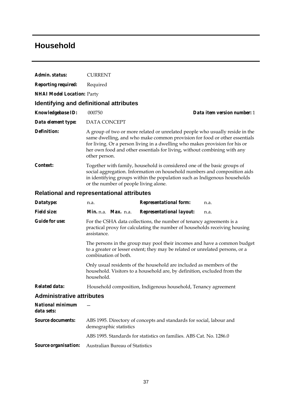### **Household**

| Admin. status:                                    | <b>CURRENT</b>                                                                                                                                                                                                                                                              |                                                                                                                                                                                                                                                                                                                      |                             |
|---------------------------------------------------|-----------------------------------------------------------------------------------------------------------------------------------------------------------------------------------------------------------------------------------------------------------------------------|----------------------------------------------------------------------------------------------------------------------------------------------------------------------------------------------------------------------------------------------------------------------------------------------------------------------|-----------------------------|
| <b>Reporting required:</b>                        | Required                                                                                                                                                                                                                                                                    |                                                                                                                                                                                                                                                                                                                      |                             |
| <b>NHAI Model Location: Party</b>                 |                                                                                                                                                                                                                                                                             |                                                                                                                                                                                                                                                                                                                      |                             |
|                                                   | Identifying and definitional attributes                                                                                                                                                                                                                                     |                                                                                                                                                                                                                                                                                                                      |                             |
| <b>Knowledgebase ID:</b>                          | 000750                                                                                                                                                                                                                                                                      |                                                                                                                                                                                                                                                                                                                      | Data item version number: 1 |
| Data element type:                                | <b>DATA CONCEPT</b>                                                                                                                                                                                                                                                         |                                                                                                                                                                                                                                                                                                                      |                             |
| Definition:                                       | other person.                                                                                                                                                                                                                                                               | A group of two or more related or unrelated people who usually reside in the<br>same dwelling, and who make common provision for food or other essentials<br>for living. Or a person living in a dwelling who makes provision for his or<br>her own food and other essentials for living, without combining with any |                             |
| Context:                                          | Together with family, household is considered one of the basic groups of<br>social aggregation. Information on household numbers and composition aids<br>in identifying groups within the population such as Indigenous households<br>or the number of people living alone. |                                                                                                                                                                                                                                                                                                                      |                             |
| <b>Relational and representational attributes</b> |                                                                                                                                                                                                                                                                             |                                                                                                                                                                                                                                                                                                                      |                             |
| Datatype:                                         | n.a.                                                                                                                                                                                                                                                                        | <b>Representational form:</b>                                                                                                                                                                                                                                                                                        | n.a.                        |
| <b>Field size:</b>                                | <i>Min.</i> n.a. <i>Max.</i> n.a.                                                                                                                                                                                                                                           | <b>Representational layout:</b>                                                                                                                                                                                                                                                                                      | n.a.                        |

*Guide for use:* For the CSHA data collections, the number of tenancy agreements is a practical proxy for calculating the number of households receiving housing assistance.

> The persons in the group may pool their incomes and have a common budget to a greater or lesser extent; they may be related or unrelated persons, or a combination of both.

Only usual residents of the household are included as members of the household. Visitors to a household are, by definition, excluded from the household.

*Related data:* Household composition, Indigenous household, Tenancy agreement

| National minimum<br>data sets: |                                                                                                |
|--------------------------------|------------------------------------------------------------------------------------------------|
| <i>Source documents:</i>       | ABS 1995. Directory of concepts and standards for social, labour and<br>demographic statistics |
|                                | ABS 1995. Standards for statistics on families. ABS Cat. No. 1286.0                            |
|                                | <b>Source organisation:</b> Australian Bureau of Statistics                                    |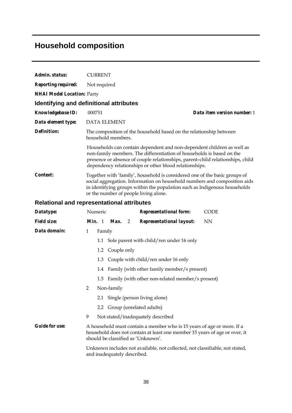## **Household composition**

| Admin. status:                    | <b>CURRENT</b>                                                                                                                                                                                                                                                                              |  |
|-----------------------------------|---------------------------------------------------------------------------------------------------------------------------------------------------------------------------------------------------------------------------------------------------------------------------------------------|--|
| Reporting required:               | Not required                                                                                                                                                                                                                                                                                |  |
| <b>NHAI Model Location: Party</b> |                                                                                                                                                                                                                                                                                             |  |
|                                   | Identifying and definitional attributes                                                                                                                                                                                                                                                     |  |
| Knowledgebase ID:                 | Data item version number: 1<br>000751                                                                                                                                                                                                                                                       |  |
| Data element type:                | <b>DATA ELEMENT</b>                                                                                                                                                                                                                                                                         |  |
| Definition:                       | The composition of the household based on the relationship between<br>household members.                                                                                                                                                                                                    |  |
|                                   | Households can contain dependent and non-dependent children as well as<br>non-family members. The differentiation of households is based on the<br>presence or absence of couple relationships, parent-child relationships, child<br>dependency relationships or other blood relationships. |  |
| Context:                          | Together with 'family', household is considered one of the basic groups of<br>social aggregation. Information on household numbers and composition aids<br>in identifying groups within the population such as Indigenous households<br>or the number of people living alone.               |  |
|                                   | <b>Relational and representational attributes</b>                                                                                                                                                                                                                                           |  |
| Datatype:                         | Numeric<br><b>Representational form:</b><br><b>CODE</b>                                                                                                                                                                                                                                     |  |
| Field size:                       | <i>Min.</i> 1 <i>Max.</i> 2<br><b>NN</b><br><b>Representational layout:</b>                                                                                                                                                                                                                 |  |
| Data domain:                      | $\mathbf{1}$<br>Family                                                                                                                                                                                                                                                                      |  |
|                                   | 1.1 Sole parent with child/ren under 16 only                                                                                                                                                                                                                                                |  |
|                                   | Couple only<br>1.2                                                                                                                                                                                                                                                                          |  |
|                                   | Couple with child/ren under 16 only<br>1.3                                                                                                                                                                                                                                                  |  |
|                                   | 1.4 Family (with other family member/s present)                                                                                                                                                                                                                                             |  |
|                                   | Family (with other non-related member/s present)<br>1.5                                                                                                                                                                                                                                     |  |
|                                   | $\overline{c}$<br>Non-family                                                                                                                                                                                                                                                                |  |
|                                   | Single (person living alone)<br>2.1                                                                                                                                                                                                                                                         |  |
|                                   | Group (unrelated adults)<br>2.2                                                                                                                                                                                                                                                             |  |
|                                   | 9<br>Not stated/inadequately described                                                                                                                                                                                                                                                      |  |
| <b>Guide for use:</b>             | A household must contain a member who is 15 years of age or more. If a<br>household does not contain at least one member 15 years of age or over, it<br>should be classified as 'Unknown'.                                                                                                  |  |

Unknown includes not available, not collected, not classifiable, not stated, and inadequately described.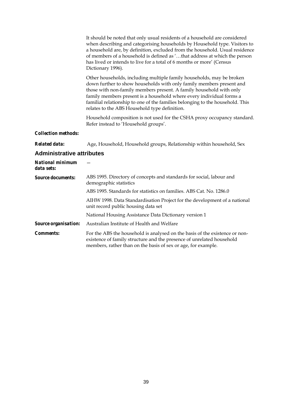It should be noted that only usual residents of a household are considered when describing and categorising households by Household type. Visitors to a household are, by definition, excluded from the household. Usual residence of members of a household is defined as '…that address at which the person has lived or intends to live for a total of 6 months or more' (Census Dictionary 1996).

Other households, including multiple family households, may be broken down further to show households with only family members present and those with non-family members present. A family household with only family members present is a household where every individual forms a familial relationship to one of the families belonging to the household. This relates to the ABS Household type definition.

Household composition is not used for the CSHA proxy occupancy standard. Refer instead to 'Household groups'.

#### *Collection methods:*

*Related data:* Age, Household, Household groups, Relationship within household, Sex

| National minimum<br>data sets: |                                                                                                                                                                                                                       |
|--------------------------------|-----------------------------------------------------------------------------------------------------------------------------------------------------------------------------------------------------------------------|
| <b>Source documents:</b>       | ABS 1995. Directory of concepts and standards for social, labour and<br>demographic statistics                                                                                                                        |
|                                | ABS 1995. Standards for statistics on families. ABS Cat. No. 1286.0                                                                                                                                                   |
|                                | AIHW 1998. Data Standardisation Project for the development of a national<br>unit record public housing data set                                                                                                      |
|                                | National Housing Assistance Data Dictionary version 1                                                                                                                                                                 |
| Source organisation:           | Australian Institute of Health and Welfare                                                                                                                                                                            |
| <i>Comments:</i>               | For the ABS the household is analysed on the basis of the existence or non-<br>existence of family structure and the presence of unrelated household<br>members, rather than on the basis of sex or age, for example. |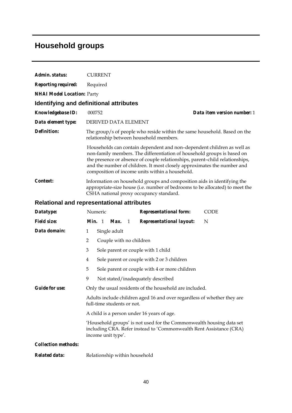# **Household groups**

| Admin. status:                    | <b>CURRENT</b>                                                                                                                                                                                                                                                                                                                                                  |  |  |
|-----------------------------------|-----------------------------------------------------------------------------------------------------------------------------------------------------------------------------------------------------------------------------------------------------------------------------------------------------------------------------------------------------------------|--|--|
| <b>Reporting required:</b>        | Required                                                                                                                                                                                                                                                                                                                                                        |  |  |
| <b>NHAI Model Location: Party</b> |                                                                                                                                                                                                                                                                                                                                                                 |  |  |
|                                   | <b>Identifying and definitional attributes</b>                                                                                                                                                                                                                                                                                                                  |  |  |
| Knowledgebase ID:                 | 000752<br>Data item version number: 1                                                                                                                                                                                                                                                                                                                           |  |  |
| Data element type:                | DERIVED DATA ELEMENT                                                                                                                                                                                                                                                                                                                                            |  |  |
| <b>Definition:</b>                | The group/s of people who reside within the same household. Based on the<br>relationship between household members.                                                                                                                                                                                                                                             |  |  |
|                                   | Households can contain dependent and non-dependent children as well as<br>non-family members. The differentiation of household groups is based on<br>the presence or absence of couple relationships, parent-child relationships,<br>and the number of children. It most closely approximates the number and<br>composition of income units within a household. |  |  |
| <i>Context:</i>                   | Information on household groups and composition aids in identifying the<br>appropriate-size house (i.e. number of bedrooms to be allocated) to meet the<br>CSHA national proxy occupancy standard.                                                                                                                                                              |  |  |
|                                   | <b>Relational and representational attributes</b>                                                                                                                                                                                                                                                                                                               |  |  |
| Datatype:                         | Numeric<br><b>Representational form:</b><br><b>CODE</b>                                                                                                                                                                                                                                                                                                         |  |  |
| <b>Field size:</b>                | Min. 1 Max.<br>$\mathbf{1}$<br><b>Representational layout:</b><br>N                                                                                                                                                                                                                                                                                             |  |  |
| Data domain:                      | Single adult<br>1                                                                                                                                                                                                                                                                                                                                               |  |  |
|                                   | $\overline{2}$<br>Couple with no children                                                                                                                                                                                                                                                                                                                       |  |  |
|                                   | Sole parent or couple with 1 child<br>3                                                                                                                                                                                                                                                                                                                         |  |  |
|                                   | Sole parent or couple with 2 or 3 children<br>4                                                                                                                                                                                                                                                                                                                 |  |  |
|                                   | 5<br>Sole parent or couple with 4 or more children                                                                                                                                                                                                                                                                                                              |  |  |
|                                   | 9<br>Not stated/inadequately described                                                                                                                                                                                                                                                                                                                          |  |  |
| <b>Guide for use:</b>             | Only the usual residents of the household are included.                                                                                                                                                                                                                                                                                                         |  |  |
|                                   | Adults include children aged 16 and over regardless of whether they are<br>full-time students or not.                                                                                                                                                                                                                                                           |  |  |
|                                   | A child is a person under 16 years of age.                                                                                                                                                                                                                                                                                                                      |  |  |
|                                   | 'Household groups' is not used for the Commonwealth housing data set<br>including CRA. Refer instead to 'Commonwealth Rent Assistance (CRA)<br>income unit type'.                                                                                                                                                                                               |  |  |
| <b>Collection methods:</b>        |                                                                                                                                                                                                                                                                                                                                                                 |  |  |
| Related data:                     | Relationship within household                                                                                                                                                                                                                                                                                                                                   |  |  |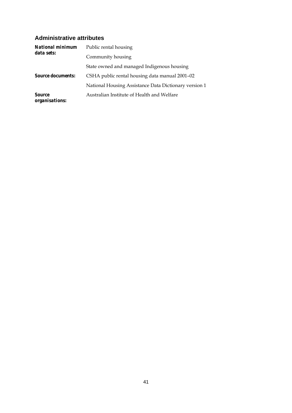| National minimum<br>data sets:  | Public rental housing                                 |
|---------------------------------|-------------------------------------------------------|
|                                 | Community housing                                     |
|                                 | State owned and managed Indigenous housing            |
| <b>Source documents:</b>        | CSHA public rental housing data manual 2001–02        |
|                                 | National Housing Assistance Data Dictionary version 1 |
| <i>Source</i><br>organisations: | Australian Institute of Health and Welfare            |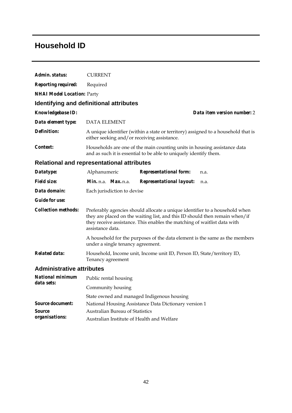## **Household ID**

| Admin. status:                    | <b>CURRENT</b>                                                                                                                                                                                                                                             |  |  |  |  |  |
|-----------------------------------|------------------------------------------------------------------------------------------------------------------------------------------------------------------------------------------------------------------------------------------------------------|--|--|--|--|--|
| <b>Reporting required:</b>        | Required                                                                                                                                                                                                                                                   |  |  |  |  |  |
| <b>NHAI Model Location: Party</b> |                                                                                                                                                                                                                                                            |  |  |  |  |  |
|                                   | Identifying and definitional attributes                                                                                                                                                                                                                    |  |  |  |  |  |
| <b>Knowledgebase ID:</b>          | Data item version number: 2                                                                                                                                                                                                                                |  |  |  |  |  |
| Data element type:                | <b>DATA ELEMENT</b>                                                                                                                                                                                                                                        |  |  |  |  |  |
| Definition:                       | A unique identifier (within a state or territory) assigned to a household that is<br>either seeking and/or receiving assistance.                                                                                                                           |  |  |  |  |  |
| <i>Context:</i>                   | Households are one of the main counting units in housing assistance data<br>and as such it is essential to be able to uniquely identify them.                                                                                                              |  |  |  |  |  |
|                                   | <b>Relational and representational attributes</b>                                                                                                                                                                                                          |  |  |  |  |  |
| Datatype:                         | Alphanumeric<br><b>Representational form:</b><br>n.a.                                                                                                                                                                                                      |  |  |  |  |  |
| <b>Field size:</b>                | Min. n.a. Max. n.a.<br><b>Representational layout:</b><br>n.a.                                                                                                                                                                                             |  |  |  |  |  |
| Data domain:                      | Each jurisdiction to devise                                                                                                                                                                                                                                |  |  |  |  |  |
| <i>Guide for use:</i>             |                                                                                                                                                                                                                                                            |  |  |  |  |  |
| <b>Collection methods:</b>        | Preferably agencies should allocate a unique identifier to a household when<br>they are placed on the waiting list, and this ID should then remain when/if<br>they receive assistance. This enables the matching of waitlist data with<br>assistance data. |  |  |  |  |  |
|                                   | A household for the purposes of the data element is the same as the members<br>under a single tenancy agreement.                                                                                                                                           |  |  |  |  |  |
| <b>Related data:</b>              | Household, Income unit, Income unit ID, Person ID, State/territory ID,<br>Tenancy agreement                                                                                                                                                                |  |  |  |  |  |
| <b>Administrative attributes</b>  |                                                                                                                                                                                                                                                            |  |  |  |  |  |
| National minimum<br>data sets:    | Public rental housing                                                                                                                                                                                                                                      |  |  |  |  |  |
|                                   | Community housing                                                                                                                                                                                                                                          |  |  |  |  |  |
|                                   | State owned and managed Indigenous housing                                                                                                                                                                                                                 |  |  |  |  |  |
| <b>Source document:</b>           | National Housing Assistance Data Dictionary version 1                                                                                                                                                                                                      |  |  |  |  |  |
| Source                            | <b>Australian Bureau of Statistics</b>                                                                                                                                                                                                                     |  |  |  |  |  |
| organisations:                    | Australian Institute of Health and Welfare                                                                                                                                                                                                                 |  |  |  |  |  |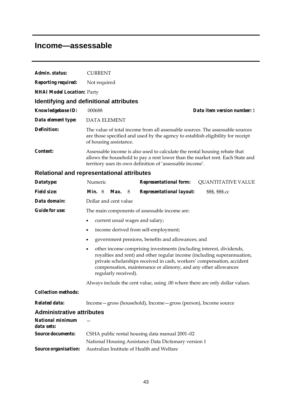### **Income—assessable**

| Admin. status:                        | <b>CURRENT</b>                                                                                                                                                                                                                                                                                                                  |  |  |  |  |
|---------------------------------------|---------------------------------------------------------------------------------------------------------------------------------------------------------------------------------------------------------------------------------------------------------------------------------------------------------------------------------|--|--|--|--|
| <b>Reporting required:</b>            | Not required                                                                                                                                                                                                                                                                                                                    |  |  |  |  |
| <b>NHAI Model Location: Party</b>     |                                                                                                                                                                                                                                                                                                                                 |  |  |  |  |
|                                       | Identifying and definitional attributes                                                                                                                                                                                                                                                                                         |  |  |  |  |
| Knowledgebase ID:                     | 000688<br>Data item version number: 1                                                                                                                                                                                                                                                                                           |  |  |  |  |
| Data element type:                    | <b>DATA ELEMENT</b>                                                                                                                                                                                                                                                                                                             |  |  |  |  |
| <b>Definition:</b>                    | The value of total income from all assessable sources. The assessable sources<br>are those specified and used by the agency to establish eligibility for receipt<br>of housing assistance.                                                                                                                                      |  |  |  |  |
| Context:                              | Assessable income is also used to calculate the rental housing rebate that<br>allows the household to pay a rent lower than the market rent. Each State and<br>territory uses its own definition of 'assessable income'.                                                                                                        |  |  |  |  |
|                                       | <b>Relational and representational attributes</b>                                                                                                                                                                                                                                                                               |  |  |  |  |
| Datatype:                             | Numeric<br><b>Representational form:</b><br><b>QUANTITATIVE VALUE</b>                                                                                                                                                                                                                                                           |  |  |  |  |
| <b>Field size:</b>                    | Min. 8<br><b>Representational layout:</b><br>Max.<br>- 8<br>\$\$\$, \$\$\$.cc                                                                                                                                                                                                                                                   |  |  |  |  |
| Data domain:                          | Dollar and cent value                                                                                                                                                                                                                                                                                                           |  |  |  |  |
| <b>Guide for use:</b>                 | The main components of assessable income are:                                                                                                                                                                                                                                                                                   |  |  |  |  |
|                                       | current usual wages and salary;                                                                                                                                                                                                                                                                                                 |  |  |  |  |
|                                       | income derived from self-employment;<br>$\bullet$                                                                                                                                                                                                                                                                               |  |  |  |  |
|                                       | government pensions, benefits and allowances; and<br>$\bullet$                                                                                                                                                                                                                                                                  |  |  |  |  |
|                                       | other income comprising investments (including interest, dividends,<br>$\bullet$<br>royalties and rent) and other regular income (including superannuation,<br>private scholarships received in cash, workers' compensation, accident<br>compensation, maintenance or alimony, and any other allowances<br>regularly received). |  |  |  |  |
|                                       | Always include the cent value, using .00 where there are only dollar values.                                                                                                                                                                                                                                                    |  |  |  |  |
| <b>Collection methods:</b>            |                                                                                                                                                                                                                                                                                                                                 |  |  |  |  |
| <b>Related data:</b>                  | Income - gross (household), Income - gross (person), Income source                                                                                                                                                                                                                                                              |  |  |  |  |
| <b>Administrative attributes</b>      |                                                                                                                                                                                                                                                                                                                                 |  |  |  |  |
| <b>National minimum</b><br>data sets: |                                                                                                                                                                                                                                                                                                                                 |  |  |  |  |
| <b>Source documents:</b>              | CSHA public rental housing data manual 2001-02                                                                                                                                                                                                                                                                                  |  |  |  |  |
|                                       | National Housing Assistance Data Dictionary version 1                                                                                                                                                                                                                                                                           |  |  |  |  |
| Source organisation:                  | Australian Institute of Health and Welfare                                                                                                                                                                                                                                                                                      |  |  |  |  |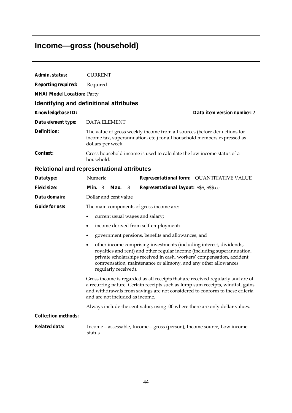# **Income—gross (household)**

| Admin. status:                    | <b>CURRENT</b>                                                                                                                                                                                                                                                                                                                  |  |  |  |
|-----------------------------------|---------------------------------------------------------------------------------------------------------------------------------------------------------------------------------------------------------------------------------------------------------------------------------------------------------------------------------|--|--|--|
| <b>Reporting required:</b>        | Required                                                                                                                                                                                                                                                                                                                        |  |  |  |
| <b>NHAI Model Location: Party</b> |                                                                                                                                                                                                                                                                                                                                 |  |  |  |
|                                   | <b>Identifying and definitional attributes</b>                                                                                                                                                                                                                                                                                  |  |  |  |
| Knowledgebase ID:                 | Data item version number: 2                                                                                                                                                                                                                                                                                                     |  |  |  |
| Data element type:                | <b>DATA ELEMENT</b>                                                                                                                                                                                                                                                                                                             |  |  |  |
| <b>Definition:</b>                | The value of gross weekly income from all sources (before deductions for<br>income tax, superannuation, etc.) for all household members expressed as<br>dollars per week.                                                                                                                                                       |  |  |  |
| Context:                          | Gross household income is used to calculate the low income status of a<br>household.                                                                                                                                                                                                                                            |  |  |  |
|                                   | <b>Relational and representational attributes</b>                                                                                                                                                                                                                                                                               |  |  |  |
| Datatype:                         | Numeric<br>Representational form: QUANTITATIVE VALUE                                                                                                                                                                                                                                                                            |  |  |  |
| <b>Field size:</b>                | <i>Min.</i> $8$<br>Max.<br>Representational layout: \$\$\$, \$\$\$.cc<br>8                                                                                                                                                                                                                                                      |  |  |  |
| Data domain:                      | Dollar and cent value                                                                                                                                                                                                                                                                                                           |  |  |  |
| <b>Guide for use:</b>             | The main components of gross income are:                                                                                                                                                                                                                                                                                        |  |  |  |
|                                   | current usual wages and salary;<br>$\bullet$                                                                                                                                                                                                                                                                                    |  |  |  |
|                                   | income derived from self-employment;<br>$\bullet$                                                                                                                                                                                                                                                                               |  |  |  |
|                                   | government pensions, benefits and allowances; and<br>٠                                                                                                                                                                                                                                                                          |  |  |  |
|                                   | other income comprising investments (including interest, dividends,<br>$\bullet$<br>royalties and rent) and other regular income (including superannuation,<br>private scholarships received in cash, workers' compensation, accident<br>compensation, maintenance or alimony, and any other allowances<br>regularly received). |  |  |  |
|                                   | Gross income is regarded as all receipts that are received regularly and are of<br>a recurring nature. Certain receipts such as lump sum receipts, windfall gains<br>and withdrawals from savings are not considered to conform to these criteria<br>and are not included as income.                                            |  |  |  |
|                                   | Always include the cent value, using .00 where there are only dollar values.                                                                                                                                                                                                                                                    |  |  |  |
| <b>Collection methods:</b>        |                                                                                                                                                                                                                                                                                                                                 |  |  |  |
| <b>Related data:</b>              | Income - assessable, Income - gross (person), Income source, Low income<br>status                                                                                                                                                                                                                                               |  |  |  |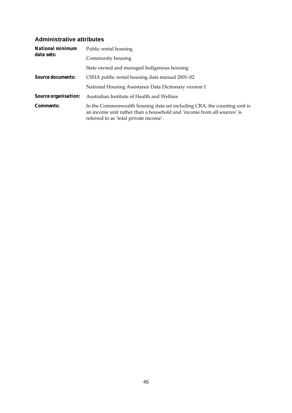| <b>National minimum</b>     | Public rental housing                                                                                                                                                                         |
|-----------------------------|-----------------------------------------------------------------------------------------------------------------------------------------------------------------------------------------------|
| data sets:                  | Community housing                                                                                                                                                                             |
|                             | State owned and managed Indigenous housing                                                                                                                                                    |
| <b>Source documents:</b>    | CSHA public rental housing data manual 2001-02                                                                                                                                                |
|                             | National Housing Assistance Data Dictionary version 1                                                                                                                                         |
| <b>Source organisation:</b> | Australian Institute of Health and Welfare                                                                                                                                                    |
| <i>Comments:</i>            | In the Commonwealth housing data set including CRA, the counting unit is<br>an income unit rather than a household and 'income from all sources' is<br>referred to as 'total private income'. |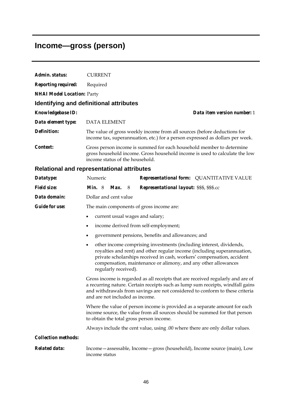## **Income—gross (person)**

| Admin. status:                    | <b>CURRENT</b>                                                                                                                                                                                                                                                                                                                  |  |  |  |  |
|-----------------------------------|---------------------------------------------------------------------------------------------------------------------------------------------------------------------------------------------------------------------------------------------------------------------------------------------------------------------------------|--|--|--|--|
| <b>Reporting required:</b>        | Required                                                                                                                                                                                                                                                                                                                        |  |  |  |  |
| <b>NHAI Model Location: Party</b> |                                                                                                                                                                                                                                                                                                                                 |  |  |  |  |
|                                   | Identifying and definitional attributes                                                                                                                                                                                                                                                                                         |  |  |  |  |
| <b>Knowledgebase ID:</b>          | Data item version number: 1                                                                                                                                                                                                                                                                                                     |  |  |  |  |
| Data element type:                | <b>DATA ELEMENT</b>                                                                                                                                                                                                                                                                                                             |  |  |  |  |
| <b>Definition:</b>                | The value of gross weekly income from all sources (before deductions for<br>income tax, superannuation, etc.) for a person expressed as dollars per week.                                                                                                                                                                       |  |  |  |  |
| Context:                          | Gross person income is summed for each household member to determine<br>gross household income. Gross household income is used to calculate the low<br>income status of the household.                                                                                                                                          |  |  |  |  |
|                                   | <b>Relational and representational attributes</b>                                                                                                                                                                                                                                                                               |  |  |  |  |
| Datatype:                         | Numeric<br><b>Representational form: QUANTITATIVE VALUE</b>                                                                                                                                                                                                                                                                     |  |  |  |  |
| <b>Field size:</b>                | <i>Min.</i> $8$<br>Max.<br>Representational layout: \$\$\$, \$\$\$.cc<br>- 8                                                                                                                                                                                                                                                    |  |  |  |  |
| Data domain:                      | Dollar and cent value                                                                                                                                                                                                                                                                                                           |  |  |  |  |
| <b>Guide for use:</b>             | The main components of gross income are:                                                                                                                                                                                                                                                                                        |  |  |  |  |
|                                   | current usual wages and salary;<br>$\bullet$                                                                                                                                                                                                                                                                                    |  |  |  |  |
|                                   | income derived from self-employment;<br>$\bullet$                                                                                                                                                                                                                                                                               |  |  |  |  |
|                                   | government pensions, benefits and allowances; and<br>$\bullet$                                                                                                                                                                                                                                                                  |  |  |  |  |
|                                   | other income comprising investments (including interest, dividends,<br>$\bullet$<br>royalties and rent) and other regular income (including superannuation,<br>private scholarships received in cash, workers' compensation, accident<br>compensation, maintenance or alimony, and any other allowances<br>regularly received). |  |  |  |  |
|                                   | Gross income is regarded as all receipts that are received regularly and are of<br>a recurring nature. Certain receipts such as lump sum receipts, windfall gains                                                                                                                                                               |  |  |  |  |

and withdrawals from savings are not considered to conform to these criteria and are not included as income. Where the value of person income is provided as a separate amount for each

income source, the value from all sources should be summed for that person to obtain the total gross person income.

Always include the cent value, using .00 where there are only dollar values.

*Collection methods:* 

*Related data:* Income—assessable, Income—gross (household), Income source (main), Low income status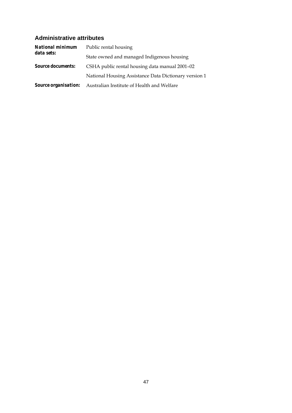| <b>National minimum</b>  | Public rental housing                                                  |  |  |
|--------------------------|------------------------------------------------------------------------|--|--|
| data sets:               | State owned and managed Indigenous housing                             |  |  |
| <b>Source documents:</b> | CSHA public rental housing data manual 2001–02                         |  |  |
|                          | National Housing Assistance Data Dictionary version 1                  |  |  |
|                          | <b>Source organisation:</b> Australian Institute of Health and Welfare |  |  |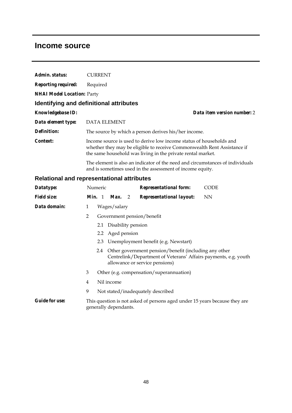### **Income source**

| Admin. status:                    | <b>CURRENT</b>                                                                                                                                                                                                |                             |
|-----------------------------------|---------------------------------------------------------------------------------------------------------------------------------------------------------------------------------------------------------------|-----------------------------|
| <b>Reporting required:</b>        | Required                                                                                                                                                                                                      |                             |
| <b>NHAI Model Location: Party</b> |                                                                                                                                                                                                               |                             |
|                                   | Identifying and definitional attributes                                                                                                                                                                       |                             |
| <b>Knowledgebase ID:</b>          |                                                                                                                                                                                                               | Data item version number: 2 |
| Data element type:                | DATA ELEMENT                                                                                                                                                                                                  |                             |
| <b>Definition:</b>                | The source by which a person derives his/her income.                                                                                                                                                          |                             |
| Context:                          | Income source is used to derive low income status of households and<br>whether they may be eligible to receive Commonwealth Rent Assistance if<br>the same household was living in the private rental market. |                             |
|                                   | The element is also an indicator of the need and circumstances of individuals<br>and is sometimes used in the assessment of income equity.                                                                    |                             |

### **Relational and representational attributes**

| Datatype:             |                | Numeric |                        | <b>Representational form:</b>                                                                                                                                  | <b>CODE</b> |
|-----------------------|----------------|---------|------------------------|----------------------------------------------------------------------------------------------------------------------------------------------------------------|-------------|
| <b>Field size:</b>    |                |         |                        | Min. 1 Max. 2 Representational layout:                                                                                                                         | NN          |
| Data domain:          | 1              |         | Wages/salary           |                                                                                                                                                                |             |
|                       | 2              |         |                        | Government pension/benefit                                                                                                                                     |             |
|                       |                |         | 2.1 Disability pension |                                                                                                                                                                |             |
|                       |                |         | 2.2 Aged pension       |                                                                                                                                                                |             |
|                       |                |         |                        | 2.3 Unemployment benefit (e.g. Newstart)                                                                                                                       |             |
|                       |                |         |                        | 2.4 Other government pension/benefit (including any other<br>Centrelink/Department of Veterans' Affairs payments, e.g. youth<br>allowance or service pensions) |             |
|                       | 3              |         |                        | Other (e.g. compensation/superannuation)                                                                                                                       |             |
|                       | $\overline{4}$ |         | Nil income             |                                                                                                                                                                |             |
|                       | 9              |         |                        | Not stated/inadequately described                                                                                                                              |             |
| <b>Guide for use:</b> |                |         | generally dependants.  | This question is not asked of persons aged under 15 years because they are                                                                                     |             |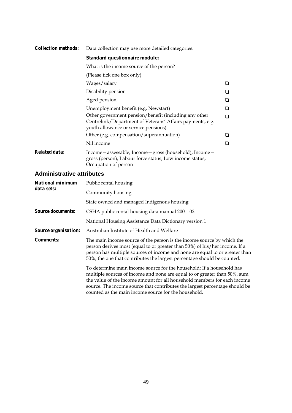#### *Collection methods:* Data collection may use more detailed categories. **Standard questionnaire module:**  What is the income source of the person? (Please tick one box only)  $Wages/salary$   $\Box$  $\Box$  Disability pension  $\Box$ Aged pension  $\Box$ Unemployment benefit (e.g. Newstart)  $\qquad \qquad \Box$ Other government pension/benefit (including any other Centrelink/Department of Veterans' Affairs payments, e.g. youth allowance or service pensions)  $\Box$ Other (e.g. compensation/superannuation)  $\Box$ Nil income  $\Box$ *Related data:* Income—assessable, Income—gross (household), Income gross (person), Labour force status, Low income status, Occupation of person

| <b>National minimum</b>  | Public rental housing                                                                                                                                                                                                                                                                                                                                                 |
|--------------------------|-----------------------------------------------------------------------------------------------------------------------------------------------------------------------------------------------------------------------------------------------------------------------------------------------------------------------------------------------------------------------|
| data sets:               | Community housing                                                                                                                                                                                                                                                                                                                                                     |
|                          | State owned and managed Indigenous housing                                                                                                                                                                                                                                                                                                                            |
| <b>Source documents:</b> | CSHA public rental housing data manual 2001-02                                                                                                                                                                                                                                                                                                                        |
|                          | National Housing Assistance Data Dictionary version 1                                                                                                                                                                                                                                                                                                                 |
| Source organisation:     | Australian Institute of Health and Welfare                                                                                                                                                                                                                                                                                                                            |
| <i>Comments:</i>         | The main income source of the person is the income source by which the<br>person derives most (equal to or greater than 50%) of his/her income. If a<br>person has multiple sources of income and none are equal to or greater than<br>50%, the one that contributes the largest percentage should be counted.                                                        |
|                          | To determine main income source for the household: If a household has<br>multiple sources of income and none are equal to or greater than 50%, sum<br>the value of the income amount for all household members for each income<br>source. The income source that contributes the largest percentage should be<br>counted as the main income source for the household. |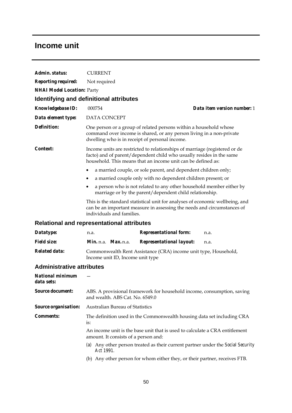### **Income unit**

| Admin. status:                        | <b>CURRENT</b>                                                                                                                                                                                                     |  |  |  |  |
|---------------------------------------|--------------------------------------------------------------------------------------------------------------------------------------------------------------------------------------------------------------------|--|--|--|--|
| <b>Reporting required:</b>            | Not required                                                                                                                                                                                                       |  |  |  |  |
| <b>NHAI Model Location: Party</b>     |                                                                                                                                                                                                                    |  |  |  |  |
|                                       | Identifying and definitional attributes                                                                                                                                                                            |  |  |  |  |
| <b>Knowledgebase ID:</b>              | Data item version number: 1<br>000754                                                                                                                                                                              |  |  |  |  |
| Data element type:                    | DATA CONCEPT                                                                                                                                                                                                       |  |  |  |  |
| Definition:                           | One person or a group of related persons within a household whose<br>command over income is shared, or any person living in a non-private<br>dwelling who is in receipt of personal income.                        |  |  |  |  |
| <i>Context:</i>                       | Income units are restricted to relationships of marriage (registered or de<br>facto) and of parent/dependent child who usually resides in the same<br>household. This means that an income unit can be defined as: |  |  |  |  |
|                                       | a married couple, or sole parent, and dependent children only;<br>٠                                                                                                                                                |  |  |  |  |
|                                       | a married couple only with no dependent children present; or<br>٠                                                                                                                                                  |  |  |  |  |
|                                       | a person who is not related to any other household member either by<br>marriage or by the parent/dependent child relationship.                                                                                     |  |  |  |  |
|                                       | This is the standard statistical unit for analyses of economic wellbeing, and<br>can be an important measure in assessing the needs and circumstances of<br>individuals and families.                              |  |  |  |  |
|                                       | Relational and representational attributes                                                                                                                                                                         |  |  |  |  |
| Datatype:                             | <b>Representational form:</b><br>n.a.<br>n.a.                                                                                                                                                                      |  |  |  |  |
| <b>Field size:</b>                    | Min. n.a. Max. n.a.<br><b>Representational layout:</b><br>n.a.                                                                                                                                                     |  |  |  |  |
| <b>Related data:</b>                  | Commonwealth Rent Assistance (CRA) income unit type, Household,<br>Income unit ID, Income unit type                                                                                                                |  |  |  |  |
| <b>Administrative attributes</b>      |                                                                                                                                                                                                                    |  |  |  |  |
| <b>National minimum</b><br>data sets: |                                                                                                                                                                                                                    |  |  |  |  |
| <b>Source document:</b>               | ABS. A provisional framework for household income, consumption, saving<br>and wealth. ABS Cat. No. 6549.0                                                                                                          |  |  |  |  |
| Source organisation:                  | Australian Bureau of Statistics                                                                                                                                                                                    |  |  |  |  |
| <b>Comments:</b>                      | The definition used in the Commonwealth housing data set including CRA<br>is:                                                                                                                                      |  |  |  |  |
|                                       | An income unit is the base unit that is used to calculate a CRA entitlement<br>amount. It consists of a person and:                                                                                                |  |  |  |  |
|                                       | (a) Any other person treated as their current partner under the Social Security<br>Act 1991.                                                                                                                       |  |  |  |  |
|                                       | (b) Any other person for whom either they, or their partner, receives FTB.                                                                                                                                         |  |  |  |  |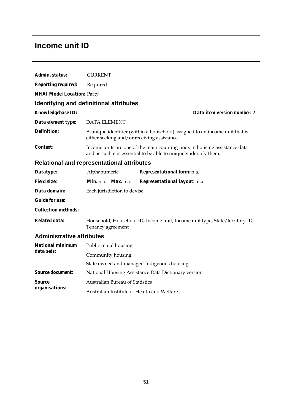### **Income unit ID**

| Admin. status:                    | <b>CURRENT</b>                                                                                                                                  |  |  |  |  |  |
|-----------------------------------|-------------------------------------------------------------------------------------------------------------------------------------------------|--|--|--|--|--|
| <b>Reporting required:</b>        | Required                                                                                                                                        |  |  |  |  |  |
| <b>NHAI Model Location: Party</b> |                                                                                                                                                 |  |  |  |  |  |
|                                   | Identifying and definitional attributes                                                                                                         |  |  |  |  |  |
| <b>Knowledgebase ID:</b>          | Data item version number: 2                                                                                                                     |  |  |  |  |  |
| Data element type:                | <b>DATA ELEMENT</b>                                                                                                                             |  |  |  |  |  |
| <b>Definition:</b>                | A unique identifier (within a household) assigned to an income unit that is<br>either seeking and/or receiving assistance.                      |  |  |  |  |  |
| Context:                          | Income units are one of the main counting units in housing assistance data<br>and as such it is essential to be able to uniquely identify them. |  |  |  |  |  |
|                                   | <b>Relational and representational attributes</b>                                                                                               |  |  |  |  |  |
| Datatype:                         | Alphanumeric<br>Representational form: n.a.                                                                                                     |  |  |  |  |  |
| <b>Field size:</b>                | Min. n.a. Max. n.a.<br>Representational layout: n.a.                                                                                            |  |  |  |  |  |
| Data domain:                      | Each jurisdiction to devise                                                                                                                     |  |  |  |  |  |
| <b>Guide for use:</b>             |                                                                                                                                                 |  |  |  |  |  |
| <b>Collection methods:</b>        |                                                                                                                                                 |  |  |  |  |  |
| <b>Related data:</b>              | Household, Household ID, Income unit, Income unit type, State/territory ID,<br>Tenancy agreement                                                |  |  |  |  |  |
| <b>Administrative attributes</b>  |                                                                                                                                                 |  |  |  |  |  |
| <b>National minimum</b>           | Public rental housing                                                                                                                           |  |  |  |  |  |
| data sets:                        | Community housing                                                                                                                               |  |  |  |  |  |
|                                   | State owned and managed Indigenous housing                                                                                                      |  |  |  |  |  |
| <b>Source document:</b>           | National Housing Assistance Data Dictionary version 1                                                                                           |  |  |  |  |  |
| Source                            | <b>Australian Bureau of Statistics</b>                                                                                                          |  |  |  |  |  |
| organisations:                    | Australian Institute of Health and Welfare                                                                                                      |  |  |  |  |  |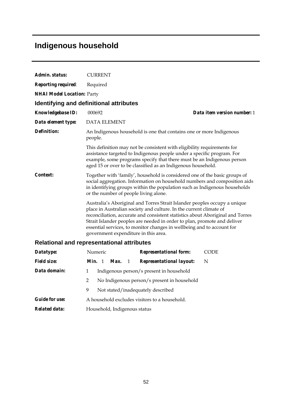## **Indigenous household**

| Admin. status:                    | <b>CURRENT</b>                                                                                                                                                                                                                                                                                                                                                                                                                  |  |  |  |  |  |
|-----------------------------------|---------------------------------------------------------------------------------------------------------------------------------------------------------------------------------------------------------------------------------------------------------------------------------------------------------------------------------------------------------------------------------------------------------------------------------|--|--|--|--|--|
| <b>Reporting required:</b>        | Required                                                                                                                                                                                                                                                                                                                                                                                                                        |  |  |  |  |  |
| <b>NHAI Model Location: Party</b> |                                                                                                                                                                                                                                                                                                                                                                                                                                 |  |  |  |  |  |
|                                   | Identifying and definitional attributes                                                                                                                                                                                                                                                                                                                                                                                         |  |  |  |  |  |
| <b>Knowledgebase ID:</b>          | Data item version number: 1<br>000692                                                                                                                                                                                                                                                                                                                                                                                           |  |  |  |  |  |
| Data element type:                | <b>DATA ELEMENT</b>                                                                                                                                                                                                                                                                                                                                                                                                             |  |  |  |  |  |
| <b>Definition:</b>                | An Indigenous household is one that contains one or more Indigenous<br>people.                                                                                                                                                                                                                                                                                                                                                  |  |  |  |  |  |
|                                   | This definition may not be consistent with eligibility requirements for<br>assistance targeted to Indigenous people under a specific program. For<br>example, some programs specify that there must be an Indigenous person<br>aged 15 or over to be classified as an Indigenous household.                                                                                                                                     |  |  |  |  |  |
| Context:                          | Together with 'family', household is considered one of the basic groups of<br>social aggregation. Information on household numbers and composition aids<br>in identifying groups within the population such as Indigenous households<br>or the number of people living alone.                                                                                                                                                   |  |  |  |  |  |
|                                   | Australia's Aboriginal and Torres Strait Islander peoples occupy a unique<br>place in Australian society and culture. In the current climate of<br>reconciliation, accurate and consistent statistics about Aboriginal and Torres<br>Strait Islander peoples are needed in order to plan, promote and deliver<br>essential services, to monitor changes in wellbeing and to account for<br>government expenditure in this area. |  |  |  |  |  |
|                                   | <b>Relational and representational attributes</b>                                                                                                                                                                                                                                                                                                                                                                               |  |  |  |  |  |
| Datatype:                         | Numeric<br><b>CODE</b><br><b>Representational form:</b>                                                                                                                                                                                                                                                                                                                                                                         |  |  |  |  |  |
| <b>Field size:</b>                | Min. 1<br><b>Representational layout:</b><br>Max.<br>$\mathbf{1}$<br>N                                                                                                                                                                                                                                                                                                                                                          |  |  |  |  |  |
| Data domain:                      | 1<br>Indigenous person/s present in household                                                                                                                                                                                                                                                                                                                                                                                   |  |  |  |  |  |
|                                   | $\overline{2}$<br>No Indigenous person/s present in household                                                                                                                                                                                                                                                                                                                                                                   |  |  |  |  |  |

9 Not stated/inadequately described

*Guide for use:* A household excludes visitors to a household.

*Related data:* Household, Indigenous status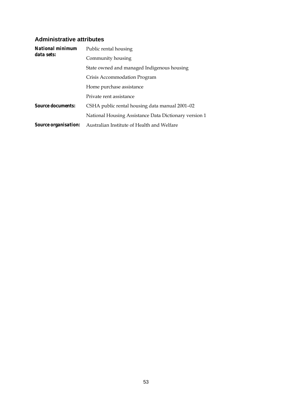| <b>National minimum</b><br>data sets: | Public rental housing                                 |  |  |  |  |  |
|---------------------------------------|-------------------------------------------------------|--|--|--|--|--|
|                                       | Community housing                                     |  |  |  |  |  |
|                                       | State owned and managed Indigenous housing            |  |  |  |  |  |
|                                       | Crisis Accommodation Program                          |  |  |  |  |  |
|                                       | Home purchase assistance                              |  |  |  |  |  |
|                                       | Private rent assistance                               |  |  |  |  |  |
| <i>Source documents:</i>              | CSHA public rental housing data manual 2001-02        |  |  |  |  |  |
|                                       | National Housing Assistance Data Dictionary version 1 |  |  |  |  |  |
| <i>Source organisation:</i>           | Australian Institute of Health and Welfare            |  |  |  |  |  |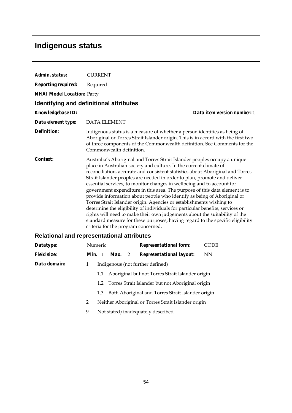# **Indigenous status**

| Admin. status:                    | <b>CURRENT</b>                                    |                                                                                                                                                                                                                                                                                                                                                                                                                                                                                                                                                                                                                                                                                                                                                                                                                                                                            |                             |  |  |  |
|-----------------------------------|---------------------------------------------------|----------------------------------------------------------------------------------------------------------------------------------------------------------------------------------------------------------------------------------------------------------------------------------------------------------------------------------------------------------------------------------------------------------------------------------------------------------------------------------------------------------------------------------------------------------------------------------------------------------------------------------------------------------------------------------------------------------------------------------------------------------------------------------------------------------------------------------------------------------------------------|-----------------------------|--|--|--|
| <b>Reporting required:</b>        | Required                                          |                                                                                                                                                                                                                                                                                                                                                                                                                                                                                                                                                                                                                                                                                                                                                                                                                                                                            |                             |  |  |  |
| <b>NHAI Model Location: Party</b> |                                                   |                                                                                                                                                                                                                                                                                                                                                                                                                                                                                                                                                                                                                                                                                                                                                                                                                                                                            |                             |  |  |  |
|                                   | Identifying and definitional attributes           |                                                                                                                                                                                                                                                                                                                                                                                                                                                                                                                                                                                                                                                                                                                                                                                                                                                                            |                             |  |  |  |
| <b>Knowledgebase ID:</b>          |                                                   |                                                                                                                                                                                                                                                                                                                                                                                                                                                                                                                                                                                                                                                                                                                                                                                                                                                                            | Data item version number: 1 |  |  |  |
| Data element type:                | <b>DATA ELEMENT</b>                               |                                                                                                                                                                                                                                                                                                                                                                                                                                                                                                                                                                                                                                                                                                                                                                                                                                                                            |                             |  |  |  |
| <b>Definition:</b>                | Commonwealth definition.                          | Indigenous status is a measure of whether a person identifies as being of<br>Aboriginal or Torres Strait Islander origin. This is in accord with the first two<br>of three components of the Commonwealth definition. See Comments for the                                                                                                                                                                                                                                                                                                                                                                                                                                                                                                                                                                                                                                 |                             |  |  |  |
| Context:                          | criteria for the program concerned.               | Australia's Aboriginal and Torres Strait Islander peoples occupy a unique<br>place in Australian society and culture. In the current climate of<br>reconciliation, accurate and consistent statistics about Aboriginal and Torres<br>Strait Islander peoples are needed in order to plan, promote and deliver<br>essential services, to monitor changes in wellbeing and to account for<br>government expenditure in this area. The purpose of this data element is to<br>provide information about people who identify as being of Aboriginal or<br>Torres Strait Islander origin. Agencies or establishments wishing to<br>determine the eligibility of individuals for particular benefits, services or<br>rights will need to make their own judgements about the suitability of the<br>standard measure for these purposes, having regard to the specific eligibility |                             |  |  |  |
|                                   | <b>Relational and representational attributes</b> |                                                                                                                                                                                                                                                                                                                                                                                                                                                                                                                                                                                                                                                                                                                                                                                                                                                                            |                             |  |  |  |
| Datatype:                         | Numeric                                           | <b>Representational form:</b>                                                                                                                                                                                                                                                                                                                                                                                                                                                                                                                                                                                                                                                                                                                                                                                                                                              | <b>CODE</b>                 |  |  |  |
| Fiald ciza:                       |                                                   | Min 1 May 2 Representational lavout:                                                                                                                                                                                                                                                                                                                                                                                                                                                                                                                                                                                                                                                                                                                                                                                                                                       | NINI.                       |  |  |  |

| <b>Field size:</b> | <i>Min.</i> 1 |     | <b>Max.</b> 2                    |  | <b>Representational layout:</b>                      | NN |
|--------------------|---------------|-----|----------------------------------|--|------------------------------------------------------|----|
| Data domain:       | 1             |     | Indigenous (not further defined) |  |                                                      |    |
|                    |               | 1.1 |                                  |  | Aboriginal but not Torres Strait Islander origin     |    |
|                    |               |     |                                  |  | 1.2 Torres Strait Islander but not Aboriginal origin |    |
|                    |               | 1.3 |                                  |  | Both Aboriginal and Torres Strait Islander origin    |    |
|                    | 2             |     |                                  |  | Neither Aboriginal or Torres Strait Islander origin  |    |

9 Not stated/inadequately described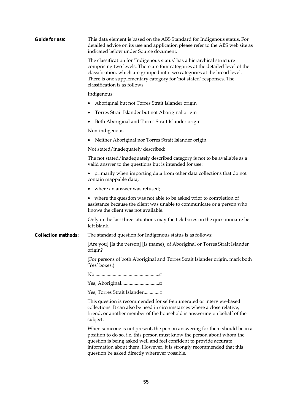| <b>Guide for use:</b>      | This data element is based on the ABS Standard for Indigenous status. For<br>detailed advice on its use and application please refer to the ABS web site as<br>indicated below under Source document.                                                                                                                                                 |  |  |  |  |  |  |
|----------------------------|-------------------------------------------------------------------------------------------------------------------------------------------------------------------------------------------------------------------------------------------------------------------------------------------------------------------------------------------------------|--|--|--|--|--|--|
|                            | The classification for 'Indigenous status' has a hierarchical structure<br>comprising two levels. There are four categories at the detailed level of the<br>classification, which are grouped into two categories at the broad level.<br>There is one supplementary category for 'not stated' responses. The<br>classification is as follows:         |  |  |  |  |  |  |
|                            | Indigenous:                                                                                                                                                                                                                                                                                                                                           |  |  |  |  |  |  |
|                            | Aboriginal but not Torres Strait Islander origin                                                                                                                                                                                                                                                                                                      |  |  |  |  |  |  |
|                            | Torres Strait Islander but not Aboriginal origin                                                                                                                                                                                                                                                                                                      |  |  |  |  |  |  |
|                            | Both Aboriginal and Torres Strait Islander origin                                                                                                                                                                                                                                                                                                     |  |  |  |  |  |  |
|                            | Non-indigenous:                                                                                                                                                                                                                                                                                                                                       |  |  |  |  |  |  |
|                            | Neither Aboriginal nor Torres Strait Islander origin<br>٠                                                                                                                                                                                                                                                                                             |  |  |  |  |  |  |
|                            | Not stated/inadequately described:                                                                                                                                                                                                                                                                                                                    |  |  |  |  |  |  |
|                            | The not stated/inadequately described category is not to be available as a<br>valid answer to the questions but is intended for use:                                                                                                                                                                                                                  |  |  |  |  |  |  |
|                            | • primarily when importing data from other data collections that do not<br>contain mappable data;                                                                                                                                                                                                                                                     |  |  |  |  |  |  |
|                            | • where an answer was refused;                                                                                                                                                                                                                                                                                                                        |  |  |  |  |  |  |
|                            | • where the question was not able to be asked prior to completion of<br>assistance because the client was unable to communicate or a person who<br>knows the client was not available.                                                                                                                                                                |  |  |  |  |  |  |
|                            | Only in the last three situations may the tick boxes on the questionnaire be<br>left blank.                                                                                                                                                                                                                                                           |  |  |  |  |  |  |
| <b>Collection methods:</b> | The standard question for Indigenous status is as follows:                                                                                                                                                                                                                                                                                            |  |  |  |  |  |  |
|                            | [Are you] [Is the person] [Is (name)] of Aboriginal or Torres Strait Islander<br>origin?                                                                                                                                                                                                                                                              |  |  |  |  |  |  |
|                            | (For persons of both Aboriginal and Torres Strait Islander origin, mark both<br>'Yes' boxes.)                                                                                                                                                                                                                                                         |  |  |  |  |  |  |
|                            |                                                                                                                                                                                                                                                                                                                                                       |  |  |  |  |  |  |
|                            |                                                                                                                                                                                                                                                                                                                                                       |  |  |  |  |  |  |
|                            | Yes, Torres Strait Islander                                                                                                                                                                                                                                                                                                                           |  |  |  |  |  |  |
|                            | This question is recommended for self-enumerated or interview-based<br>collections. It can also be used in circumstances where a close relative,<br>friend, or another member of the household is answering on behalf of the<br>subject.                                                                                                              |  |  |  |  |  |  |
|                            | When someone is not present, the person answering for them should be in a<br>position to do so, i.e. this person must know the person about whom the<br>question is being asked well and feel confident to provide accurate<br>information about them. However, it is strongly recommended that this<br>question be asked directly wherever possible. |  |  |  |  |  |  |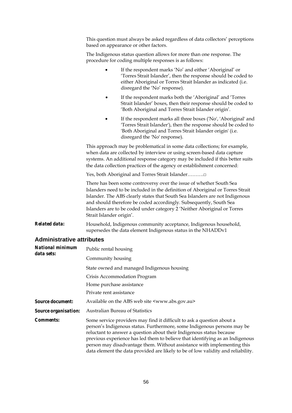This question must always be asked regardless of data collectors' perceptions based on appearance or other factors.

The Indigenous status question allows for more than one response. The procedure for coding multiple responses is as follows:

|                                  |                                                                                                                                                                                                                                                                                                                                                                                                                     | If the respondent marks 'No' and either 'Aboriginal' or<br>'Torres Strait Islander', then the response should be coded to<br>either Aboriginal or Torres Strait Islander as indicated (i.e.<br>disregard the 'No' response).     |  |  |  |  |
|----------------------------------|---------------------------------------------------------------------------------------------------------------------------------------------------------------------------------------------------------------------------------------------------------------------------------------------------------------------------------------------------------------------------------------------------------------------|----------------------------------------------------------------------------------------------------------------------------------------------------------------------------------------------------------------------------------|--|--|--|--|
|                                  | ٠                                                                                                                                                                                                                                                                                                                                                                                                                   | If the respondent marks both the 'Aboriginal' and 'Torres<br>Strait Islander' boxes, then their response should be coded to<br>'Both Aboriginal and Torres Strait Islander origin'.                                              |  |  |  |  |
|                                  |                                                                                                                                                                                                                                                                                                                                                                                                                     | If the respondent marks all three boxes ('No', 'Aboriginal' and<br>'Torres Strait Islander'), then the response should be coded to<br>'Both Aboriginal and Torres Strait Islander origin' (i.e.<br>disregard the 'No' response). |  |  |  |  |
|                                  | This approach may be problematical in some data collections; for example,<br>when data are collected by interview or using screen-based data capture<br>systems. An additional response category may be included if this better suits<br>the data collection practices of the agency or establishment concerned:                                                                                                    |                                                                                                                                                                                                                                  |  |  |  |  |
|                                  | Yes, both Aboriginal and Torres Strait Islander□                                                                                                                                                                                                                                                                                                                                                                    |                                                                                                                                                                                                                                  |  |  |  |  |
|                                  | There has been some controversy over the issue of whether South Sea<br>Islanders need to be included in the definition of Aboriginal or Torres Strait<br>Islander. The ABS clearly states that South Sea Islanders are not Indigenous<br>and should therefore be coded accordingly. Subsequently, South Sea<br>Islanders are to be coded under category 2 'Neither Aboriginal or Torres<br>Strait Islander origin'. |                                                                                                                                                                                                                                  |  |  |  |  |
| <b>Related data:</b>             |                                                                                                                                                                                                                                                                                                                                                                                                                     | Household, Indigenous community acceptance, Indigenous household,<br>supersedes the data element Indigenous status in the NHADDv1                                                                                                |  |  |  |  |
| <b>Administrative attributes</b> |                                                                                                                                                                                                                                                                                                                                                                                                                     |                                                                                                                                                                                                                                  |  |  |  |  |
| <b>National minimum</b>          | Public rental housing                                                                                                                                                                                                                                                                                                                                                                                               |                                                                                                                                                                                                                                  |  |  |  |  |
| data sets:                       | Community housing                                                                                                                                                                                                                                                                                                                                                                                                   |                                                                                                                                                                                                                                  |  |  |  |  |
|                                  |                                                                                                                                                                                                                                                                                                                                                                                                                     | State owned and managed Indigenous housing                                                                                                                                                                                       |  |  |  |  |
|                                  |                                                                                                                                                                                                                                                                                                                                                                                                                     |                                                                                                                                                                                                                                  |  |  |  |  |

Crisis Accommodation Program

Home purchase assistance

Private rent assistance

*Source document:* Available on the ABS web site <www.abs.gov.au>

*Source organisation:* Australian Bureau of Statistics

*Comments:* Some service providers may find it difficult to ask a question about a person's Indigenous status. Furthermore, some Indigenous persons may be reluctant to answer a question about their Indigenous status because previous experience has led them to believe that identifying as an Indigenous person may disadvantage them. Without assistance with implementing this data element the data provided are likely to be of low validity and reliability.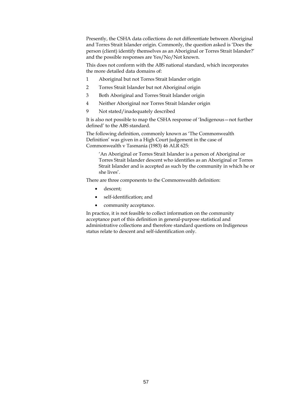Presently, the CSHA data collections do not differentiate between Aboriginal and Torres Strait Islander origin. Commonly, the question asked is 'Does the person (client) identify themselves as an Aboriginal or Torres Strait Islander?' and the possible responses are Yes/No/Not known.

This does not conform with the ABS national standard, which incorporates the more detailed data domains of:

- 1 Aboriginal but not Torres Strait Islander origin
- 2 Torres Strait Islander but not Aboriginal origin
- 3 Both Aboriginal and Torres Strait Islander origin
- 4 Neither Aboriginal nor Torres Strait Islander origin
- 9 Not stated/inadequately described

It is also not possible to map the CSHA response of 'Indigenous—not further defined' to the ABS standard.

The following definition, commonly known as 'The Commonwealth Definition' was given in a High Court judgement in the case of Commonwealth v Tasmania (1983) 46 ALR 625:

'An Aboriginal or Torres Strait Islander is a person of Aboriginal or Torres Strait Islander descent who identifies as an Aboriginal or Torres Strait Islander and is accepted as such by the community in which he or she lives'.

There are three components to the Commonwealth definition:

- descent;
- self-identification; and
- community acceptance.

In practice, it is not feasible to collect information on the community acceptance part of this definition in general-purpose statistical and administrative collections and therefore standard questions on Indigenous status relate to descent and self-identification only.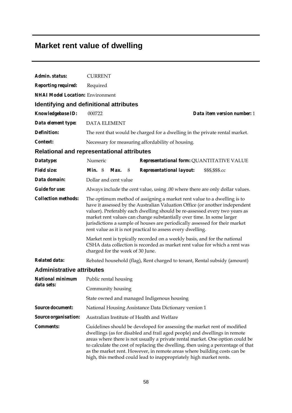## **Market rent value of dwelling**

| Admin. status:                          | <b>CURRENT</b>                                                                                                                                                                                                                                                                                                                                                                                                                                                                                                                                                                                                         |  |  |  |  |  |
|-----------------------------------------|------------------------------------------------------------------------------------------------------------------------------------------------------------------------------------------------------------------------------------------------------------------------------------------------------------------------------------------------------------------------------------------------------------------------------------------------------------------------------------------------------------------------------------------------------------------------------------------------------------------------|--|--|--|--|--|
| <b>Reporting required:</b>              | Required                                                                                                                                                                                                                                                                                                                                                                                                                                                                                                                                                                                                               |  |  |  |  |  |
| <b>NHAI Model Location: Environment</b> |                                                                                                                                                                                                                                                                                                                                                                                                                                                                                                                                                                                                                        |  |  |  |  |  |
|                                         | Identifying and definitional attributes                                                                                                                                                                                                                                                                                                                                                                                                                                                                                                                                                                                |  |  |  |  |  |
| Knowledgebase ID:                       | Data item version number: 1<br>000722                                                                                                                                                                                                                                                                                                                                                                                                                                                                                                                                                                                  |  |  |  |  |  |
| Data element type:                      | <b>DATA ELEMENT</b>                                                                                                                                                                                                                                                                                                                                                                                                                                                                                                                                                                                                    |  |  |  |  |  |
| <b>Definition:</b>                      | The rent that would be charged for a dwelling in the private rental market.                                                                                                                                                                                                                                                                                                                                                                                                                                                                                                                                            |  |  |  |  |  |
| Context:                                | Necessary for measuring affordability of housing.                                                                                                                                                                                                                                                                                                                                                                                                                                                                                                                                                                      |  |  |  |  |  |
|                                         | <b>Relational and representational attributes</b>                                                                                                                                                                                                                                                                                                                                                                                                                                                                                                                                                                      |  |  |  |  |  |
| Datatype:                               | Numeric<br>Representational form: QUANTITATIVE VALUE                                                                                                                                                                                                                                                                                                                                                                                                                                                                                                                                                                   |  |  |  |  |  |
| <b>Field size:</b>                      | Representational layout:<br><i>Min.</i> $8$<br>Max.<br>\$\$\$,\$\$\$.cc<br>8                                                                                                                                                                                                                                                                                                                                                                                                                                                                                                                                           |  |  |  |  |  |
| Data domain:                            | Dollar and cent value                                                                                                                                                                                                                                                                                                                                                                                                                                                                                                                                                                                                  |  |  |  |  |  |
| <b>Guide for use:</b>                   | Always include the cent value, using .00 where there are only dollar values.                                                                                                                                                                                                                                                                                                                                                                                                                                                                                                                                           |  |  |  |  |  |
| <b>Collection methods:</b>              | The optimum method of assigning a market rent value to a dwelling is to<br>have it assessed by the Australian Valuation Office (or another independent<br>valuer). Preferably each dwelling should be re-assessed every two years as<br>market rent values can change substantially over time. In some larger<br>jurisdictions a sample of houses are periodically assessed for their market<br>rent value as it is not practical to assess every dwelling.<br>Market rent is typically recorded on a weekly basis, and for the national<br>CSHA data collection is recorded as market rent value for which a rent was |  |  |  |  |  |
|                                         | charged for the week of 30 June.                                                                                                                                                                                                                                                                                                                                                                                                                                                                                                                                                                                       |  |  |  |  |  |
| <b>Related data:</b>                    | Rebated household (flag), Rent charged to tenant, Rental subsidy (amount)                                                                                                                                                                                                                                                                                                                                                                                                                                                                                                                                              |  |  |  |  |  |
| <b>Administrative attributes</b>        |                                                                                                                                                                                                                                                                                                                                                                                                                                                                                                                                                                                                                        |  |  |  |  |  |
| <b>National minimum</b><br>data sets:   | Public rental housing                                                                                                                                                                                                                                                                                                                                                                                                                                                                                                                                                                                                  |  |  |  |  |  |
|                                         | Community housing                                                                                                                                                                                                                                                                                                                                                                                                                                                                                                                                                                                                      |  |  |  |  |  |
|                                         | State owned and managed Indigenous housing                                                                                                                                                                                                                                                                                                                                                                                                                                                                                                                                                                             |  |  |  |  |  |
| <b>Source document:</b>                 | National Housing Assistance Data Dictionary version 1                                                                                                                                                                                                                                                                                                                                                                                                                                                                                                                                                                  |  |  |  |  |  |
| <b>Source organisation:</b>             | Australian Institute of Health and Welfare                                                                                                                                                                                                                                                                                                                                                                                                                                                                                                                                                                             |  |  |  |  |  |
| <b>Comments:</b>                        | Guidelines should be developed for assessing the market rent of modified<br>dwellings (as for disabled and frail aged people) and dwellings in remote<br>areas where there is not usually a private rental market. One option could be<br>to calculate the cost of replacing the dwelling, then using a percentage of that<br>as the market rent. However, in remote areas where building costs can be<br>high, this method could lead to inappropriately high market rents.                                                                                                                                           |  |  |  |  |  |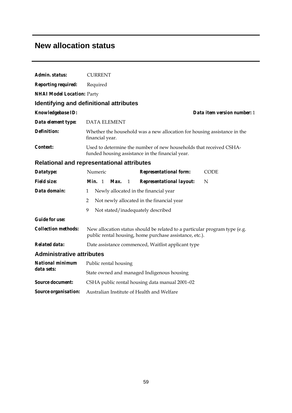### **New allocation status**

| Admin. status:                    | <b>CURRENT</b>                                                                                                                        |  |  |  |  |  |
|-----------------------------------|---------------------------------------------------------------------------------------------------------------------------------------|--|--|--|--|--|
| <b>Reporting required:</b>        | Required                                                                                                                              |  |  |  |  |  |
| <b>NHAI Model Location: Party</b> |                                                                                                                                       |  |  |  |  |  |
|                                   | <b>Identifying and definitional attributes</b>                                                                                        |  |  |  |  |  |
| Knowledgebase ID:                 | Data item version number: 1                                                                                                           |  |  |  |  |  |
| Data element type:                | <b>DATA ELEMENT</b>                                                                                                                   |  |  |  |  |  |
| <b>Definition:</b>                | Whether the household was a new allocation for housing assistance in the<br>financial year.                                           |  |  |  |  |  |
| <i>Context:</i>                   | Used to determine the number of new households that received CSHA-<br>funded housing assistance in the financial year.                |  |  |  |  |  |
|                                   | <b>Relational and representational attributes</b>                                                                                     |  |  |  |  |  |
| Datatype:                         | Numeric<br><b>Representational form:</b><br><b>CODE</b>                                                                               |  |  |  |  |  |
| <b>Field size:</b>                | <i>Min.</i> 1<br>Max.<br><b>Representational layout:</b><br>N<br>$\mathbf{1}$                                                         |  |  |  |  |  |
| Data domain:                      | Newly allocated in the financial year<br>1                                                                                            |  |  |  |  |  |
|                                   | Not newly allocated in the financial year<br>2                                                                                        |  |  |  |  |  |
|                                   | 9<br>Not stated/inadequately described                                                                                                |  |  |  |  |  |
| <b>Guide for use:</b>             |                                                                                                                                       |  |  |  |  |  |
| <b>Collection methods:</b>        | New allocation status should be related to a particular program type (e.g.<br>public rental housing, home purchase assistance, etc.). |  |  |  |  |  |
| <b>Related data:</b>              | Date assistance commenced, Waitlist applicant type                                                                                    |  |  |  |  |  |
| <b>Administrative attributes</b>  |                                                                                                                                       |  |  |  |  |  |
| <b>National minimum</b>           | Public rental housing                                                                                                                 |  |  |  |  |  |
| data sets:                        | State owned and managed Indigenous housing                                                                                            |  |  |  |  |  |
| <b>Source document:</b>           | CSHA public rental housing data manual 2001-02                                                                                        |  |  |  |  |  |
| Source organisation:              | Australian Institute of Health and Welfare                                                                                            |  |  |  |  |  |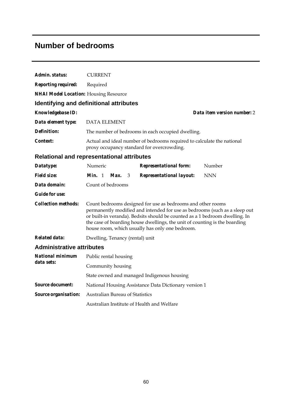## **Number of bedrooms**

| Admin. status:                                    | <b>CURRENT</b>                                                                                                                                                                                                                                                                                                                                            |  |  |                                                                                                                      |  |                             |
|---------------------------------------------------|-----------------------------------------------------------------------------------------------------------------------------------------------------------------------------------------------------------------------------------------------------------------------------------------------------------------------------------------------------------|--|--|----------------------------------------------------------------------------------------------------------------------|--|-----------------------------|
| <b>Reporting required:</b>                        | Required                                                                                                                                                                                                                                                                                                                                                  |  |  |                                                                                                                      |  |                             |
| <b>NHAI Model Location: Housing Resource</b>      |                                                                                                                                                                                                                                                                                                                                                           |  |  |                                                                                                                      |  |                             |
| <b>Identifying and definitional attributes</b>    |                                                                                                                                                                                                                                                                                                                                                           |  |  |                                                                                                                      |  |                             |
| Knowledgebase ID:                                 |                                                                                                                                                                                                                                                                                                                                                           |  |  |                                                                                                                      |  | Data item version number: 2 |
| Data element type:                                | <b>DATA ELEMENT</b>                                                                                                                                                                                                                                                                                                                                       |  |  |                                                                                                                      |  |                             |
| <b>Definition:</b>                                |                                                                                                                                                                                                                                                                                                                                                           |  |  | The number of bedrooms in each occupied dwelling.                                                                    |  |                             |
| <i>Context:</i>                                   |                                                                                                                                                                                                                                                                                                                                                           |  |  | Actual and ideal number of bedrooms required to calculate the national<br>proxy occupancy standard for overcrowding. |  |                             |
| <b>Relational and representational attributes</b> |                                                                                                                                                                                                                                                                                                                                                           |  |  |                                                                                                                      |  |                             |
| Datatype:                                         | Numeric                                                                                                                                                                                                                                                                                                                                                   |  |  | <b>Representational form:</b>                                                                                        |  | Number                      |
| <b>Field size:</b>                                | Min. 1 Max. $3$                                                                                                                                                                                                                                                                                                                                           |  |  | <b>Representational layout:</b>                                                                                      |  | <b>NNN</b>                  |
| Data domain:                                      | Count of bedrooms                                                                                                                                                                                                                                                                                                                                         |  |  |                                                                                                                      |  |                             |
| <i>Guide for use:</i>                             |                                                                                                                                                                                                                                                                                                                                                           |  |  |                                                                                                                      |  |                             |
| <b>Collection methods:</b>                        | Count bedrooms designed for use as bedrooms and other rooms<br>permanently modified and intended for use as bedrooms (such as a sleep out<br>or built-in veranda). Bedsits should be counted as a 1 bedroom dwelling. In<br>the case of boarding house dwellings, the unit of counting is the boarding<br>house room, which usually has only one bedroom. |  |  |                                                                                                                      |  |                             |
| Related data:                                     | Dwelling, Tenancy (rental) unit                                                                                                                                                                                                                                                                                                                           |  |  |                                                                                                                      |  |                             |
| <b>Administrative attributes</b>                  |                                                                                                                                                                                                                                                                                                                                                           |  |  |                                                                                                                      |  |                             |
| National minimum                                  | Public rental housing                                                                                                                                                                                                                                                                                                                                     |  |  |                                                                                                                      |  |                             |
| data sets:                                        | Community housing                                                                                                                                                                                                                                                                                                                                         |  |  |                                                                                                                      |  |                             |
|                                                   |                                                                                                                                                                                                                                                                                                                                                           |  |  | State owned and managed Indigenous housing                                                                           |  |                             |
| <b>Source document:</b>                           |                                                                                                                                                                                                                                                                                                                                                           |  |  | National Housing Assistance Data Dictionary version 1                                                                |  |                             |
| Source organisation:                              | Australian Bureau of Statistics                                                                                                                                                                                                                                                                                                                           |  |  |                                                                                                                      |  |                             |
|                                                   |                                                                                                                                                                                                                                                                                                                                                           |  |  | Australian Institute of Health and Welfare                                                                           |  |                             |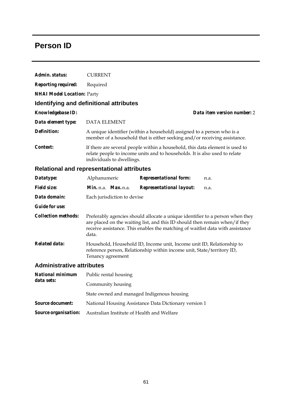## **Person ID**

| Admin. status:                    | <b>CURRENT</b>                                                                                                                                                                                                                                           |                                                                                                                                                            |                             |  |  |  |
|-----------------------------------|----------------------------------------------------------------------------------------------------------------------------------------------------------------------------------------------------------------------------------------------------------|------------------------------------------------------------------------------------------------------------------------------------------------------------|-----------------------------|--|--|--|
| <b>Reporting required:</b>        | Required                                                                                                                                                                                                                                                 |                                                                                                                                                            |                             |  |  |  |
| <b>NHAI Model Location: Party</b> |                                                                                                                                                                                                                                                          |                                                                                                                                                            |                             |  |  |  |
|                                   | Identifying and definitional attributes                                                                                                                                                                                                                  |                                                                                                                                                            |                             |  |  |  |
| <b>Knowledgebase ID:</b>          |                                                                                                                                                                                                                                                          |                                                                                                                                                            | Data item version number: 2 |  |  |  |
| Data element type:                | <b>DATA ELEMENT</b>                                                                                                                                                                                                                                      |                                                                                                                                                            |                             |  |  |  |
| Definition:                       |                                                                                                                                                                                                                                                          | A unique identifier (within a household) assigned to a person who is a<br>member of a household that is either seeking and/or receiving assistance.        |                             |  |  |  |
| <i>Context:</i>                   | individuals to dwellings.                                                                                                                                                                                                                                | If there are several people within a household, this data element is used to<br>relate people to income units and to households. It is also used to relate |                             |  |  |  |
|                                   | <b>Relational and representational attributes</b>                                                                                                                                                                                                        |                                                                                                                                                            |                             |  |  |  |
| Datatype:                         | Alphanumeric                                                                                                                                                                                                                                             | <b>Representational form:</b>                                                                                                                              | n.a.                        |  |  |  |
| <i>Field size:</i>                | Min. n.a. Max. n.a.                                                                                                                                                                                                                                      | <b>Representational layout:</b>                                                                                                                            | n.a.                        |  |  |  |
| Data domain:                      | Each jurisdiction to devise                                                                                                                                                                                                                              |                                                                                                                                                            |                             |  |  |  |
| <b>Guide for use:</b>             |                                                                                                                                                                                                                                                          |                                                                                                                                                            |                             |  |  |  |
| <b>Collection methods:</b>        | Preferably agencies should allocate a unique identifier to a person when they<br>are placed on the waiting list, and this ID should then remain when/ if they<br>receive assistance. This enables the matching of waitlist data with assistance<br>data. |                                                                                                                                                            |                             |  |  |  |
| Related data:                     | Household, Household ID, Income unit, Income unit ID, Relationship to<br>reference person, Relationship within income unit, State/territory ID,<br>Tenancy agreement                                                                                     |                                                                                                                                                            |                             |  |  |  |
| <b>Administrative attributes</b>  |                                                                                                                                                                                                                                                          |                                                                                                                                                            |                             |  |  |  |
| <b>National minimum</b>           | Public rental housing                                                                                                                                                                                                                                    |                                                                                                                                                            |                             |  |  |  |
| data sets:                        | Community housing                                                                                                                                                                                                                                        |                                                                                                                                                            |                             |  |  |  |
|                                   | State owned and managed Indigenous housing                                                                                                                                                                                                               |                                                                                                                                                            |                             |  |  |  |
| <b>Source document:</b>           |                                                                                                                                                                                                                                                          | National Housing Assistance Data Dictionary version 1                                                                                                      |                             |  |  |  |
| Source organisation:              | Australian Institute of Health and Welfare                                                                                                                                                                                                               |                                                                                                                                                            |                             |  |  |  |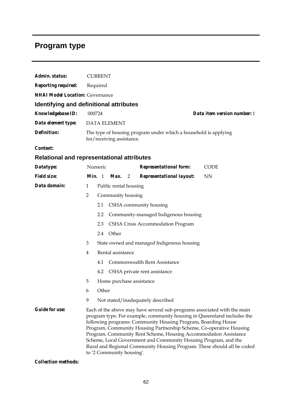# **Program type**

|                                                   |                                                                                                                                                                                                                                                                                                                                                                                                                                                                                                                                            | <b>CURRENT</b> |                          |   |                                            |  |             |
|---------------------------------------------------|--------------------------------------------------------------------------------------------------------------------------------------------------------------------------------------------------------------------------------------------------------------------------------------------------------------------------------------------------------------------------------------------------------------------------------------------------------------------------------------------------------------------------------------------|----------------|--------------------------|---|--------------------------------------------|--|-------------|
| Admin. status:                                    |                                                                                                                                                                                                                                                                                                                                                                                                                                                                                                                                            |                |                          |   |                                            |  |             |
| <b>Reporting required:</b>                        | Required                                                                                                                                                                                                                                                                                                                                                                                                                                                                                                                                   |                |                          |   |                                            |  |             |
| <b>NHAI Model Location: Governance</b>            |                                                                                                                                                                                                                                                                                                                                                                                                                                                                                                                                            |                |                          |   |                                            |  |             |
| Identifying and definitional attributes           |                                                                                                                                                                                                                                                                                                                                                                                                                                                                                                                                            |                |                          |   |                                            |  |             |
| Knowledgebase ID:                                 | 000724<br>Data item version number: 1                                                                                                                                                                                                                                                                                                                                                                                                                                                                                                      |                |                          |   |                                            |  |             |
| Data element type:                                | <b>DATA ELEMENT</b>                                                                                                                                                                                                                                                                                                                                                                                                                                                                                                                        |                |                          |   |                                            |  |             |
| <b>Definition:</b>                                | The type of housing program under which a household is applying<br>for/receiving assistance.                                                                                                                                                                                                                                                                                                                                                                                                                                               |                |                          |   |                                            |  |             |
| Context:                                          |                                                                                                                                                                                                                                                                                                                                                                                                                                                                                                                                            |                |                          |   |                                            |  |             |
| <b>Relational and representational attributes</b> |                                                                                                                                                                                                                                                                                                                                                                                                                                                                                                                                            |                |                          |   |                                            |  |             |
| Datatype:                                         |                                                                                                                                                                                                                                                                                                                                                                                                                                                                                                                                            | Numeric        |                          |   | <b>Representational form:</b>              |  | <b>CODE</b> |
| <b>Field size:</b>                                | Min. 1                                                                                                                                                                                                                                                                                                                                                                                                                                                                                                                                     |                | Max.                     | 2 | <b>Representational layout:</b>            |  | <b>NN</b>   |
| Data domain:                                      | 1                                                                                                                                                                                                                                                                                                                                                                                                                                                                                                                                          |                | Public rental housing    |   |                                            |  |             |
|                                                   | $\overline{2}$                                                                                                                                                                                                                                                                                                                                                                                                                                                                                                                             |                | Community housing        |   |                                            |  |             |
|                                                   |                                                                                                                                                                                                                                                                                                                                                                                                                                                                                                                                            | 2.1            |                          |   | CSHA community housing                     |  |             |
|                                                   |                                                                                                                                                                                                                                                                                                                                                                                                                                                                                                                                            | 2.2            |                          |   | Community-managed Indigenous housing       |  |             |
|                                                   |                                                                                                                                                                                                                                                                                                                                                                                                                                                                                                                                            | 2.3            |                          |   | CSHA Crisis Accommodation Program          |  |             |
|                                                   |                                                                                                                                                                                                                                                                                                                                                                                                                                                                                                                                            | 2.4 Other      |                          |   |                                            |  |             |
|                                                   | 3                                                                                                                                                                                                                                                                                                                                                                                                                                                                                                                                          |                |                          |   | State owned and managed Indigenous housing |  |             |
|                                                   | 4                                                                                                                                                                                                                                                                                                                                                                                                                                                                                                                                          |                | Rental assistance        |   |                                            |  |             |
|                                                   |                                                                                                                                                                                                                                                                                                                                                                                                                                                                                                                                            | 4.1            |                          |   | Commonwealth Rent Assistance               |  |             |
|                                                   |                                                                                                                                                                                                                                                                                                                                                                                                                                                                                                                                            | 4.2            |                          |   | CSHA private rent assistance               |  |             |
|                                                   | 5                                                                                                                                                                                                                                                                                                                                                                                                                                                                                                                                          |                | Home purchase assistance |   |                                            |  |             |
|                                                   | 6                                                                                                                                                                                                                                                                                                                                                                                                                                                                                                                                          | Other          |                          |   |                                            |  |             |
|                                                   | 9                                                                                                                                                                                                                                                                                                                                                                                                                                                                                                                                          |                |                          |   | Not stated/inadequately described          |  |             |
| <b>Guide for use:</b>                             | Each of the above may have several sub-programs associated with the main<br>program type. For example, community housing in Queensland includes the<br>following programs: Community Housing Program, Boarding House<br>Program, Community Housing Partnership Scheme, Co-operative Housing<br>Program, Community Rent Scheme, Housing Accommodation Assistance<br>Scheme, Local Government and Community Housing Program, and the<br>Rural and Regional Community Housing Program. These should all be coded<br>to '2 Community housing'. |                |                          |   |                                            |  |             |

*Collection methods:*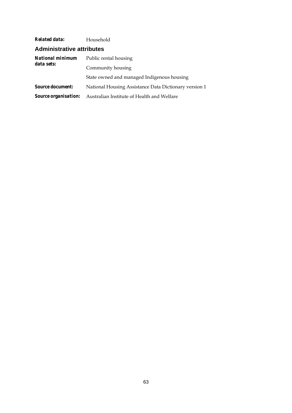| Related data:                  | Household                                             |  |  |  |  |
|--------------------------------|-------------------------------------------------------|--|--|--|--|
| Administrative attributes      |                                                       |  |  |  |  |
| National minimum<br>data sets: | Public rental housing                                 |  |  |  |  |
|                                | Community housing                                     |  |  |  |  |
|                                | State owned and managed Indigenous housing            |  |  |  |  |
| <b>Source document:</b>        | National Housing Assistance Data Dictionary version 1 |  |  |  |  |
| <i>Source organisation:</i>    | Australian Institute of Health and Welfare            |  |  |  |  |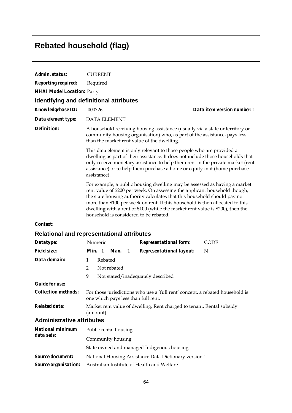# **Rebated household (flag)**

| Admin. status:                        | <b>CURRENT</b>                                                                                                                                                                                                                                                                                                                                                                                                                                   |
|---------------------------------------|--------------------------------------------------------------------------------------------------------------------------------------------------------------------------------------------------------------------------------------------------------------------------------------------------------------------------------------------------------------------------------------------------------------------------------------------------|
| <b>Reporting required:</b>            | Required                                                                                                                                                                                                                                                                                                                                                                                                                                         |
| <b>NHAI Model Location: Party</b>     |                                                                                                                                                                                                                                                                                                                                                                                                                                                  |
|                                       | <b>Identifying and definitional attributes</b>                                                                                                                                                                                                                                                                                                                                                                                                   |
| <b>Knowledgebase ID:</b>              | Data item version number: 1<br>000726                                                                                                                                                                                                                                                                                                                                                                                                            |
| Data element type:                    | <b>DATA ELEMENT</b>                                                                                                                                                                                                                                                                                                                                                                                                                              |
| <b>Definition:</b>                    | A household receiving housing assistance (usually via a state or territory or<br>community housing organisation) who, as part of the assistance, pays less<br>than the market rent value of the dwelling.                                                                                                                                                                                                                                        |
|                                       | This data element is only relevant to those people who are provided a<br>dwelling as part of their assistance. It does not include those households that<br>only receive monetary assistance to help them rent in the private market (rent<br>assistance) or to help them purchase a home or equity in it (home purchase<br>assistance).                                                                                                         |
|                                       | For example, a public housing dwelling may be assessed as having a market<br>rent value of \$200 per week. On assessing the applicant household though,<br>the state housing authority calculates that this household should pay no<br>more than \$100 per week on rent. If this household is then allocated to this<br>dwelling with a rent of \$100 (while the market rent value is \$200), then the<br>household is considered to be rebated. |
| Context:                              |                                                                                                                                                                                                                                                                                                                                                                                                                                                  |
|                                       | <b>Relational and representational attributes</b>                                                                                                                                                                                                                                                                                                                                                                                                |
| Datatype:                             | Numeric<br><b>Representational form:</b><br><b>CODE</b>                                                                                                                                                                                                                                                                                                                                                                                          |
| <b>Field size:</b>                    | <i>Min.</i> 1<br>Max.<br><b>Representational layout:</b><br>N<br>-1                                                                                                                                                                                                                                                                                                                                                                              |
| Data domain:                          | Rebated<br>1                                                                                                                                                                                                                                                                                                                                                                                                                                     |
|                                       | 2<br>Not rebated                                                                                                                                                                                                                                                                                                                                                                                                                                 |
|                                       | 9<br>Not stated/inadequately described                                                                                                                                                                                                                                                                                                                                                                                                           |
| <b>Guide for use:</b>                 |                                                                                                                                                                                                                                                                                                                                                                                                                                                  |
| <b>Collection methods:</b>            | For those jurisdictions who use a 'full rent' concept, a rebated household is<br>one which pays less than full rent.                                                                                                                                                                                                                                                                                                                             |
| <b>Related data:</b>                  | Market rent value of dwelling, Rent charged to tenant, Rental subsidy<br>(amount)                                                                                                                                                                                                                                                                                                                                                                |
| <b>Administrative attributes</b>      |                                                                                                                                                                                                                                                                                                                                                                                                                                                  |
| <b>National minimum</b><br>data sets: | Public rental housing                                                                                                                                                                                                                                                                                                                                                                                                                            |
|                                       | Community housing                                                                                                                                                                                                                                                                                                                                                                                                                                |
|                                       | State owned and managed Indigenous housing                                                                                                                                                                                                                                                                                                                                                                                                       |
| <b>Source document:</b>               | National Housing Assistance Data Dictionary version 1                                                                                                                                                                                                                                                                                                                                                                                            |
| <b>Source organisation:</b>           | Australian Institute of Health and Welfare                                                                                                                                                                                                                                                                                                                                                                                                       |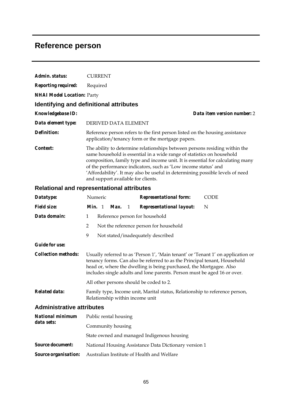## **Reference person**

| Admin. status:                                    | <b>CURRENT</b>                                                                                                                                                                                                                                                                                                                                                                                                                  |  |
|---------------------------------------------------|---------------------------------------------------------------------------------------------------------------------------------------------------------------------------------------------------------------------------------------------------------------------------------------------------------------------------------------------------------------------------------------------------------------------------------|--|
| <b>Reporting required:</b>                        | Required                                                                                                                                                                                                                                                                                                                                                                                                                        |  |
| <b>NHAI Model Location: Party</b>                 |                                                                                                                                                                                                                                                                                                                                                                                                                                 |  |
| Identifying and definitional attributes           |                                                                                                                                                                                                                                                                                                                                                                                                                                 |  |
| Knowledgebase ID:                                 | Data item version number: 2                                                                                                                                                                                                                                                                                                                                                                                                     |  |
| Data element type:                                | DERIVED DATA ELEMENT                                                                                                                                                                                                                                                                                                                                                                                                            |  |
| <b>Definition:</b>                                | Reference person refers to the first person listed on the housing assistance<br>application/tenancy form or the mortgage papers.                                                                                                                                                                                                                                                                                                |  |
| Context:                                          | The ability to determine relationships between persons residing within the<br>same household is essential in a wide range of statistics on household<br>composition, family type and income unit. It is essential for calculating many<br>of the performance indicators, such as 'Low income status' and<br>'Affordability'. It may also be useful in determining possible levels of need<br>and support available for clients. |  |
| <b>Relational and representational attributes</b> |                                                                                                                                                                                                                                                                                                                                                                                                                                 |  |
| Datatype:                                         | Numeric<br><b>Representational form:</b><br><b>CODE</b>                                                                                                                                                                                                                                                                                                                                                                         |  |
| <b>Field size:</b>                                | Min. 1<br>Max.<br><b>Representational layout:</b><br>N<br>1                                                                                                                                                                                                                                                                                                                                                                     |  |
| Data domain:                                      | Reference person for household<br>1                                                                                                                                                                                                                                                                                                                                                                                             |  |
|                                                   | $\overline{2}$<br>Not the reference person for household                                                                                                                                                                                                                                                                                                                                                                        |  |
|                                                   | 9<br>Not stated/inadequately described                                                                                                                                                                                                                                                                                                                                                                                          |  |
| <b>Guide for use:</b>                             |                                                                                                                                                                                                                                                                                                                                                                                                                                 |  |
| <b>Collection methods:</b>                        | Usually referred to as 'Person 1', 'Main tenant' or 'Tenant 1' on application or<br>tenancy forms. Can also be referred to as the Principal tenant, Household<br>head or, where the dwelling is being purchased, the Mortgagee. Also<br>includes single adults and lone parents. Person must be aged 16 or over.                                                                                                                |  |
|                                                   | All other persons should be coded to 2.                                                                                                                                                                                                                                                                                                                                                                                         |  |
| Related data:                                     | Family type, Income unit, Marital status, Relationship to reference person,<br>Relationship within income unit                                                                                                                                                                                                                                                                                                                  |  |
| <b>Administrative attributes</b>                  |                                                                                                                                                                                                                                                                                                                                                                                                                                 |  |
| <b>National minimum</b><br>data sets:             | Public rental housing                                                                                                                                                                                                                                                                                                                                                                                                           |  |
|                                                   | Community housing                                                                                                                                                                                                                                                                                                                                                                                                               |  |
|                                                   | State owned and managed Indigenous housing                                                                                                                                                                                                                                                                                                                                                                                      |  |
| <b>Source document:</b>                           | National Housing Assistance Data Dictionary version 1                                                                                                                                                                                                                                                                                                                                                                           |  |
| <b>Source organisation:</b>                       | Australian Institute of Health and Welfare                                                                                                                                                                                                                                                                                                                                                                                      |  |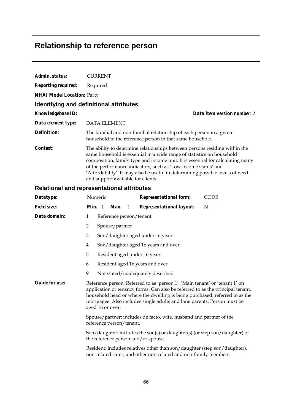# **Relationship to reference person**

| Admin. status:                    | <b>CURRENT</b>                                                                                                                                                                                                                                                                                                                                                                                                                  |
|-----------------------------------|---------------------------------------------------------------------------------------------------------------------------------------------------------------------------------------------------------------------------------------------------------------------------------------------------------------------------------------------------------------------------------------------------------------------------------|
| <b>Reporting required:</b>        | Required                                                                                                                                                                                                                                                                                                                                                                                                                        |
| <b>NHAI Model Location: Party</b> |                                                                                                                                                                                                                                                                                                                                                                                                                                 |
|                                   | <b>Identifying and definitional attributes</b>                                                                                                                                                                                                                                                                                                                                                                                  |
| Knowledgebase ID:                 | Data item version number: 2                                                                                                                                                                                                                                                                                                                                                                                                     |
| Data element type:                | <b>DATA ELEMENT</b>                                                                                                                                                                                                                                                                                                                                                                                                             |
| <b>Definition:</b>                | The familial and non-familial relationship of each person in a given<br>household to the reference person in that same household.                                                                                                                                                                                                                                                                                               |
| Context:                          | The ability to determine relationships between persons residing within the<br>same household is essential in a wide range of statistics on household<br>composition, family type and income unit. It is essential for calculating many<br>of the performance indicators, such as 'Low income status' and<br>'Affordability'. It may also be useful in determining possible levels of need<br>and support available for clients. |
|                                   | <b>Relational and representational attributes</b>                                                                                                                                                                                                                                                                                                                                                                               |
| Datatype:                         | Numeric<br><b>Representational form:</b><br><b>CODE</b>                                                                                                                                                                                                                                                                                                                                                                         |
| <b>Field size:</b>                | Min. 1<br>N<br>Max.<br>$\mathbf{1}$<br><b>Representational layout:</b>                                                                                                                                                                                                                                                                                                                                                          |
| Data domain:                      | Reference person/tenant<br>1                                                                                                                                                                                                                                                                                                                                                                                                    |
|                                   | Spouse/partner<br>2                                                                                                                                                                                                                                                                                                                                                                                                             |
|                                   | 3<br>Son/daughter aged under 16 years                                                                                                                                                                                                                                                                                                                                                                                           |
|                                   | Son/daughter aged 16 years and over<br>4                                                                                                                                                                                                                                                                                                                                                                                        |
|                                   | 5<br>Resident aged under 16 years                                                                                                                                                                                                                                                                                                                                                                                               |
|                                   | 6<br>Resident aged 16 years and over                                                                                                                                                                                                                                                                                                                                                                                            |
|                                   | 9<br>Not stated/inadequately described                                                                                                                                                                                                                                                                                                                                                                                          |
| <b>Guide for use:</b>             | Reference person: Referred to as 'person 1', 'Main tenant' or 'tenant 1' on<br>application or tenancy forms. Can also be referred to as the principal tenant,<br>household head or where the dwelling is being purchased, referred to as the<br>mortgagee. Also includes single adults and lone parents. Person must be<br>aged 16 or over.                                                                                     |
|                                   | Spouse/partner: includes de facto, wife, husband and partner of the<br>reference person/tenant.                                                                                                                                                                                                                                                                                                                                 |
|                                   | Son/daughter: includes the son(s) or daughter(s) (or step son/daughter) of<br>the reference person and/or spouse.                                                                                                                                                                                                                                                                                                               |
|                                   | Resident: includes relatives other than son/daughter (step son/daughter),<br>non-related carer, and other non-related and non-family members.                                                                                                                                                                                                                                                                                   |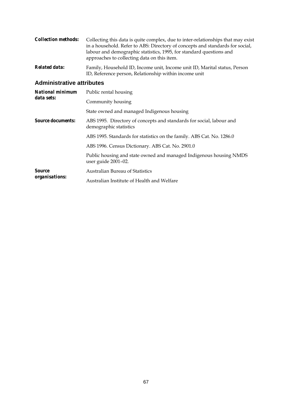| <i>Collection methods:</i> | Collecting this data is quite complex, due to inter-relationships that may exist<br>in a household. Refer to ABS: Directory of concepts and standards for social,<br>labour and demographic statistics, 1995, for standard questions and<br>approaches to collecting data on this item. |
|----------------------------|-----------------------------------------------------------------------------------------------------------------------------------------------------------------------------------------------------------------------------------------------------------------------------------------|
| Related data:              | Family, Household ID, Income unit, Income unit ID, Marital status, Person                                                                                                                                                                                                               |

ID, Reference person, Relationship within income unit

#### **Administrative attributes**

| <b>National minimum</b><br>data sets: | Public rental housing                                                                          |  |  |  |  |  |  |
|---------------------------------------|------------------------------------------------------------------------------------------------|--|--|--|--|--|--|
|                                       | Community housing                                                                              |  |  |  |  |  |  |
|                                       | State owned and managed Indigenous housing                                                     |  |  |  |  |  |  |
| <b>Source documents:</b>              | ABS 1995. Directory of concepts and standards for social, labour and<br>demographic statistics |  |  |  |  |  |  |
|                                       | ABS 1995. Standards for statistics on the family. ABS Cat. No. 1286.0                          |  |  |  |  |  |  |
|                                       | ABS 1996. Census Dictionary. ABS Cat. No. 2901.0                                               |  |  |  |  |  |  |
|                                       | Public housing and state owned and managed Indigenous housing NMDS<br>user guide 2001-02.      |  |  |  |  |  |  |
| <b>Source</b><br>organisations:       | <b>Australian Bureau of Statistics</b>                                                         |  |  |  |  |  |  |
|                                       | Australian Institute of Health and Welfare                                                     |  |  |  |  |  |  |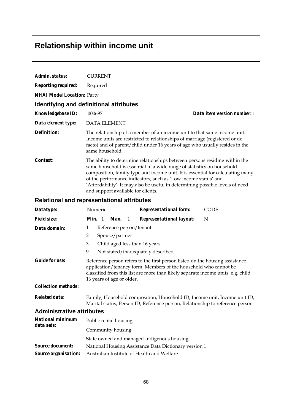## **Relationship within income unit**

| Admin. status:             | <b>CURRENT</b>                                                                                                                                                                                                                                                                                                                                                                                                                  |  |  |  |  |  |  |  |
|----------------------------|---------------------------------------------------------------------------------------------------------------------------------------------------------------------------------------------------------------------------------------------------------------------------------------------------------------------------------------------------------------------------------------------------------------------------------|--|--|--|--|--|--|--|
| <b>Reporting required:</b> | Required                                                                                                                                                                                                                                                                                                                                                                                                                        |  |  |  |  |  |  |  |
|                            | <b>NHAI Model Location: Party</b>                                                                                                                                                                                                                                                                                                                                                                                               |  |  |  |  |  |  |  |
|                            | Identifying and definitional attributes                                                                                                                                                                                                                                                                                                                                                                                         |  |  |  |  |  |  |  |
| <b>Knowledgebase ID:</b>   | Data item version number: 1<br>000697                                                                                                                                                                                                                                                                                                                                                                                           |  |  |  |  |  |  |  |
| Data element type:         | <b>DATA ELEMENT</b>                                                                                                                                                                                                                                                                                                                                                                                                             |  |  |  |  |  |  |  |
| Definition:                | The relationship of a member of an income unit to that same income unit.<br>Income units are restricted to relationships of marriage (registered or de<br>facto) and of parent/child under 16 years of age who usually resides in the<br>same household.                                                                                                                                                                        |  |  |  |  |  |  |  |
| Context:                   | The ability to determine relationships between persons residing within the<br>same household is essential in a wide range of statistics on household<br>composition, family type and income unit. It is essential for calculating many<br>of the performance indicators, such as 'Low income status' and<br>'Affordability'. It may also be useful in determining possible levels of need<br>and support available for clients. |  |  |  |  |  |  |  |

### **Relational and representational attributes**

| Datatype:                             |                                                                                                                                                                                                                                                                   | Numeric |                         |   | <b>Representational form:</b>                                                                                                                              | <b>CODE</b> |  |
|---------------------------------------|-------------------------------------------------------------------------------------------------------------------------------------------------------------------------------------------------------------------------------------------------------------------|---------|-------------------------|---|------------------------------------------------------------------------------------------------------------------------------------------------------------|-------------|--|
| <b>Field size:</b>                    | Min. 1                                                                                                                                                                                                                                                            |         | Max.                    | 1 | <b>Representational layout:</b>                                                                                                                            | N           |  |
| Data domain:                          | 1                                                                                                                                                                                                                                                                 |         | Reference person/tenant |   |                                                                                                                                                            |             |  |
|                                       | 2                                                                                                                                                                                                                                                                 |         | Spouse/partner          |   |                                                                                                                                                            |             |  |
|                                       | 3<br>Child aged less than 16 years                                                                                                                                                                                                                                |         |                         |   |                                                                                                                                                            |             |  |
|                                       | 9<br>Not stated/inadequately described                                                                                                                                                                                                                            |         |                         |   |                                                                                                                                                            |             |  |
| <b>Guide for use:</b>                 | Reference person refers to the first person listed on the housing assistance<br>application/tenancy form. Members of the household who cannot be<br>classified from this list are more than likely separate income units, e.g. child<br>16 years of age or older. |         |                         |   |                                                                                                                                                            |             |  |
| <b>Collection methods:</b>            |                                                                                                                                                                                                                                                                   |         |                         |   |                                                                                                                                                            |             |  |
| <b>Related data:</b>                  |                                                                                                                                                                                                                                                                   |         |                         |   | Family, Household composition, Household ID, Income unit, Income unit ID,<br>Marital status, Person ID, Reference person, Relationship to reference person |             |  |
| <b>Administrative attributes</b>      |                                                                                                                                                                                                                                                                   |         |                         |   |                                                                                                                                                            |             |  |
| <b>National minimum</b><br>data sets: | Public rental housing                                                                                                                                                                                                                                             |         |                         |   |                                                                                                                                                            |             |  |
|                                       | Community housing                                                                                                                                                                                                                                                 |         |                         |   |                                                                                                                                                            |             |  |
|                                       |                                                                                                                                                                                                                                                                   |         |                         |   | State owned and managed Indigenous housing                                                                                                                 |             |  |
| <i>Source document:</i>               |                                                                                                                                                                                                                                                                   |         |                         |   | National Housing Assistance Data Dictionary version 1                                                                                                      |             |  |

*Source organisation:* Australian Institute of Health and Welfare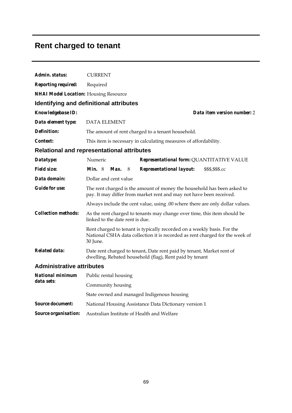# **Rent charged to tenant**

| Admin. status:                               | <b>CURRENT</b>                                                                                                                                                      |  |  |  |  |  |  |  |
|----------------------------------------------|---------------------------------------------------------------------------------------------------------------------------------------------------------------------|--|--|--|--|--|--|--|
| <b>Reporting required:</b>                   | Required                                                                                                                                                            |  |  |  |  |  |  |  |
| <b>NHAI Model Location: Housing Resource</b> |                                                                                                                                                                     |  |  |  |  |  |  |  |
|                                              | <b>Identifying and definitional attributes</b>                                                                                                                      |  |  |  |  |  |  |  |
| Knowledgebase ID:                            | Data item version number: 2                                                                                                                                         |  |  |  |  |  |  |  |
| Data element type:                           | <b>DATA ELEMENT</b>                                                                                                                                                 |  |  |  |  |  |  |  |
| Definition:                                  | The amount of rent charged to a tenant household.                                                                                                                   |  |  |  |  |  |  |  |
| <i>Context:</i>                              | This item is necessary in calculating measures of affordability.                                                                                                    |  |  |  |  |  |  |  |
|                                              | <b>Relational and representational attributes</b>                                                                                                                   |  |  |  |  |  |  |  |
| Datatype:                                    | Numeric<br>Representational form: QUANTITATIVE VALUE                                                                                                                |  |  |  |  |  |  |  |
| <i>Field size:</i>                           | Min. 8<br>Max.<br>8<br><b>Representational layout:</b><br>\$\$\$,\$\$\$.cc                                                                                          |  |  |  |  |  |  |  |
| Data domain:                                 | Dollar and cent value                                                                                                                                               |  |  |  |  |  |  |  |
| <b>Guide for use:</b>                        | The rent charged is the amount of money the household has been asked to<br>pay. It may differ from market rent and may not have been received.                      |  |  |  |  |  |  |  |
|                                              | Always include the cent value, using .00 where there are only dollar values.                                                                                        |  |  |  |  |  |  |  |
| <b>Collection methods:</b>                   | As the rent charged to tenants may change over time, this item should be<br>linked to the date rent is due.                                                         |  |  |  |  |  |  |  |
|                                              | Rent charged to tenant is typically recorded on a weekly basis. For the<br>National CSHA data collection it is recorded as rent charged for the week of<br>30 June. |  |  |  |  |  |  |  |
| <b>Related data:</b>                         | Date rent charged to tenant, Date rent paid by tenant, Market rent of<br>dwelling, Rebated household (flag), Rent paid by tenant                                    |  |  |  |  |  |  |  |
| <b>Administrative attributes</b>             |                                                                                                                                                                     |  |  |  |  |  |  |  |
| National minimum                             | Public rental housing                                                                                                                                               |  |  |  |  |  |  |  |
| data sets:                                   | Community housing                                                                                                                                                   |  |  |  |  |  |  |  |
|                                              | State owned and managed Indigenous housing                                                                                                                          |  |  |  |  |  |  |  |
| <b>Source document:</b>                      | National Housing Assistance Data Dictionary version 1                                                                                                               |  |  |  |  |  |  |  |
| Source organisation:                         | Australian Institute of Health and Welfare                                                                                                                          |  |  |  |  |  |  |  |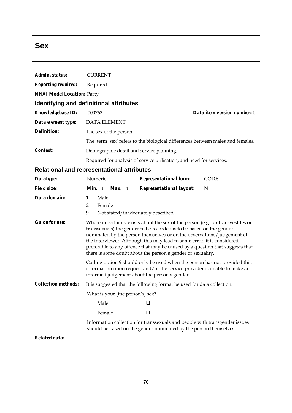## **Sex**

| Admin. status:                    | <b>CURRENT</b>                                                                                                                                                                                                                                                                                                                                                                                                                                               |  |  |  |  |  |
|-----------------------------------|--------------------------------------------------------------------------------------------------------------------------------------------------------------------------------------------------------------------------------------------------------------------------------------------------------------------------------------------------------------------------------------------------------------------------------------------------------------|--|--|--|--|--|
| <b>Reporting required:</b>        | Required                                                                                                                                                                                                                                                                                                                                                                                                                                                     |  |  |  |  |  |
| <b>NHAI Model Location: Party</b> |                                                                                                                                                                                                                                                                                                                                                                                                                                                              |  |  |  |  |  |
|                                   | Identifying and definitional attributes                                                                                                                                                                                                                                                                                                                                                                                                                      |  |  |  |  |  |
| <b>Knowledgebase ID:</b>          | 000763<br>Data item version number: 1                                                                                                                                                                                                                                                                                                                                                                                                                        |  |  |  |  |  |
| Data element type:                | <b>DATA ELEMENT</b>                                                                                                                                                                                                                                                                                                                                                                                                                                          |  |  |  |  |  |
| <b>Definition:</b>                | The sex of the person.                                                                                                                                                                                                                                                                                                                                                                                                                                       |  |  |  |  |  |
|                                   | The term 'sex' refers to the biological differences between males and females.                                                                                                                                                                                                                                                                                                                                                                               |  |  |  |  |  |
| Context:                          | Demographic detail and service planning.                                                                                                                                                                                                                                                                                                                                                                                                                     |  |  |  |  |  |
|                                   | Required for analysis of service utilisation, and need for services.                                                                                                                                                                                                                                                                                                                                                                                         |  |  |  |  |  |
|                                   | Relational and representational attributes                                                                                                                                                                                                                                                                                                                                                                                                                   |  |  |  |  |  |
| Datatype:                         | Numeric<br><b>Representational form:</b><br><b>CODE</b>                                                                                                                                                                                                                                                                                                                                                                                                      |  |  |  |  |  |
| <b>Field size:</b>                | Min. 1<br>N<br><b>Max.</b> 1<br><b>Representational layout:</b>                                                                                                                                                                                                                                                                                                                                                                                              |  |  |  |  |  |
| Data domain:                      | Male<br>$\mathbf{1}$<br>$\overline{2}$<br>Female<br>9<br>Not stated/inadequately described                                                                                                                                                                                                                                                                                                                                                                   |  |  |  |  |  |
| <b>Guide for use:</b>             | Where uncertainty exists about the sex of the person (e.g. for transvestites or<br>transsexuals) the gender to be recorded is to be based on the gender<br>nominated by the person themselves or on the observations/judgement of<br>the interviewer. Although this may lead to some error, it is considered<br>preferable to any offence that may be caused by a question that suggests that<br>there is some doubt about the person's gender or sexuality. |  |  |  |  |  |
|                                   | Coding option 9 should only be used when the person has not provided this<br>information upon request and/or the service provider is unable to make an<br>informed judgement about the person's gender.                                                                                                                                                                                                                                                      |  |  |  |  |  |
| <b>Collection methods:</b>        | It is suggested that the following format be used for data collection:                                                                                                                                                                                                                                                                                                                                                                                       |  |  |  |  |  |
|                                   | What is your [the person's] sex?                                                                                                                                                                                                                                                                                                                                                                                                                             |  |  |  |  |  |
|                                   | Male<br>⊔                                                                                                                                                                                                                                                                                                                                                                                                                                                    |  |  |  |  |  |
|                                   | Female<br>❏                                                                                                                                                                                                                                                                                                                                                                                                                                                  |  |  |  |  |  |
|                                   | Information collection for transsexuals and people with transgender issues<br>should be based on the gender nominated by the person themselves.                                                                                                                                                                                                                                                                                                              |  |  |  |  |  |

*Related data:*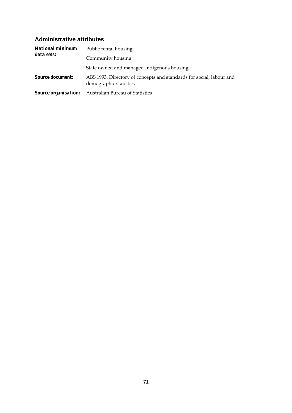#### **Administrative attributes**

| <b>National minimum</b><br>data sets: | Public rental housing                                                                          |  |  |  |  |  |
|---------------------------------------|------------------------------------------------------------------------------------------------|--|--|--|--|--|
|                                       | Community housing                                                                              |  |  |  |  |  |
|                                       | State owned and managed Indigenous housing                                                     |  |  |  |  |  |
| <b>Source document:</b>               | ABS 1993. Directory of concepts and standards for social, labour and<br>demographic statistics |  |  |  |  |  |
|                                       | <b>Source organisation:</b> Australian Bureau of Statistics                                    |  |  |  |  |  |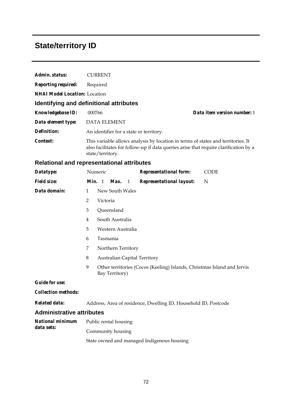# **State/territory ID**

| Admin. status:                       | <b>CURRENT</b>                                                                                                                                                                               |  |  |  |  |  |  |
|--------------------------------------|----------------------------------------------------------------------------------------------------------------------------------------------------------------------------------------------|--|--|--|--|--|--|
| <b>Reporting required:</b>           | Required                                                                                                                                                                                     |  |  |  |  |  |  |
| <b>NHAI Model Location:</b> Location |                                                                                                                                                                                              |  |  |  |  |  |  |
|                                      | Identifying and definitional attributes                                                                                                                                                      |  |  |  |  |  |  |
| <b>Knowledgebase ID:</b>             | 000766<br>Data item version number: 1                                                                                                                                                        |  |  |  |  |  |  |
| Data element type:                   | <b>DATA ELEMENT</b>                                                                                                                                                                          |  |  |  |  |  |  |
| Definition:                          | An identifier for a state or territory.                                                                                                                                                      |  |  |  |  |  |  |
| Context:                             | This variable allows analysis by location in terms of states and territories. It<br>also facilitates for follow-up if data queries arise that require clarification by a<br>state/territory. |  |  |  |  |  |  |
|                                      | <b>Relational and representational attributes</b>                                                                                                                                            |  |  |  |  |  |  |
| Datatype:                            | Numeric<br><b>Representational form:</b><br><b>CODE</b>                                                                                                                                      |  |  |  |  |  |  |
| <b>Field size:</b>                   | Min. 1<br>Max.<br><b>Representational layout:</b><br>$\mathbf{1}$<br>N                                                                                                                       |  |  |  |  |  |  |
| Data domain:                         | New South Wales<br>$\mathbf{1}$                                                                                                                                                              |  |  |  |  |  |  |
|                                      | 2<br>Victoria                                                                                                                                                                                |  |  |  |  |  |  |
|                                      | 3<br>Queensland                                                                                                                                                                              |  |  |  |  |  |  |
|                                      | South Australia<br>4                                                                                                                                                                         |  |  |  |  |  |  |
|                                      | 5<br>Western Australia                                                                                                                                                                       |  |  |  |  |  |  |
|                                      | Tasmania<br>6                                                                                                                                                                                |  |  |  |  |  |  |
|                                      | 7<br>Northern Territory                                                                                                                                                                      |  |  |  |  |  |  |
|                                      | 8<br><b>Australian Capital Territory</b>                                                                                                                                                     |  |  |  |  |  |  |
|                                      | 9<br>Other territories (Cocos (Keeling) Islands, Christmas Island and Jervis<br>Bay Territory)                                                                                               |  |  |  |  |  |  |
| <b>Guide for use:</b>                |                                                                                                                                                                                              |  |  |  |  |  |  |
| <b>Collection methods:</b>           |                                                                                                                                                                                              |  |  |  |  |  |  |
| <b>Related data:</b>                 | Address, Area of residence, Dwelling ID, Household ID, Postcode                                                                                                                              |  |  |  |  |  |  |
| <b>Administrative attributes</b>     |                                                                                                                                                                                              |  |  |  |  |  |  |
| National minimum                     | Public rental housing                                                                                                                                                                        |  |  |  |  |  |  |
| data sets:                           | Community housing                                                                                                                                                                            |  |  |  |  |  |  |
|                                      | State owned and managed Indigenous housing                                                                                                                                                   |  |  |  |  |  |  |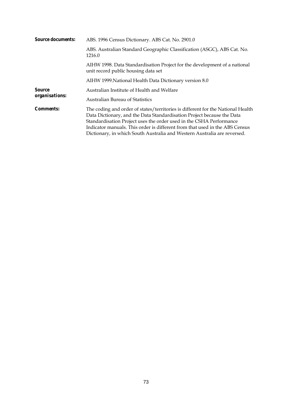| <b>Source documents:</b> | ABS. 1996 Census Dictionary. ABS Cat. No. 2901.0                                                                                                                                                                                                                                                                                                                                            |  |  |  |  |  |  |
|--------------------------|---------------------------------------------------------------------------------------------------------------------------------------------------------------------------------------------------------------------------------------------------------------------------------------------------------------------------------------------------------------------------------------------|--|--|--|--|--|--|
|                          | ABS. Australian Standard Geographic Classification (ASGC), ABS Cat. No.<br>1216.0                                                                                                                                                                                                                                                                                                           |  |  |  |  |  |  |
|                          | AIHW 1998. Data Standardisation Project for the development of a national<br>unit record public housing data set                                                                                                                                                                                                                                                                            |  |  |  |  |  |  |
|                          | AIHW 1999. National Health Data Dictionary version 8.0                                                                                                                                                                                                                                                                                                                                      |  |  |  |  |  |  |
| Source<br>organisations: | Australian Institute of Health and Welfare                                                                                                                                                                                                                                                                                                                                                  |  |  |  |  |  |  |
|                          | Australian Bureau of Statistics                                                                                                                                                                                                                                                                                                                                                             |  |  |  |  |  |  |
| <i>Comments:</i>         | The coding and order of states/territories is different for the National Health<br>Data Dictionary, and the Data Standardisation Project because the Data<br>Standardisation Project uses the order used in the CSHA Performance<br>Indicator manuals. This order is different from that used in the ABS Census<br>Dictionary, in which South Australia and Western Australia are reversed. |  |  |  |  |  |  |